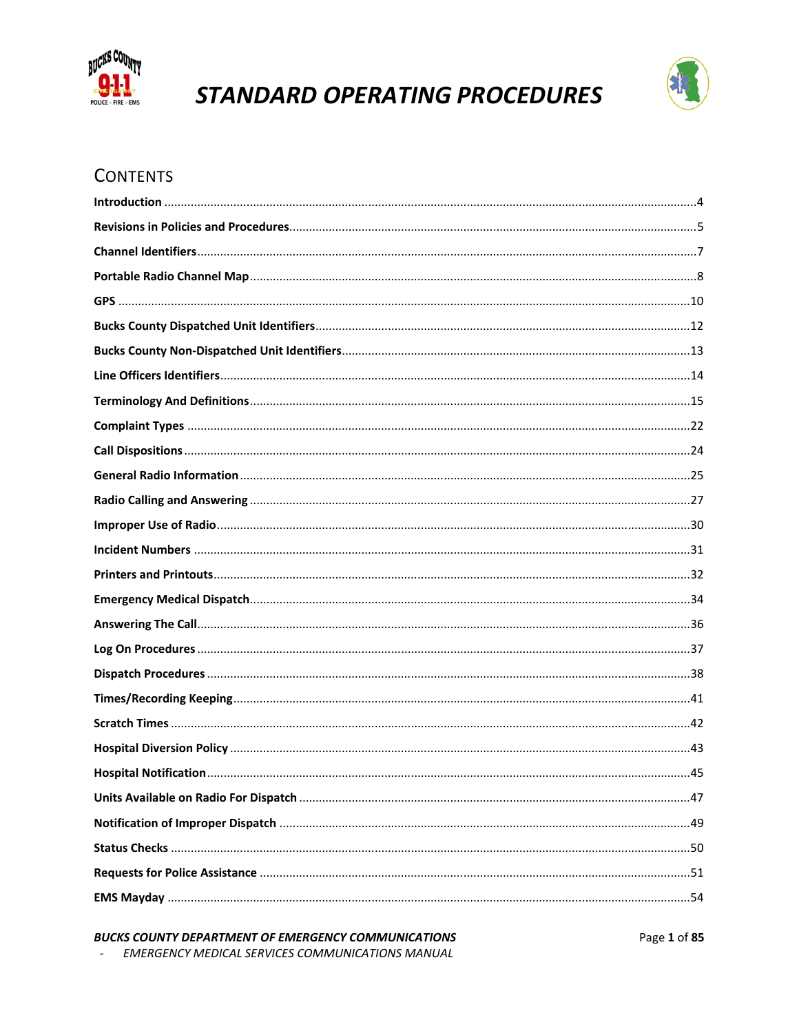



### **CONTENTS**

### **BUCKS COUNTY DEPARTMENT OF EMERGENCY COMMUNICATIONS**

- EMERGENCY MEDICAL SERVICES COMMUNICATIONS MANUAL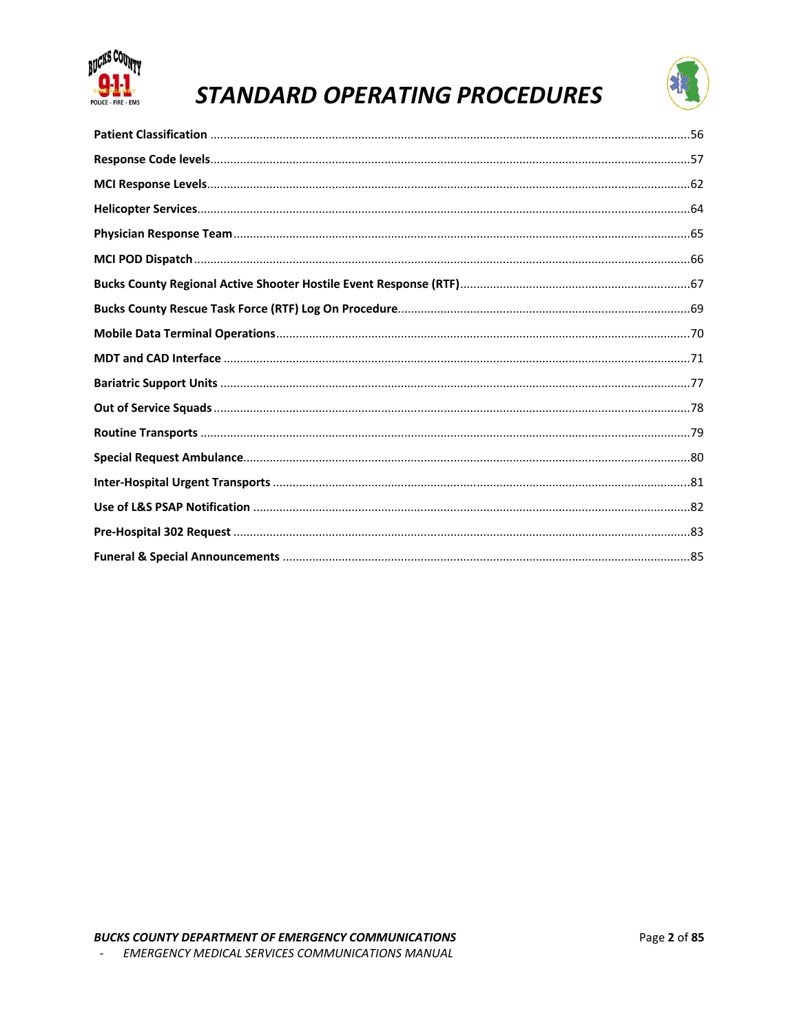

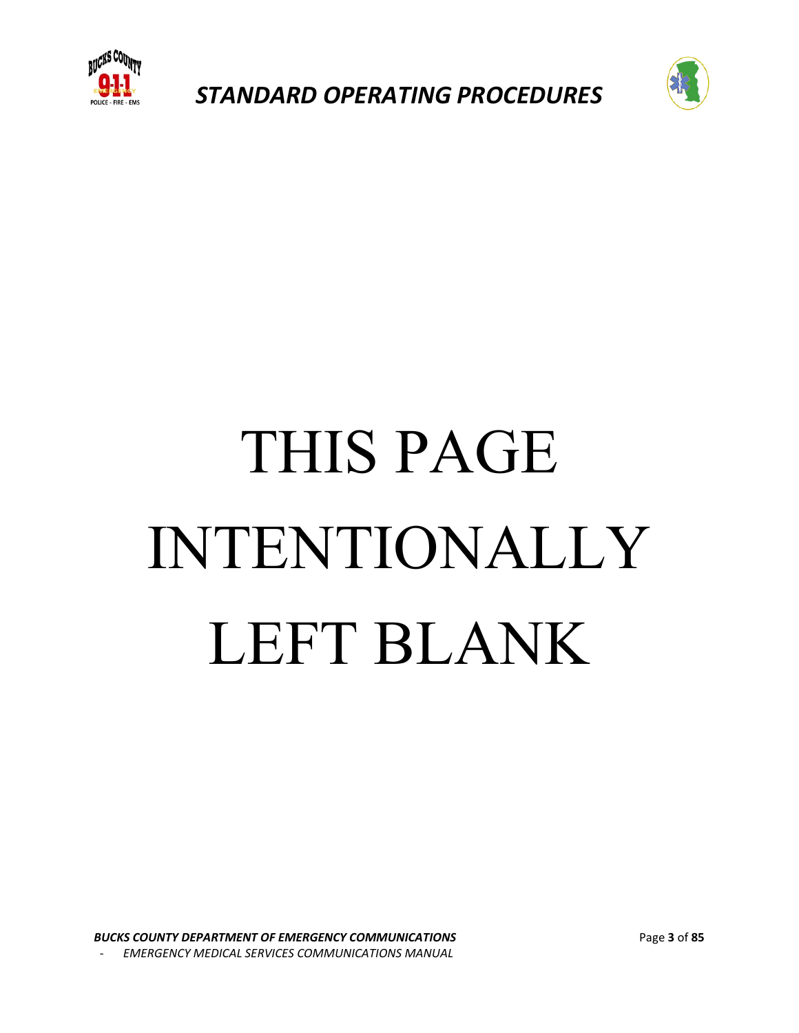



# THIS PAGE INTENTIONALLY LEFT BLANK

**BUCKS COUNTY DEPARTMENT OF EMERGENCY COMMUNICATIONS BUCKS COUNTY DEPARTMENT OF EMERGENCY COMMUNICATIONS** ‐ *EMERGENCY MEDICAL SERVICES COMMUNICATIONS MANUAL*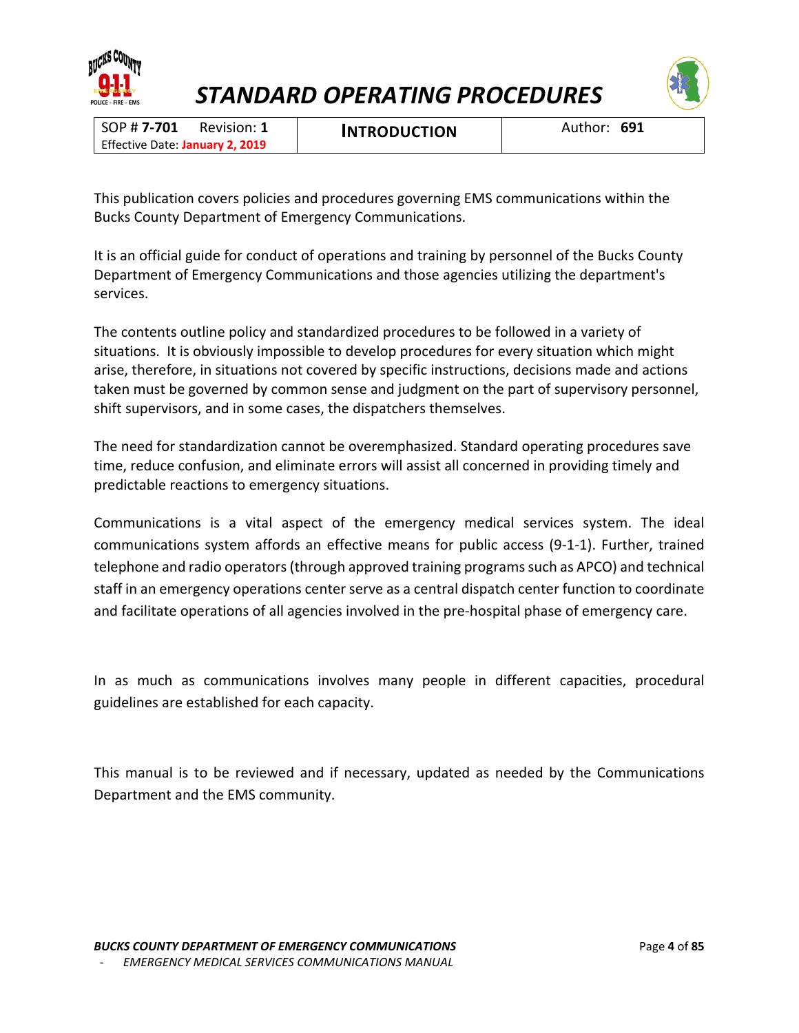



| SOP # $7-701$<br>Revision: <b>1</b> | <b>INTRODUCTION</b> | Author: 691 |
|-------------------------------------|---------------------|-------------|
| Effective Date: January 2, 2019     |                     |             |

This publication covers policies and procedures governing EMS communications within the Bucks County Department of Emergency Communications.

It is an official guide for conduct of operations and training by personnel of the Bucks County Department of Emergency Communications and those agencies utilizing the department's services.

The contents outline policy and standardized procedures to be followed in a variety of situations. It is obviously impossible to develop procedures for every situation which might arise, therefore, in situations not covered by specific instructions, decisions made and actions taken must be governed by common sense and judgment on the part of supervisory personnel, shift supervisors, and in some cases, the dispatchers themselves.

The need for standardization cannot be overemphasized. Standard operating procedures save time, reduce confusion, and eliminate errors will assist all concerned in providing timely and predictable reactions to emergency situations.

Communications is a vital aspect of the emergency medical services system. The ideal communications system affords an effective means for public access (9‐1‐1). Further, trained telephone and radio operators (through approved training programs such as APCO) and technical staff in an emergency operations center serve as a central dispatch center function to coordinate and facilitate operations of all agencies involved in the pre-hospital phase of emergency care.

In as much as communications involves many people in different capacities, procedural guidelines are established for each capacity.

This manual is to be reviewed and if necessary, updated as needed by the Communications Department and the EMS community.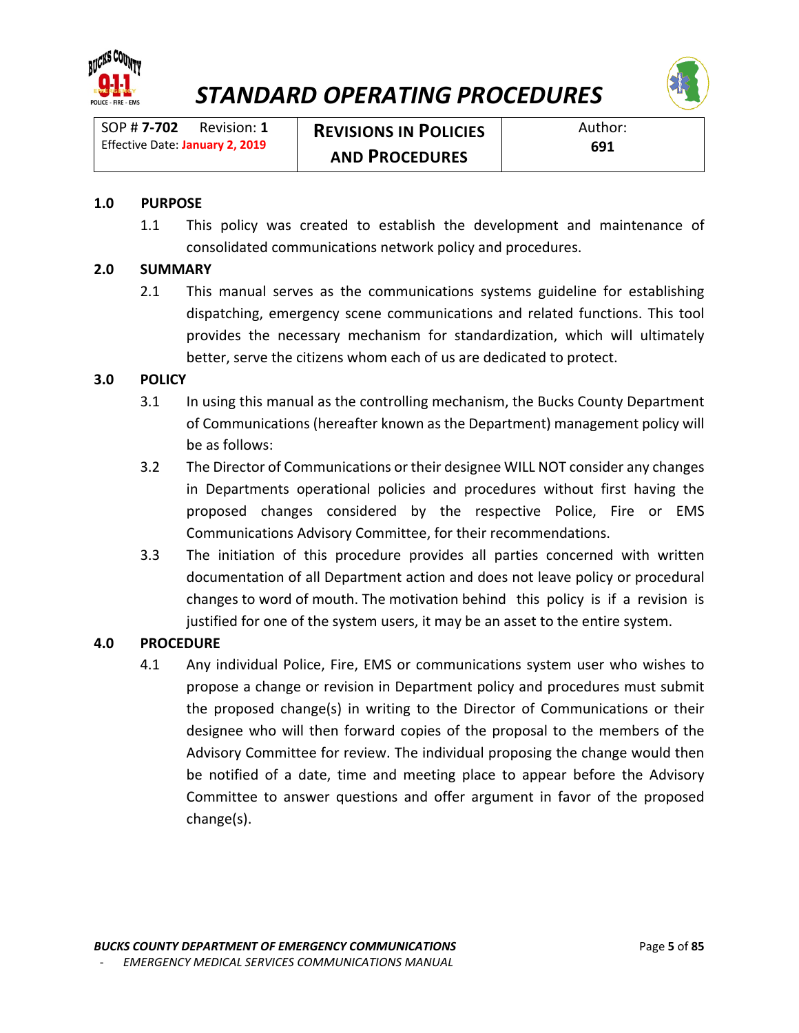



SOP # **7‐702** Revision: **1** Effective Date: **January 2, 2019**

**REVISIONS IN POLICIES AND PROCEDURES**

Author: **691** 

#### **1.0 PURPOSE**

1.1 This policy was created to establish the development and maintenance of consolidated communications network policy and procedures.

#### **2.0 SUMMARY**

2.1 This manual serves as the communications systems guideline for establishing dispatching, emergency scene communications and related functions. This tool provides the necessary mechanism for standardization, which will ultimately better, serve the citizens whom each of us are dedicated to protect.

#### **3.0 POLICY**

- 3.1 In using this manual as the controlling mechanism, the Bucks County Department of Communications (hereafter known as the Department) management policy will be as follows:
- 3.2 The Director of Communications or their designee WILL NOT consider any changes in Departments operational policies and procedures without first having the proposed changes considered by the respective Police, Fire or EMS Communications Advisory Committee, for their recommendations.
- 3.3 The initiation of this procedure provides all parties concerned with written documentation of all Department action and does not leave policy or procedural changes to word of mouth. The motivation behind this policy is if a revision is justified for one of the system users, it may be an asset to the entire system.

#### **4.0 PROCEDURE**

4.1 Any individual Police, Fire, EMS or communications system user who wishes to propose a change or revision in Department policy and procedures must submit the proposed change(s) in writing to the Director of Communications or their designee who will then forward copies of the proposal to the members of the Advisory Committee for review. The individual proposing the change would then be notified of a date, time and meeting place to appear before the Advisory Committee to answer questions and offer argument in favor of the proposed change(s).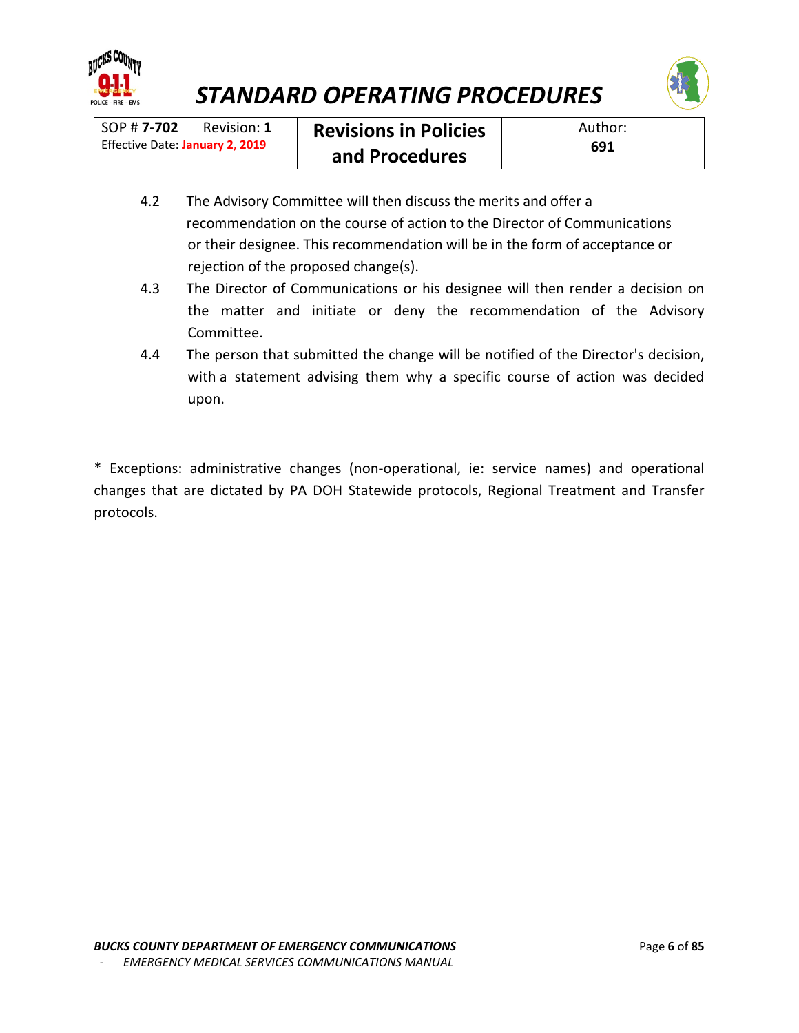



SOP # **7‐702** Revision: **1** Effective Date: **January 2, 2019**

**Revisions in Policies and Procedures**

Author: **691** 

- 4.2 The Advisory Committee will then discuss the merits and offer a recommendation on the course of action to the Director of Communications or their designee. This recommendation will be in the form of acceptance or rejection of the proposed change(s).
- 4.3 The Director of Communications or his designee will then render a decision on the matter and initiate or deny the recommendation of the Advisory Committee.
- 4.4 The person that submitted the change will be notified of the Director's decision, with a statement advising them why a specific course of action was decided upon.

\* Exceptions: administrative changes (non‐operational, ie: service names) and operational changes that are dictated by PA DOH Statewide protocols, Regional Treatment and Transfer protocols.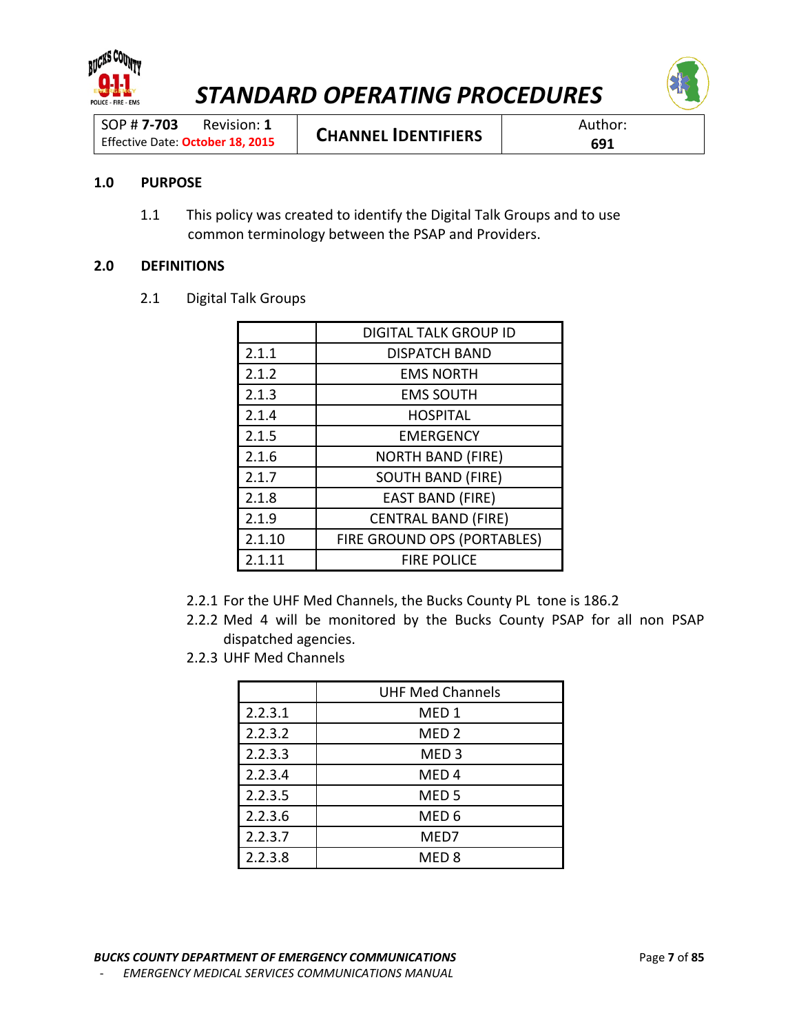



SOP # **7‐703** Revision: **1**  Effective Date: **October 18, 2015 CHANNEL IDENTIFIERS**

#### **1.0 PURPOSE**

1.1 This policy was created to identify the Digital Talk Groups and to use common terminology between the PSAP and Providers.

#### **2.0 DEFINITIONS**

2.1 Digital Talk Groups

|        | <b>DIGITAL TALK GROUP ID</b> |
|--------|------------------------------|
| 2.1.1  | <b>DISPATCH BAND</b>         |
| 2.1.2  | <b>EMS NORTH</b>             |
| 2.1.3  | <b>EMS SOUTH</b>             |
| 2.1.4  | <b>HOSPITAL</b>              |
| 2.1.5  | <b>EMERGENCY</b>             |
| 2.1.6  | <b>NORTH BAND (FIRE)</b>     |
| 2.1.7  | <b>SOUTH BAND (FIRE)</b>     |
| 2.1.8  | <b>EAST BAND (FIRE)</b>      |
| 2.1.9  | <b>CENTRAL BAND (FIRE)</b>   |
| 2.1.10 | FIRE GROUND OPS (PORTABLES)  |
| 2.1.11 | <b>FIRE POLICE</b>           |

- 2.2.1 For the UHF Med Channels, the Bucks County PL tone is 186.2
- 2.2.2 Med 4 will be monitored by the Bucks County PSAP for all non PSAP dispatched agencies.
- 2.2.3 UHF Med Channels

|         | <b>UHF Med Channels</b> |
|---------|-------------------------|
| 2.2.3.1 | MED <sub>1</sub>        |
| 2.2.3.2 | MED <sub>2</sub>        |
| 2.2.3.3 | MED <sub>3</sub>        |
| 2.2.3.4 | MED <sub>4</sub>        |
| 2.2.3.5 | MED <sub>5</sub>        |
| 2.2.3.6 | MED <sub>6</sub>        |
| 2.2.3.7 | MED7                    |
| 2.2.3.8 | MED <sub>8</sub>        |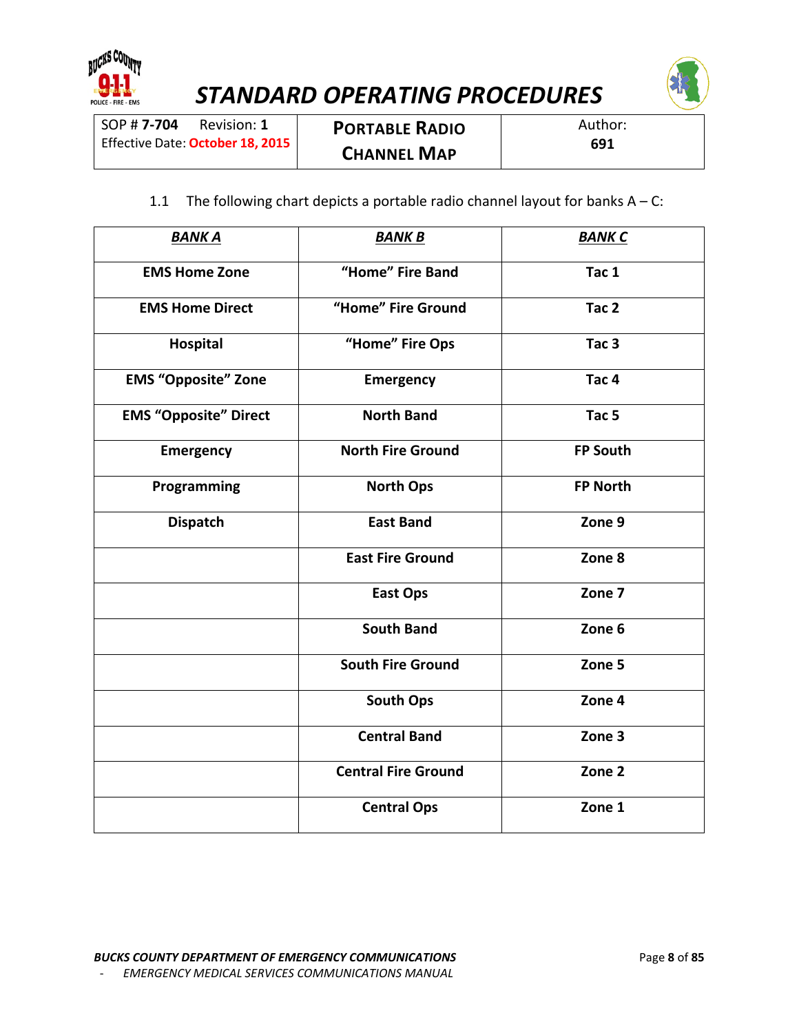



SOP # **7‐704**  Revision: **1**  Effective Date: **October 18, 2015** **PORTABLE RADIO CHANNEL MAP**

1.1 The following chart depicts a portable radio channel layout for banks  $A - C$ :

| <b>BANKA</b>                 | <b>BANK B</b>              | <b>BANK C</b>     |
|------------------------------|----------------------------|-------------------|
| <b>EMS Home Zone</b>         | "Home" Fire Band           | Tac 1             |
| <b>EMS Home Direct</b>       | "Home" Fire Ground         | Tac <sub>2</sub>  |
| <b>Hospital</b>              | "Home" Fire Ops            | Tac <sub>3</sub>  |
| <b>EMS "Opposite" Zone</b>   | <b>Emergency</b>           | Tac <sub>4</sub>  |
| <b>EMS "Opposite" Direct</b> | <b>North Band</b>          | Tac <sub>5</sub>  |
| <b>Emergency</b>             | <b>North Fire Ground</b>   | <b>FP South</b>   |
| Programming                  | <b>North Ops</b>           | <b>FP North</b>   |
| <b>Dispatch</b>              | <b>East Band</b>           | Zone 9            |
|                              | <b>East Fire Ground</b>    | Zone 8            |
|                              | <b>East Ops</b>            | Zone 7            |
|                              | <b>South Band</b>          | Zone 6            |
|                              | <b>South Fire Ground</b>   | Zone 5            |
|                              | <b>South Ops</b>           | Zone 4            |
|                              | <b>Central Band</b>        | Zone 3            |
|                              | <b>Central Fire Ground</b> | Zone <sub>2</sub> |
|                              | <b>Central Ops</b>         | Zone 1            |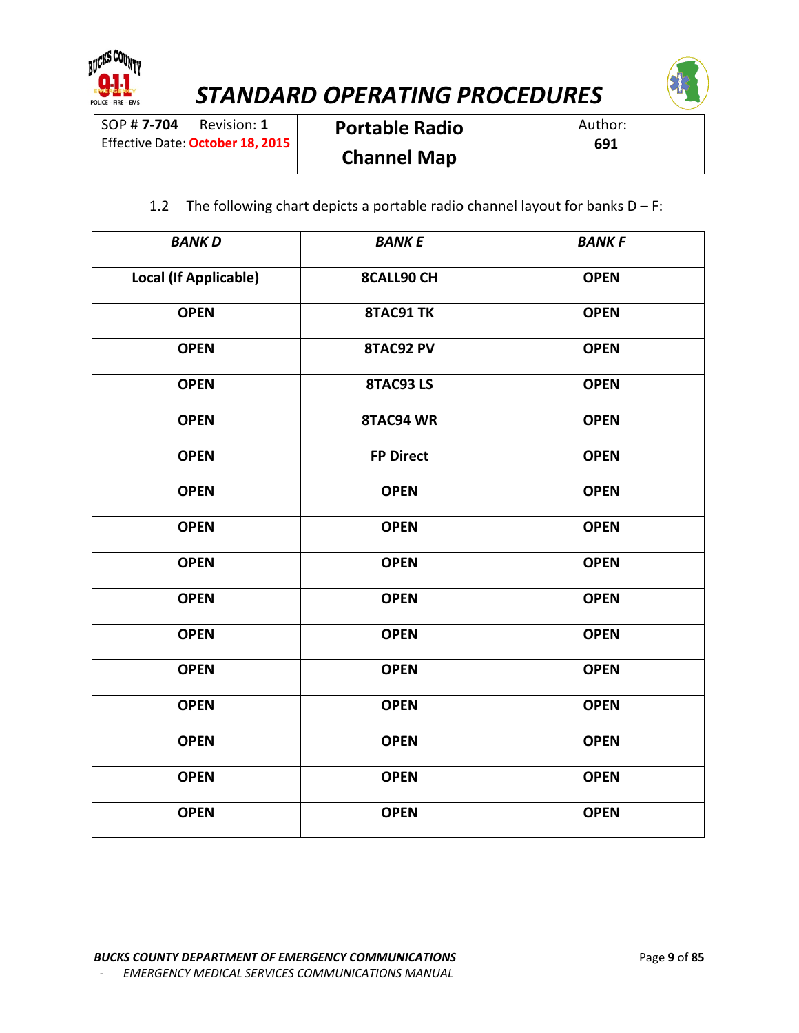



SOP # **7‐704**  Revision: **1**  Effective Date: **October 18, 2015** **Portable Radio Channel Map** 

1.2 The following chart depicts a portable radio channel layout for banks  $D - F$ :

| <b>BANKD</b>                 | <b>BANKE</b>     | <b>BANKF</b> |
|------------------------------|------------------|--------------|
| <b>Local (If Applicable)</b> | 8CALL90 CH       | <b>OPEN</b>  |
| <b>OPEN</b>                  | 8TAC91 TK        | <b>OPEN</b>  |
| <b>OPEN</b>                  | 8TAC92 PV        | <b>OPEN</b>  |
| <b>OPEN</b>                  | 8TAC93LS         | <b>OPEN</b>  |
| <b>OPEN</b>                  | 8TAC94 WR        | <b>OPEN</b>  |
| <b>OPEN</b>                  | <b>FP Direct</b> | <b>OPEN</b>  |
| <b>OPEN</b>                  | <b>OPEN</b>      | <b>OPEN</b>  |
| <b>OPEN</b>                  | <b>OPEN</b>      | <b>OPEN</b>  |
| <b>OPEN</b>                  | <b>OPEN</b>      | <b>OPEN</b>  |
| <b>OPEN</b>                  | <b>OPEN</b>      | <b>OPEN</b>  |
| <b>OPEN</b>                  | <b>OPEN</b>      | <b>OPEN</b>  |
| <b>OPEN</b>                  | <b>OPEN</b>      | <b>OPEN</b>  |
| <b>OPEN</b>                  | <b>OPEN</b>      | <b>OPEN</b>  |
| <b>OPEN</b>                  | <b>OPEN</b>      | <b>OPEN</b>  |
| <b>OPEN</b>                  | <b>OPEN</b>      | <b>OPEN</b>  |
| <b>OPEN</b>                  | <b>OPEN</b>      | <b>OPEN</b>  |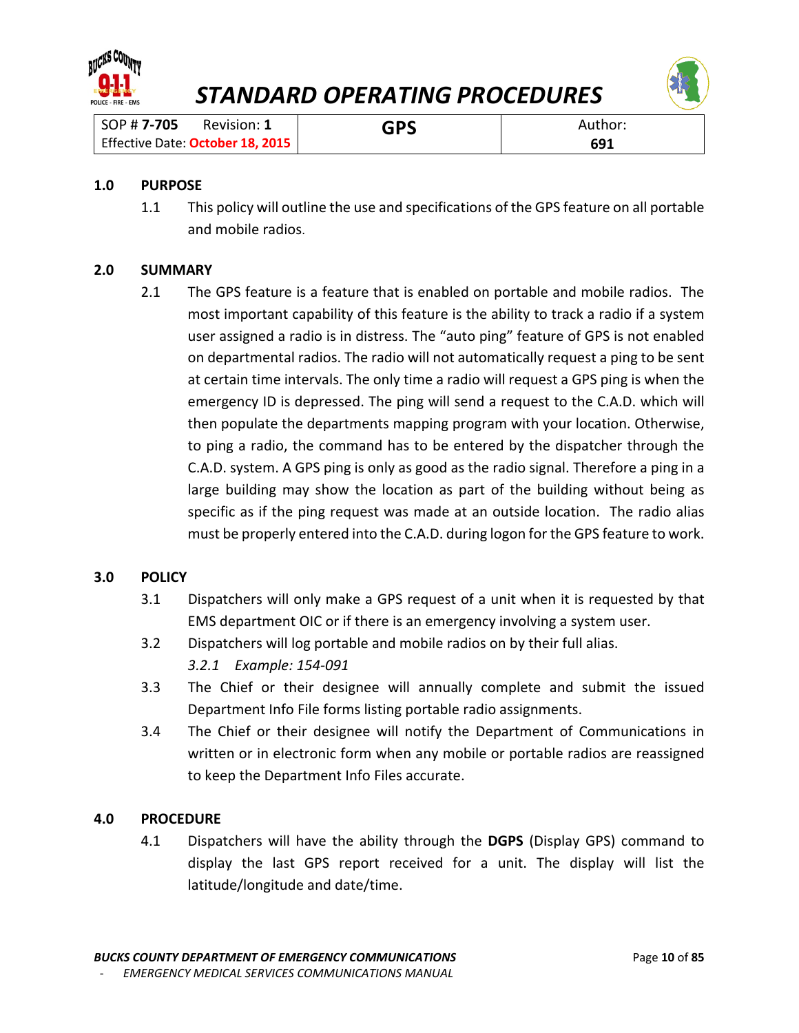



| SOP # 7-705 | Revision: 1                      | <b>GPS</b> | Author: |
|-------------|----------------------------------|------------|---------|
|             | Effective Date: October 18, 2015 |            | 691     |

### **1.0 PURPOSE**

1.1 This policy will outline the use and specifications of the GPS feature on all portable and mobile radios.

#### **2.0 SUMMARY**

2.1 The GPS feature is a feature that is enabled on portable and mobile radios. The most important capability of this feature is the ability to track a radio if a system user assigned a radio is in distress. The "auto ping" feature of GPS is not enabled on departmental radios. The radio will not automatically request a ping to be sent at certain time intervals. The only time a radio will request a GPS ping is when the emergency ID is depressed. The ping will send a request to the C.A.D. which will then populate the departments mapping program with your location. Otherwise, to ping a radio, the command has to be entered by the dispatcher through the C.A.D. system. A GPS ping is only as good as the radio signal. Therefore a ping in a large building may show the location as part of the building without being as specific as if the ping request was made at an outside location. The radio alias must be properly entered into the C.A.D. during logon for the GPS feature to work.

#### **3.0 POLICY**

- 3.1 Dispatchers will only make a GPS request of a unit when it is requested by that EMS department OIC or if there is an emergency involving a system user.
- 3.2 Dispatchers will log portable and mobile radios on by their full alias.
	- *3.2.1 Example: 154‐091*
- 3.3 The Chief or their designee will annually complete and submit the issued Department Info File forms listing portable radio assignments.
- 3.4 The Chief or their designee will notify the Department of Communications in written or in electronic form when any mobile or portable radios are reassigned to keep the Department Info Files accurate.

#### **4.0 PROCEDURE**

4.1 Dispatchers will have the ability through the **DGPS** (Display GPS) command to display the last GPS report received for a unit. The display will list the latitude/longitude and date/time.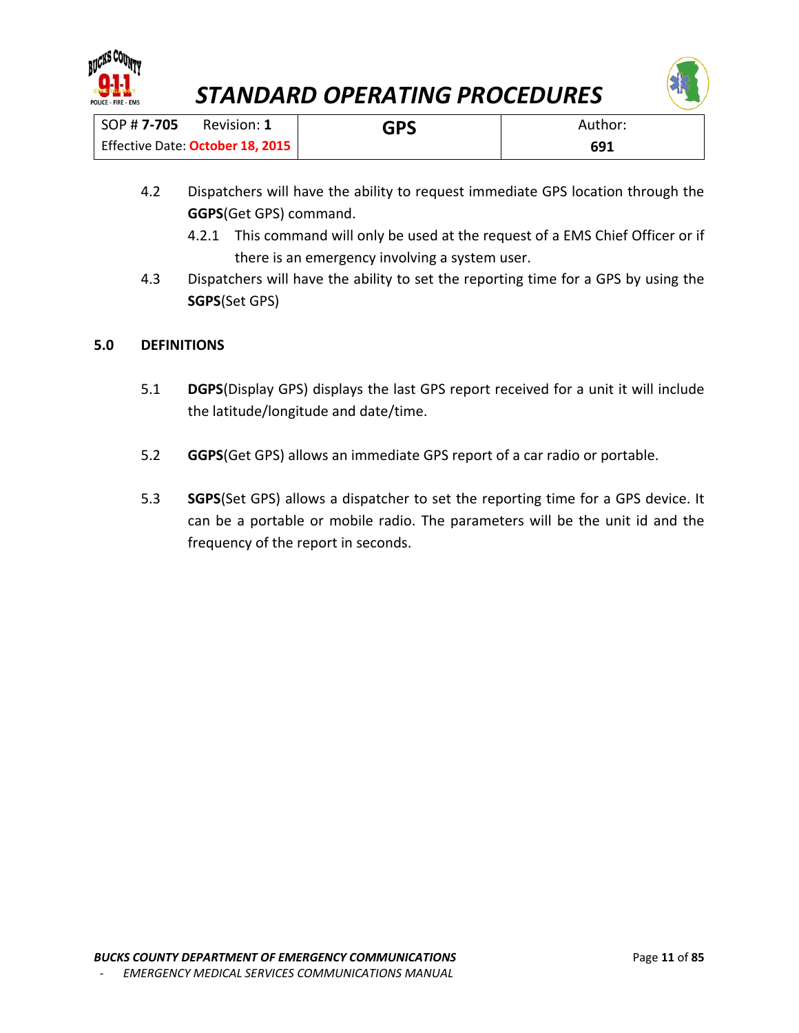



| SOP # <b>7-705</b><br>Revision: 1 | <b>GPS</b> | Author: |
|-----------------------------------|------------|---------|
| Effective Date: October 18, 2015  |            | 691     |

- 4.2 Dispatchers will have the ability to request immediate GPS location through the **GGPS**(Get GPS) command.
	- 4.2.1 This command will only be used at the request of a EMS Chief Officer or if there is an emergency involving a system user.
- 4.3 Dispatchers will have the ability to set the reporting time for a GPS by using the **SGPS**(Set GPS)

### **5.0 DEFINITIONS**

- 5.1 **DGPS**(Display GPS) displays the last GPS report received for a unit it will include the latitude/longitude and date/time.
- 5.2 **GGPS**(Get GPS) allows an immediate GPS report of a car radio or portable.
- 5.3 **SGPS**(Set GPS) allows a dispatcher to set the reporting time for a GPS device. It can be a portable or mobile radio. The parameters will be the unit id and the frequency of the report in seconds.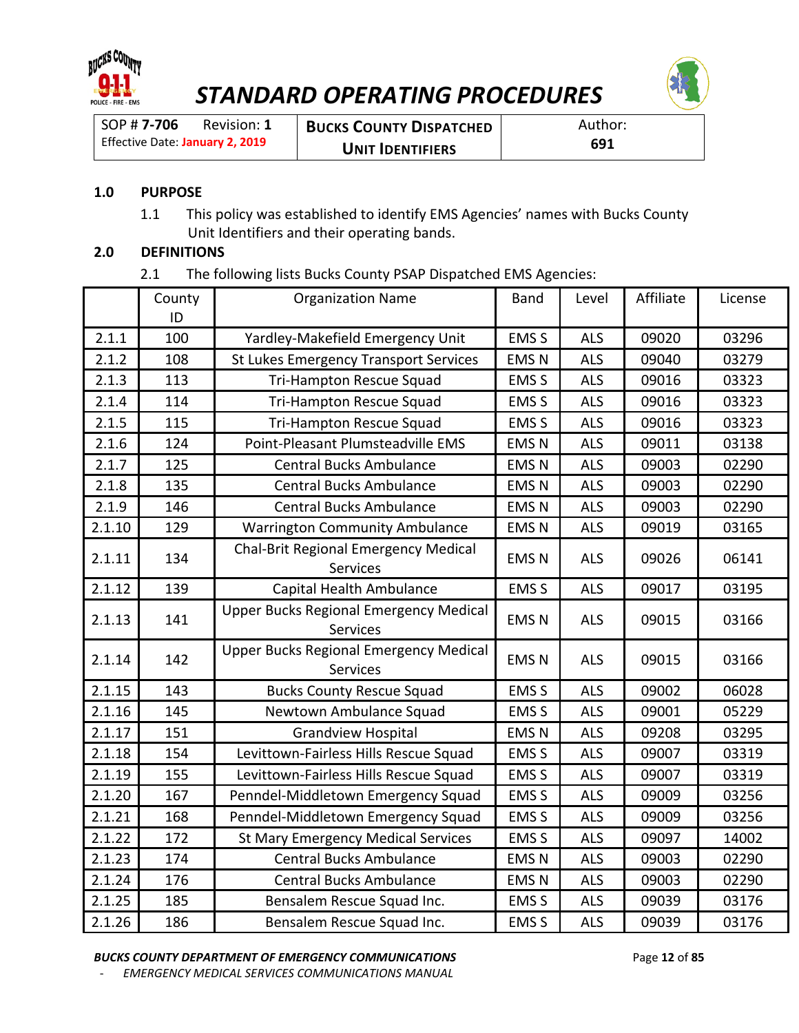



SOP # **7‐706** Revision: **1** Effective Date: **January 2, 2019 BUCKS COUNTY DISPATCHED UNIT IDENTIFIERS** Author: **691** 

#### **1.0 PURPOSE**

1.1 This policy was established to identify EMS Agencies' names with Bucks County Unit Identifiers and their operating bands.

#### **2.0 DEFINITIONS**

2.1 The following lists Bucks County PSAP Dispatched EMS Agencies:

|        | County<br>ID | <b>Organization Name</b>                                         | <b>Band</b>      | Level      | Affiliate | License |
|--------|--------------|------------------------------------------------------------------|------------------|------------|-----------|---------|
| 2.1.1  | 100          | Yardley-Makefield Emergency Unit                                 | EMS <sub>S</sub> | <b>ALS</b> | 09020     | 03296   |
| 2.1.2  | 108          | St Lukes Emergency Transport Services                            | <b>EMSN</b>      | <b>ALS</b> | 09040     | 03279   |
| 2.1.3  | 113          | <b>Tri-Hampton Rescue Squad</b>                                  | EMS <sub>S</sub> | <b>ALS</b> | 09016     | 03323   |
| 2.1.4  | 114          | Tri-Hampton Rescue Squad                                         | EMS <sub>S</sub> | <b>ALS</b> | 09016     | 03323   |
| 2.1.5  | 115          | Tri-Hampton Rescue Squad                                         | EMS <sub>S</sub> | <b>ALS</b> | 09016     | 03323   |
| 2.1.6  | 124          | Point-Pleasant Plumsteadville EMS                                | <b>EMSN</b>      | <b>ALS</b> | 09011     | 03138   |
| 2.1.7  | 125          | <b>Central Bucks Ambulance</b>                                   | EMS <sub>N</sub> | <b>ALS</b> | 09003     | 02290   |
| 2.1.8  | 135          | <b>Central Bucks Ambulance</b>                                   | EMS <sub>N</sub> | <b>ALS</b> | 09003     | 02290   |
| 2.1.9  | 146          | <b>Central Bucks Ambulance</b>                                   | <b>EMSN</b>      | <b>ALS</b> | 09003     | 02290   |
| 2.1.10 | 129          | <b>Warrington Community Ambulance</b>                            | <b>EMSN</b>      | <b>ALS</b> | 09019     | 03165   |
| 2.1.11 | 134          | Chal-Brit Regional Emergency Medical<br><b>Services</b>          | <b>EMSN</b>      | <b>ALS</b> | 09026     | 06141   |
| 2.1.12 | 139          | Capital Health Ambulance                                         | EMS <sub>S</sub> | <b>ALS</b> | 09017     | 03195   |
| 2.1.13 | 141          | <b>Upper Bucks Regional Emergency Medical</b><br><b>Services</b> | <b>EMSN</b>      | <b>ALS</b> | 09015     | 03166   |
| 2.1.14 | 142          | <b>Upper Bucks Regional Emergency Medical</b><br>Services        | <b>EMSN</b>      | <b>ALS</b> | 09015     | 03166   |
| 2.1.15 | 143          | <b>Bucks County Rescue Squad</b>                                 | EMS <sub>S</sub> | <b>ALS</b> | 09002     | 06028   |
| 2.1.16 | 145          | Newtown Ambulance Squad                                          | EMS <sub>S</sub> | <b>ALS</b> | 09001     | 05229   |
| 2.1.17 | 151          | <b>Grandview Hospital</b>                                        | <b>EMSN</b>      | <b>ALS</b> | 09208     | 03295   |
| 2.1.18 | 154          | Levittown-Fairless Hills Rescue Squad                            | EMS <sub>S</sub> | <b>ALS</b> | 09007     | 03319   |
| 2.1.19 | 155          | Levittown-Fairless Hills Rescue Squad                            | EMS <sub>S</sub> | <b>ALS</b> | 09007     | 03319   |
| 2.1.20 | 167          | Penndel-Middletown Emergency Squad                               | EMS <sub>S</sub> | <b>ALS</b> | 09009     | 03256   |
| 2.1.21 | 168          | Penndel-Middletown Emergency Squad                               | EMS <sub>S</sub> | <b>ALS</b> | 09009     | 03256   |
| 2.1.22 | 172          | <b>St Mary Emergency Medical Services</b>                        | EMS <sub>S</sub> | <b>ALS</b> | 09097     | 14002   |
| 2.1.23 | 174          | <b>Central Bucks Ambulance</b>                                   | <b>EMSN</b>      | <b>ALS</b> | 09003     | 02290   |
| 2.1.24 | 176          | <b>Central Bucks Ambulance</b>                                   | <b>EMSN</b>      | <b>ALS</b> | 09003     | 02290   |
| 2.1.25 | 185          | Bensalem Rescue Squad Inc.                                       | EMS <sub>S</sub> | <b>ALS</b> | 09039     | 03176   |
| 2.1.26 | 186          | Bensalem Rescue Squad Inc.                                       | EMS <sub>S</sub> | <b>ALS</b> | 09039     | 03176   |

#### **BUCKS COUNTY DEPARTMENT OF EMERGENCY COMMUNICATIONS** *Page 12 of 85*

‐ *EMERGENCY MEDICAL SERVICES COMMUNICATIONS MANUAL*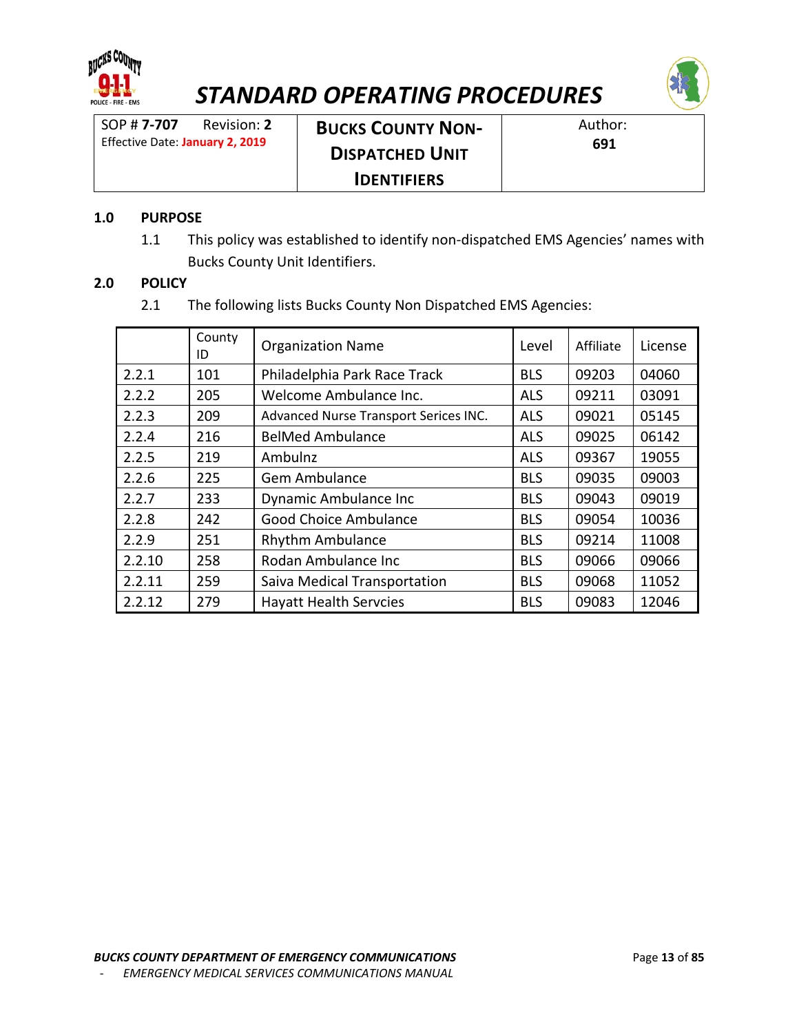



SOP # **7‐707** Revision: **2** Effective Date: **January 2, 2019**

**BUCKS COUNTY NON‐ DISPATCHED UNIT IDENTIFIERS**

#### $1.0$ **1.0 PURPOSE**

1.1 This policy was established to identify non‐dispatched EMS Agencies' names with Bucks County Unit Identifiers.

#### **2.0 POLICY**

2.1 The following lists Bucks County Non Dispatched EMS Agencies:

|        | County<br>ID | <b>Organization Name</b>              | Level      | Affiliate | License |
|--------|--------------|---------------------------------------|------------|-----------|---------|
| 2.2.1  | 101          | Philadelphia Park Race Track          | <b>BLS</b> | 09203     | 04060   |
| 2.2.2  | 205          | Welcome Ambulance Inc.                | <b>ALS</b> | 09211     | 03091   |
| 2.2.3  | 209          | Advanced Nurse Transport Serices INC. | <b>ALS</b> | 09021     | 05145   |
| 2.2.4  | 216          | <b>BelMed Ambulance</b>               | ALS        | 09025     | 06142   |
| 2.2.5  | 219          | Ambulnz                               | <b>ALS</b> | 09367     | 19055   |
| 2.2.6  | 225          | Gem Ambulance                         | <b>BLS</b> | 09035     | 09003   |
| 2.2.7  | 233          | Dynamic Ambulance Inc                 | <b>BLS</b> | 09043     | 09019   |
| 2.2.8  | 242          | <b>Good Choice Ambulance</b>          | <b>BLS</b> | 09054     | 10036   |
| 2.2.9  | 251          | <b>Rhythm Ambulance</b>               | <b>BLS</b> | 09214     | 11008   |
| 2.2.10 | 258          | Rodan Ambulance Inc                   | <b>BLS</b> | 09066     | 09066   |
| 2.2.11 | 259          | Saiva Medical Transportation          | <b>BLS</b> | 09068     | 11052   |
| 2.2.12 | 279          | <b>Hayatt Health Servcies</b>         | <b>BLS</b> | 09083     | 12046   |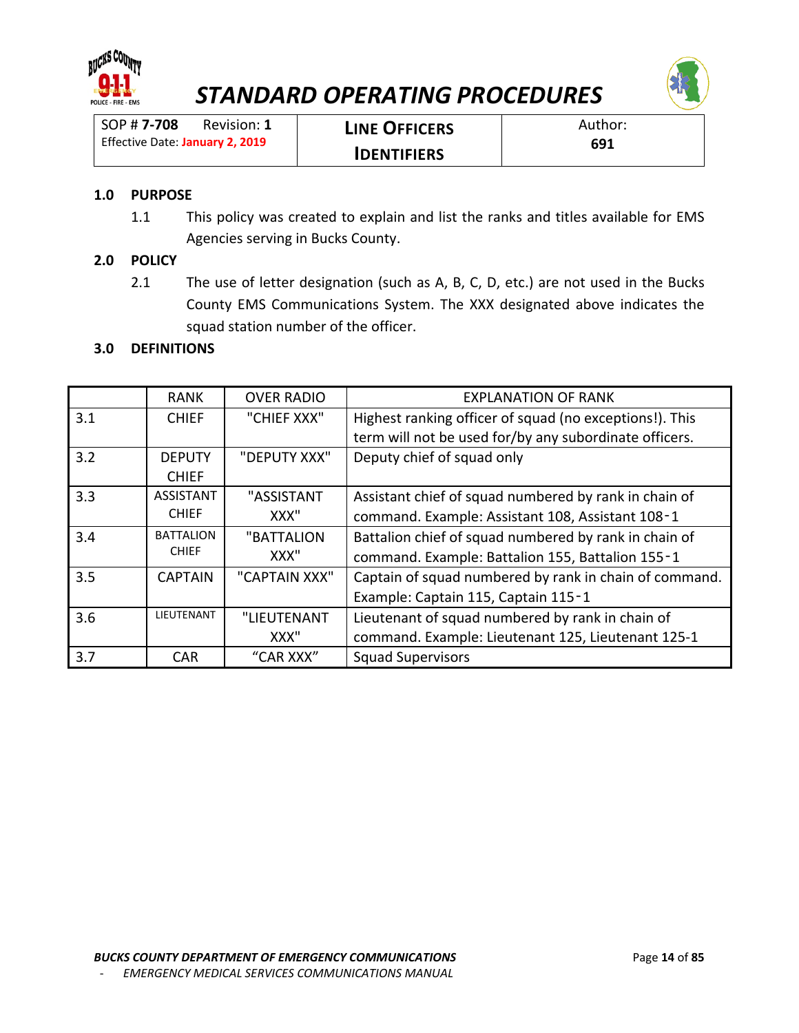



#### SOP # **7‐708** Revision: **1** Effective Date: **January 2, 2019 LINE OFFICERS IDENTIFIERS** Author: **691**

### **1.0 PURPOSE**

1.1 This policy was created to explain and list the ranks and titles available for EMS Agencies serving in Bucks County.

#### **2.0 POLICY**

2.1 The use of letter designation (such as A, B, C, D, etc.) are not used in the Bucks County EMS Communications System. The XXX designated above indicates the squad station number of the officer.

#### **3.0 DEFINITIONS**

|     | <b>RANK</b>      | <b>OVER RADIO</b> | <b>EXPLANATION OF RANK</b>                              |
|-----|------------------|-------------------|---------------------------------------------------------|
| 3.1 | <b>CHIEF</b>     | "CHIEF XXX"       | Highest ranking officer of squad (no exceptions!). This |
|     |                  |                   | term will not be used for/by any subordinate officers.  |
| 3.2 | <b>DEPUTY</b>    | "DEPUTY XXX"      | Deputy chief of squad only                              |
|     | <b>CHIEF</b>     |                   |                                                         |
| 3.3 | <b>ASSISTANT</b> | "ASSISTANT        | Assistant chief of squad numbered by rank in chain of   |
|     | <b>CHIEF</b>     | XXX"              | command. Example: Assistant 108, Assistant 108-1        |
| 3.4 | <b>BATTALION</b> | "BATTALION        | Battalion chief of squad numbered by rank in chain of   |
|     | <b>CHIEF</b>     | XXX"              | command. Example: Battalion 155, Battalion 155-1        |
| 3.5 | <b>CAPTAIN</b>   | "CAPTAIN XXX"     | Captain of squad numbered by rank in chain of command.  |
|     |                  |                   | Example: Captain 115, Captain 115-1                     |
| 3.6 | LIEUTENANT       | "LIEUTENANT       | Lieutenant of squad numbered by rank in chain of        |
|     |                  | XXX"              | command. Example: Lieutenant 125, Lieutenant 125-1      |
| 3.7 | <b>CAR</b>       | "CAR XXX"         | <b>Squad Supervisors</b>                                |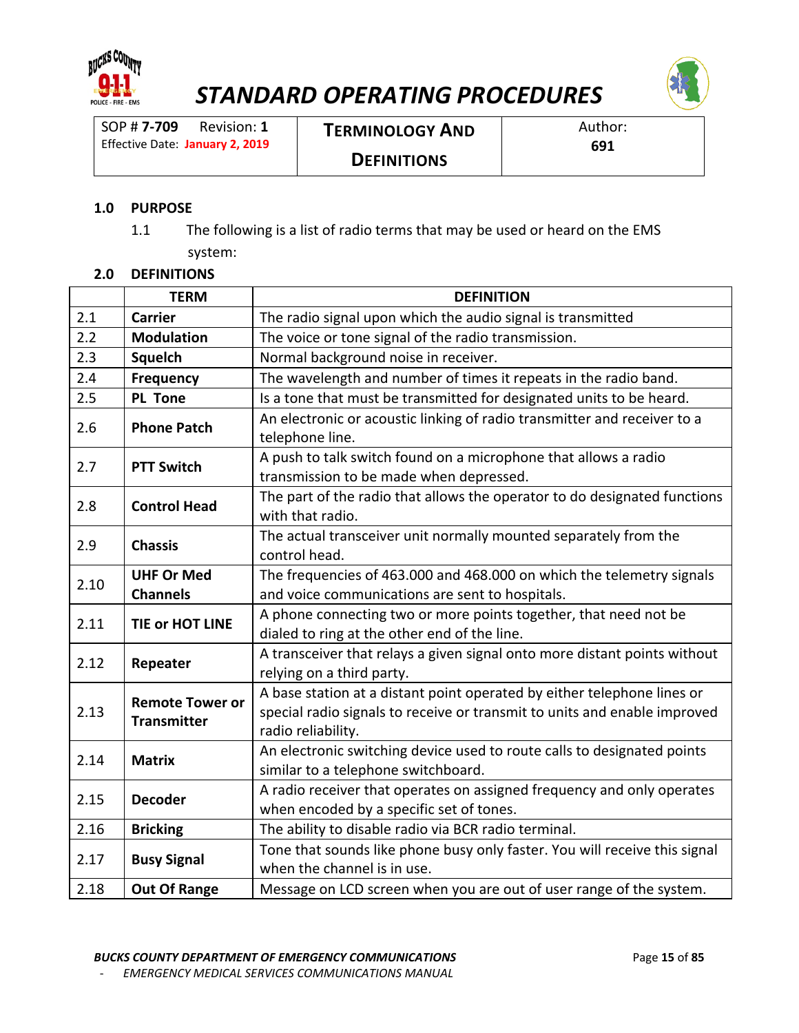



SOP # **7‐709** Revision: **1** Effective Date:  **January 2, 2019**

**TERMINOLOGY AND** 

**DEFINITIONS**

### **1.0 PURPOSE**

1.1 The following is a list of radio terms that may be used or heard on the EMS system:

### **2.0 DEFINITIONS**

|      | <b>TERM</b>            | <b>DEFINITION</b>                                                          |  |
|------|------------------------|----------------------------------------------------------------------------|--|
| 2.1  | <b>Carrier</b>         | The radio signal upon which the audio signal is transmitted                |  |
| 2.2  | <b>Modulation</b>      | The voice or tone signal of the radio transmission.                        |  |
| 2.3  | Squelch                | Normal background noise in receiver.                                       |  |
| 2.4  | <b>Frequency</b>       | The wavelength and number of times it repeats in the radio band.           |  |
| 2.5  | <b>PL Tone</b>         | Is a tone that must be transmitted for designated units to be heard.       |  |
| 2.6  | <b>Phone Patch</b>     | An electronic or acoustic linking of radio transmitter and receiver to a   |  |
|      |                        | telephone line.                                                            |  |
| 2.7  | <b>PTT Switch</b>      | A push to talk switch found on a microphone that allows a radio            |  |
|      |                        | transmission to be made when depressed.                                    |  |
| 2.8  | <b>Control Head</b>    | The part of the radio that allows the operator to do designated functions  |  |
|      |                        | with that radio.                                                           |  |
| 2.9  | <b>Chassis</b>         | The actual transceiver unit normally mounted separately from the           |  |
|      |                        | control head.                                                              |  |
| 2.10 | <b>UHF Or Med</b>      | The frequencies of 463.000 and 468.000 on which the telemetry signals      |  |
|      | <b>Channels</b>        | and voice communications are sent to hospitals.                            |  |
| 2.11 | TIE or HOT LINE        | A phone connecting two or more points together, that need not be           |  |
|      |                        | dialed to ring at the other end of the line.                               |  |
| 2.12 | Repeater               | A transceiver that relays a given signal onto more distant points without  |  |
|      |                        | relying on a third party.                                                  |  |
|      | <b>Remote Tower or</b> | A base station at a distant point operated by either telephone lines or    |  |
| 2.13 | <b>Transmitter</b>     | special radio signals to receive or transmit to units and enable improved  |  |
|      |                        | radio reliability.                                                         |  |
| 2.14 | <b>Matrix</b>          | An electronic switching device used to route calls to designated points    |  |
|      |                        | similar to a telephone switchboard.                                        |  |
| 2.15 | <b>Decoder</b>         | A radio receiver that operates on assigned frequency and only operates     |  |
|      |                        | when encoded by a specific set of tones.                                   |  |
| 2.16 | <b>Bricking</b>        | The ability to disable radio via BCR radio terminal.                       |  |
| 2.17 |                        | Tone that sounds like phone busy only faster. You will receive this signal |  |
|      | <b>Busy Signal</b>     | when the channel is in use.                                                |  |
| 2.18 | <b>Out Of Range</b>    | Message on LCD screen when you are out of user range of the system.        |  |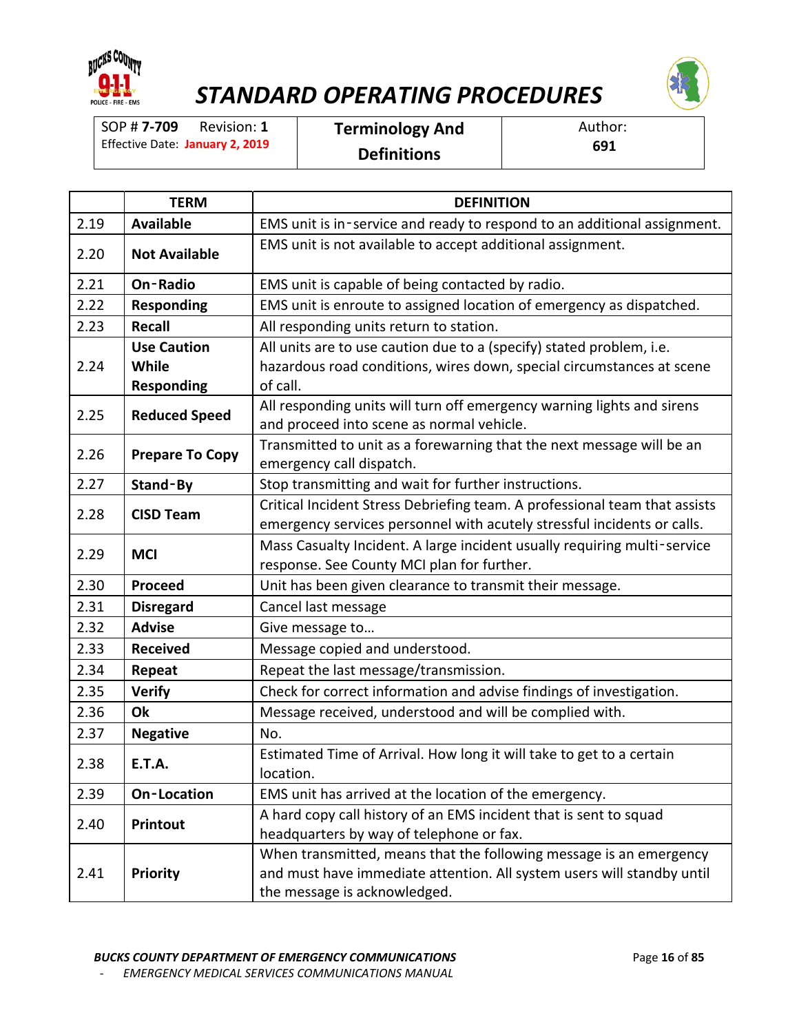



### SOP # **7‐709** Revision: **1** Effective Date:  **January 2, 2019**

**Terminology And** 

Author:

**Definitions**

| utnor |  |  |
|-------|--|--|
| 691   |  |  |

|      | <b>TERM</b>            | <b>DEFINITION</b>                                                                                                                                                            |  |
|------|------------------------|------------------------------------------------------------------------------------------------------------------------------------------------------------------------------|--|
| 2.19 | <b>Available</b>       | EMS unit is in-service and ready to respond to an additional assignment.                                                                                                     |  |
| 2.20 | <b>Not Available</b>   | EMS unit is not available to accept additional assignment.                                                                                                                   |  |
| 2.21 | On-Radio               | EMS unit is capable of being contacted by radio.                                                                                                                             |  |
| 2.22 | <b>Responding</b>      | EMS unit is enroute to assigned location of emergency as dispatched.                                                                                                         |  |
| 2.23 | <b>Recall</b>          | All responding units return to station.                                                                                                                                      |  |
|      | <b>Use Caution</b>     | All units are to use caution due to a (specify) stated problem, i.e.                                                                                                         |  |
| 2.24 | While                  | hazardous road conditions, wires down, special circumstances at scene                                                                                                        |  |
|      | <b>Responding</b>      | of call.                                                                                                                                                                     |  |
| 2.25 | <b>Reduced Speed</b>   | All responding units will turn off emergency warning lights and sirens<br>and proceed into scene as normal vehicle.                                                          |  |
| 2.26 | <b>Prepare To Copy</b> | Transmitted to unit as a forewarning that the next message will be an<br>emergency call dispatch.                                                                            |  |
| 2.27 | Stand-By               | Stop transmitting and wait for further instructions.                                                                                                                         |  |
| 2.28 | <b>CISD Team</b>       | Critical Incident Stress Debriefing team. A professional team that assists                                                                                                   |  |
|      |                        | emergency services personnel with acutely stressful incidents or calls.                                                                                                      |  |
| 2.29 | <b>MCI</b>             | Mass Casualty Incident. A large incident usually requiring multi-service                                                                                                     |  |
|      |                        | response. See County MCI plan for further.                                                                                                                                   |  |
| 2.30 | Proceed                | Unit has been given clearance to transmit their message.                                                                                                                     |  |
| 2.31 | <b>Disregard</b>       | Cancel last message                                                                                                                                                          |  |
| 2.32 | <b>Advise</b>          | Give message to                                                                                                                                                              |  |
| 2.33 | <b>Received</b>        | Message copied and understood.                                                                                                                                               |  |
| 2.34 | Repeat                 | Repeat the last message/transmission.                                                                                                                                        |  |
| 2.35 | <b>Verify</b>          | Check for correct information and advise findings of investigation.                                                                                                          |  |
| 2.36 | Ok                     | Message received, understood and will be complied with.                                                                                                                      |  |
| 2.37 | <b>Negative</b>        | No.                                                                                                                                                                          |  |
| 2.38 | <b>E.T.A.</b>          | Estimated Time of Arrival. How long it will take to get to a certain<br>location.                                                                                            |  |
| 2.39 | On-Location            | EMS unit has arrived at the location of the emergency.                                                                                                                       |  |
| 2.40 | <b>Printout</b>        | A hard copy call history of an EMS incident that is sent to squad<br>headquarters by way of telephone or fax.                                                                |  |
| 2.41 | <b>Priority</b>        | When transmitted, means that the following message is an emergency<br>and must have immediate attention. All system users will standby until<br>the message is acknowledged. |  |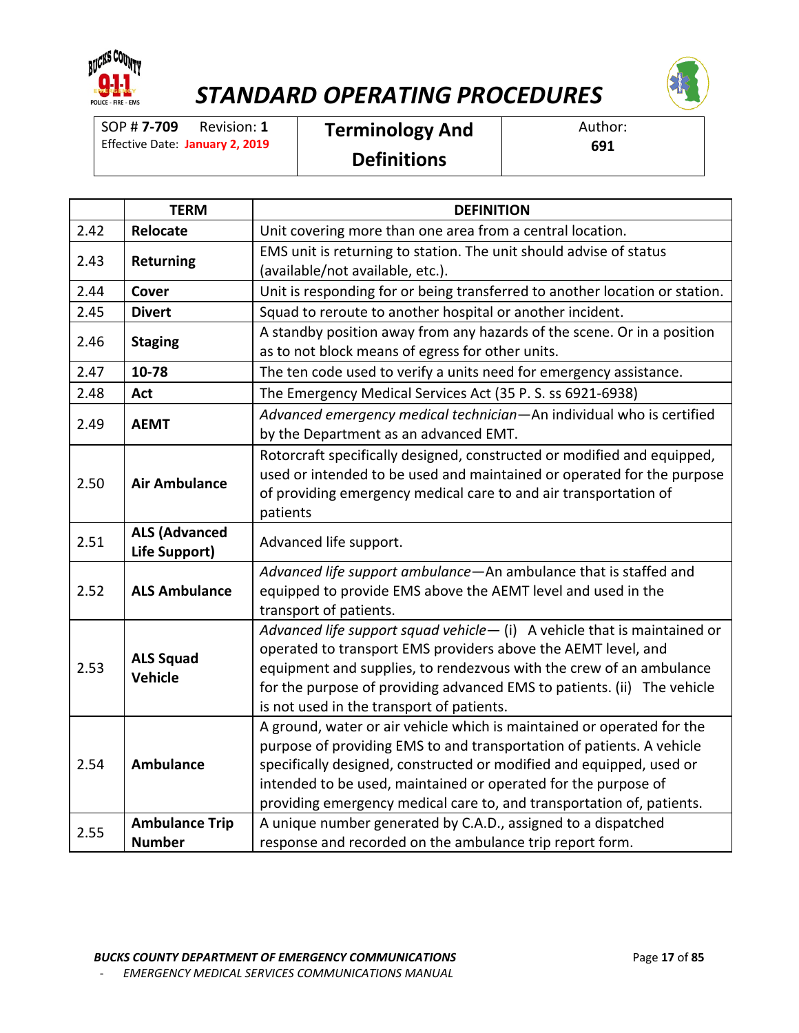



SOP # **7‐709** Revision: **1**

**Terminology And Definitions** 

Author:

**691** 

|      | <b>TERM</b>                           | <b>DEFINITION</b>                                                                                                                                                                                                                                                                                                                                                  |  |
|------|---------------------------------------|--------------------------------------------------------------------------------------------------------------------------------------------------------------------------------------------------------------------------------------------------------------------------------------------------------------------------------------------------------------------|--|
| 2.42 | Relocate                              | Unit covering more than one area from a central location.                                                                                                                                                                                                                                                                                                          |  |
| 2.43 | <b>Returning</b>                      | EMS unit is returning to station. The unit should advise of status<br>(available/not available, etc.).                                                                                                                                                                                                                                                             |  |
| 2.44 | <b>Cover</b>                          | Unit is responding for or being transferred to another location or station.                                                                                                                                                                                                                                                                                        |  |
| 2.45 | <b>Divert</b>                         | Squad to reroute to another hospital or another incident.                                                                                                                                                                                                                                                                                                          |  |
| 2.46 | <b>Staging</b>                        | A standby position away from any hazards of the scene. Or in a position<br>as to not block means of egress for other units.                                                                                                                                                                                                                                        |  |
| 2.47 | 10-78                                 | The ten code used to verify a units need for emergency assistance.                                                                                                                                                                                                                                                                                                 |  |
| 2.48 | <b>Act</b>                            | The Emergency Medical Services Act (35 P. S. ss 6921-6938)                                                                                                                                                                                                                                                                                                         |  |
| 2.49 | <b>AEMT</b>                           | Advanced emergency medical technician-An individual who is certified<br>by the Department as an advanced EMT.                                                                                                                                                                                                                                                      |  |
| 2.50 | <b>Air Ambulance</b>                  | Rotorcraft specifically designed, constructed or modified and equipped,<br>used or intended to be used and maintained or operated for the purpose<br>of providing emergency medical care to and air transportation of<br>patients                                                                                                                                  |  |
| 2.51 | <b>ALS (Advanced</b><br>Life Support) | Advanced life support.                                                                                                                                                                                                                                                                                                                                             |  |
| 2.52 | <b>ALS Ambulance</b>                  | Advanced life support ambulance-An ambulance that is staffed and<br>equipped to provide EMS above the AEMT level and used in the<br>transport of patients.                                                                                                                                                                                                         |  |
| 2.53 | <b>ALS Squad</b><br><b>Vehicle</b>    | Advanced life support squad vehicle - (i) A vehicle that is maintained or<br>operated to transport EMS providers above the AEMT level, and<br>equipment and supplies, to rendezvous with the crew of an ambulance<br>for the purpose of providing advanced EMS to patients. (ii) The vehicle<br>is not used in the transport of patients.                          |  |
| 2.54 | <b>Ambulance</b>                      | A ground, water or air vehicle which is maintained or operated for the<br>purpose of providing EMS to and transportation of patients. A vehicle<br>specifically designed, constructed or modified and equipped, used or<br>intended to be used, maintained or operated for the purpose of<br>providing emergency medical care to, and transportation of, patients. |  |
| 2.55 | <b>Ambulance Trip</b>                 | A unique number generated by C.A.D., assigned to a dispatched                                                                                                                                                                                                                                                                                                      |  |
|      | <b>Number</b>                         | response and recorded on the ambulance trip report form.                                                                                                                                                                                                                                                                                                           |  |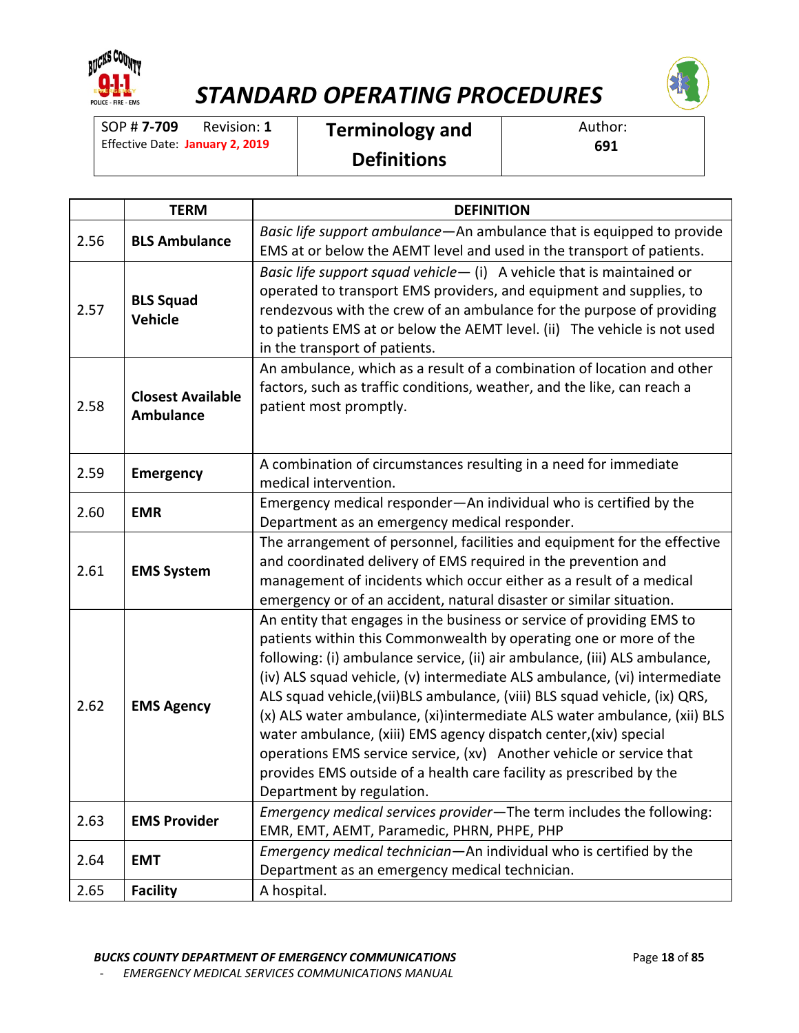



SOP **# 7-709** Revision: 1<br>Effective Date: January 2, 2019

**Terminology and Definitions** 

Author:

 **691** 

|      | <b>TERM</b>                                                                                                                                                                                                                                                                                                                                                                                                                                                                                                                                                                                                                                                                                                                            | <b>DEFINITION</b>                                                                                                                                                                                                                                                                                                                  |  |
|------|----------------------------------------------------------------------------------------------------------------------------------------------------------------------------------------------------------------------------------------------------------------------------------------------------------------------------------------------------------------------------------------------------------------------------------------------------------------------------------------------------------------------------------------------------------------------------------------------------------------------------------------------------------------------------------------------------------------------------------------|------------------------------------------------------------------------------------------------------------------------------------------------------------------------------------------------------------------------------------------------------------------------------------------------------------------------------------|--|
| 2.56 | <b>BLS Ambulance</b>                                                                                                                                                                                                                                                                                                                                                                                                                                                                                                                                                                                                                                                                                                                   | Basic life support ambulance-An ambulance that is equipped to provide<br>EMS at or below the AEMT level and used in the transport of patients.                                                                                                                                                                                     |  |
| 2.57 | <b>BLS Squad</b><br><b>Vehicle</b>                                                                                                                                                                                                                                                                                                                                                                                                                                                                                                                                                                                                                                                                                                     | Basic life support squad vehicle- (i) A vehicle that is maintained or<br>operated to transport EMS providers, and equipment and supplies, to<br>rendezvous with the crew of an ambulance for the purpose of providing<br>to patients EMS at or below the AEMT level. (ii) The vehicle is not used<br>in the transport of patients. |  |
| 2.58 | <b>Closest Available</b><br><b>Ambulance</b>                                                                                                                                                                                                                                                                                                                                                                                                                                                                                                                                                                                                                                                                                           | An ambulance, which as a result of a combination of location and other<br>factors, such as traffic conditions, weather, and the like, can reach a<br>patient most promptly.                                                                                                                                                        |  |
| 2.59 | <b>Emergency</b>                                                                                                                                                                                                                                                                                                                                                                                                                                                                                                                                                                                                                                                                                                                       | A combination of circumstances resulting in a need for immediate<br>medical intervention.                                                                                                                                                                                                                                          |  |
| 2.60 | <b>EMR</b>                                                                                                                                                                                                                                                                                                                                                                                                                                                                                                                                                                                                                                                                                                                             | Emergency medical responder-An individual who is certified by the<br>Department as an emergency medical responder.                                                                                                                                                                                                                 |  |
| 2.61 | <b>EMS System</b>                                                                                                                                                                                                                                                                                                                                                                                                                                                                                                                                                                                                                                                                                                                      | The arrangement of personnel, facilities and equipment for the effective<br>and coordinated delivery of EMS required in the prevention and<br>management of incidents which occur either as a result of a medical<br>emergency or of an accident, natural disaster or similar situation.                                           |  |
| 2.62 | An entity that engages in the business or service of providing EMS to<br>patients within this Commonwealth by operating one or more of the<br>following: (i) ambulance service, (ii) air ambulance, (iii) ALS ambulance,<br>(iv) ALS squad vehicle, (v) intermediate ALS ambulance, (vi) intermediate<br>ALS squad vehicle, (vii) BLS ambulance, (viii) BLS squad vehicle, (ix) QRS,<br><b>EMS Agency</b><br>(x) ALS water ambulance, (xi)intermediate ALS water ambulance, (xii) BLS<br>water ambulance, (xiii) EMS agency dispatch center, (xiv) special<br>operations EMS service service, (xv) Another vehicle or service that<br>provides EMS outside of a health care facility as prescribed by the<br>Department by regulation. |                                                                                                                                                                                                                                                                                                                                    |  |
| 2.63 | <b>EMS Provider</b>                                                                                                                                                                                                                                                                                                                                                                                                                                                                                                                                                                                                                                                                                                                    | Emergency medical services provider-The term includes the following:<br>EMR, EMT, AEMT, Paramedic, PHRN, PHPE, PHP                                                                                                                                                                                                                 |  |
| 2.64 | <b>EMT</b>                                                                                                                                                                                                                                                                                                                                                                                                                                                                                                                                                                                                                                                                                                                             | Emergency medical technician-An individual who is certified by the<br>Department as an emergency medical technician.                                                                                                                                                                                                               |  |
| 2.65 | <b>Facility</b>                                                                                                                                                                                                                                                                                                                                                                                                                                                                                                                                                                                                                                                                                                                        | A hospital.                                                                                                                                                                                                                                                                                                                        |  |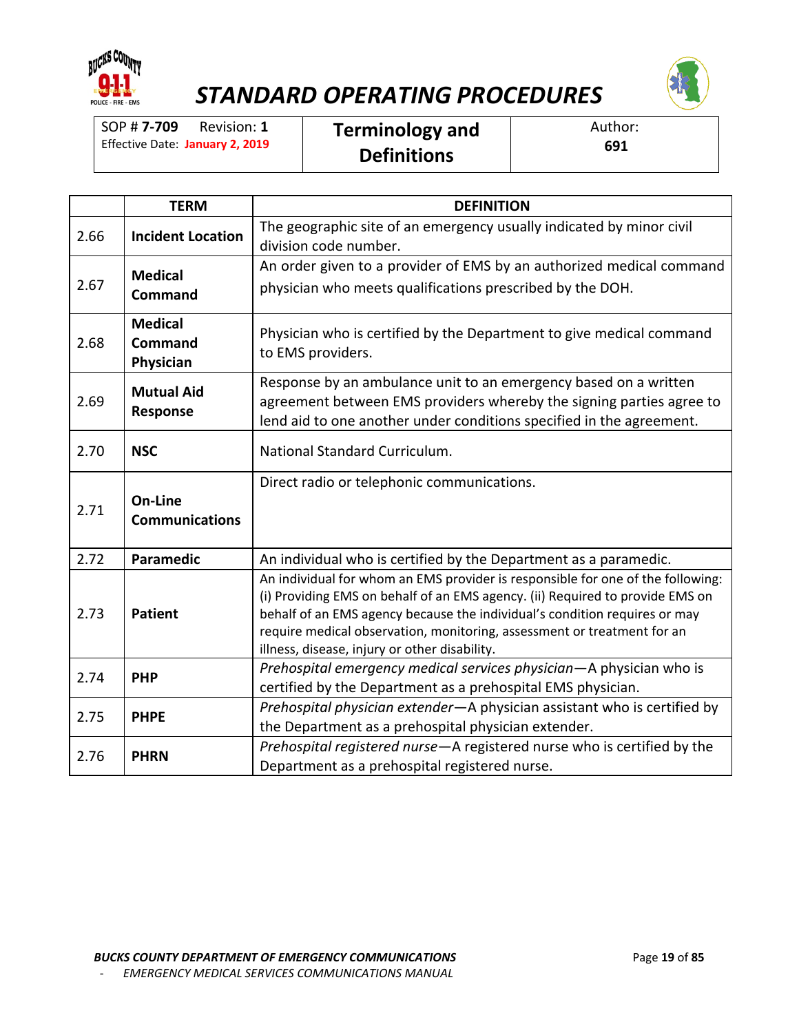



SOP # **7‐709** Revision: **1**

**Terminology and Definitions**

Author:

 **691 TERM DEFINITION** 

| 2.66 | <b>Incident Location</b>                      | The geographic site of an emergency usually indicated by minor civil<br>division code number.                                                                                                                                                                                                                                                                              |  |
|------|-----------------------------------------------|----------------------------------------------------------------------------------------------------------------------------------------------------------------------------------------------------------------------------------------------------------------------------------------------------------------------------------------------------------------------------|--|
| 2.67 | <b>Medical</b><br><b>Command</b>              | An order given to a provider of EMS by an authorized medical command<br>physician who meets qualifications prescribed by the DOH.                                                                                                                                                                                                                                          |  |
| 2.68 | <b>Medical</b><br><b>Command</b><br>Physician | Physician who is certified by the Department to give medical command<br>to EMS providers.                                                                                                                                                                                                                                                                                  |  |
| 2.69 | <b>Mutual Aid</b><br>Response                 | Response by an ambulance unit to an emergency based on a written<br>agreement between EMS providers whereby the signing parties agree to<br>lend aid to one another under conditions specified in the agreement.                                                                                                                                                           |  |
| 2.70 | <b>NSC</b>                                    | National Standard Curriculum.                                                                                                                                                                                                                                                                                                                                              |  |
| 2.71 | On-Line<br><b>Communications</b>              | Direct radio or telephonic communications.                                                                                                                                                                                                                                                                                                                                 |  |
| 2.72 | <b>Paramedic</b>                              | An individual who is certified by the Department as a paramedic.                                                                                                                                                                                                                                                                                                           |  |
| 2.73 | <b>Patient</b>                                | An individual for whom an EMS provider is responsible for one of the following:<br>(i) Providing EMS on behalf of an EMS agency. (ii) Required to provide EMS on<br>behalf of an EMS agency because the individual's condition requires or may<br>require medical observation, monitoring, assessment or treatment for an<br>illness, disease, injury or other disability. |  |
| 2.74 | <b>PHP</b>                                    | Prehospital emergency medical services physician-A physician who is<br>certified by the Department as a prehospital EMS physician.                                                                                                                                                                                                                                         |  |
| 2.75 | <b>PHPE</b>                                   | Prehospital physician extender-A physician assistant who is certified by<br>the Department as a prehospital physician extender.                                                                                                                                                                                                                                            |  |
| 2.76 | <b>PHRN</b>                                   | Prehospital registered nurse-A registered nurse who is certified by the<br>Department as a prehospital registered nurse.                                                                                                                                                                                                                                                   |  |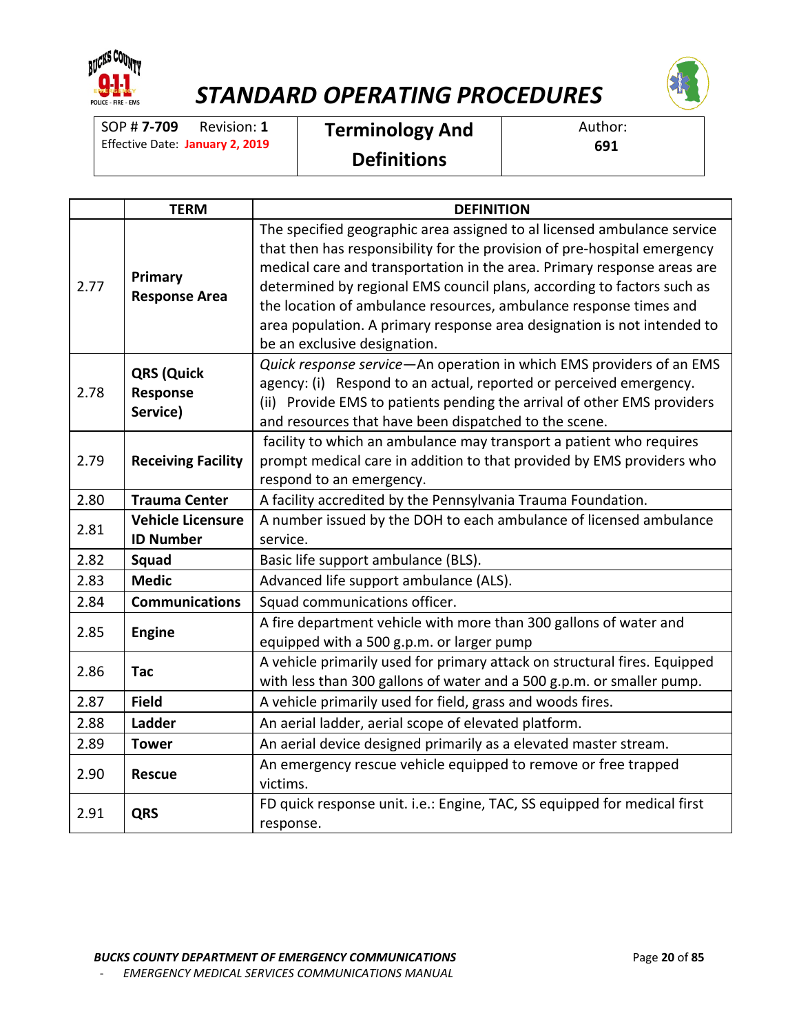



SOP # **7‐709**  Revision: **1**

**Terminology And Definitions**

Author: **691** 

|      | <b>TERM</b>                                                                                                                                                                                                                                                                                                                 | <b>DEFINITION</b>                                                                                                                                                                                                                                                                                                                                                                                                                                                                        |  |
|------|-----------------------------------------------------------------------------------------------------------------------------------------------------------------------------------------------------------------------------------------------------------------------------------------------------------------------------|------------------------------------------------------------------------------------------------------------------------------------------------------------------------------------------------------------------------------------------------------------------------------------------------------------------------------------------------------------------------------------------------------------------------------------------------------------------------------------------|--|
| 2.77 | Primary<br><b>Response Area</b>                                                                                                                                                                                                                                                                                             | The specified geographic area assigned to al licensed ambulance service<br>that then has responsibility for the provision of pre-hospital emergency<br>medical care and transportation in the area. Primary response areas are<br>determined by regional EMS council plans, according to factors such as<br>the location of ambulance resources, ambulance response times and<br>area population. A primary response area designation is not intended to<br>be an exclusive designation. |  |
| 2.78 | Quick response service-An operation in which EMS providers of an EMS<br><b>QRS (Quick</b><br>agency: (i) Respond to an actual, reported or perceived emergency.<br>Response<br>(ii) Provide EMS to patients pending the arrival of other EMS providers<br>Service)<br>and resources that have been dispatched to the scene. |                                                                                                                                                                                                                                                                                                                                                                                                                                                                                          |  |
| 2.79 | facility to which an ambulance may transport a patient who requires<br><b>Receiving Facility</b><br>prompt medical care in addition to that provided by EMS providers who<br>respond to an emergency.                                                                                                                       |                                                                                                                                                                                                                                                                                                                                                                                                                                                                                          |  |
| 2.80 | <b>Trauma Center</b>                                                                                                                                                                                                                                                                                                        | A facility accredited by the Pennsylvania Trauma Foundation.                                                                                                                                                                                                                                                                                                                                                                                                                             |  |
| 2.81 | A number issued by the DOH to each ambulance of licensed ambulance<br><b>Vehicle Licensure</b><br><b>ID Number</b><br>service.                                                                                                                                                                                              |                                                                                                                                                                                                                                                                                                                                                                                                                                                                                          |  |
| 2.82 | Basic life support ambulance (BLS).<br>Squad                                                                                                                                                                                                                                                                                |                                                                                                                                                                                                                                                                                                                                                                                                                                                                                          |  |
| 2.83 | <b>Medic</b>                                                                                                                                                                                                                                                                                                                | Advanced life support ambulance (ALS).                                                                                                                                                                                                                                                                                                                                                                                                                                                   |  |
| 2.84 | <b>Communications</b>                                                                                                                                                                                                                                                                                                       | Squad communications officer.                                                                                                                                                                                                                                                                                                                                                                                                                                                            |  |
| 2.85 | <b>Engine</b>                                                                                                                                                                                                                                                                                                               | A fire department vehicle with more than 300 gallons of water and<br>equipped with a 500 g.p.m. or larger pump                                                                                                                                                                                                                                                                                                                                                                           |  |
| 2.86 | <b>Tac</b>                                                                                                                                                                                                                                                                                                                  | A vehicle primarily used for primary attack on structural fires. Equipped<br>with less than 300 gallons of water and a 500 g.p.m. or smaller pump.                                                                                                                                                                                                                                                                                                                                       |  |
| 2.87 | <b>Field</b>                                                                                                                                                                                                                                                                                                                | A vehicle primarily used for field, grass and woods fires.                                                                                                                                                                                                                                                                                                                                                                                                                               |  |
| 2.88 | <b>Ladder</b>                                                                                                                                                                                                                                                                                                               | An aerial ladder, aerial scope of elevated platform.                                                                                                                                                                                                                                                                                                                                                                                                                                     |  |
| 2.89 | <b>Tower</b><br>An aerial device designed primarily as a elevated master stream.                                                                                                                                                                                                                                            |                                                                                                                                                                                                                                                                                                                                                                                                                                                                                          |  |
| 2.90 | <b>Rescue</b>                                                                                                                                                                                                                                                                                                               | An emergency rescue vehicle equipped to remove or free trapped<br>victims.                                                                                                                                                                                                                                                                                                                                                                                                               |  |
| 2.91 | <b>QRS</b>                                                                                                                                                                                                                                                                                                                  | FD quick response unit. i.e.: Engine, TAC, SS equipped for medical first<br>response.                                                                                                                                                                                                                                                                                                                                                                                                    |  |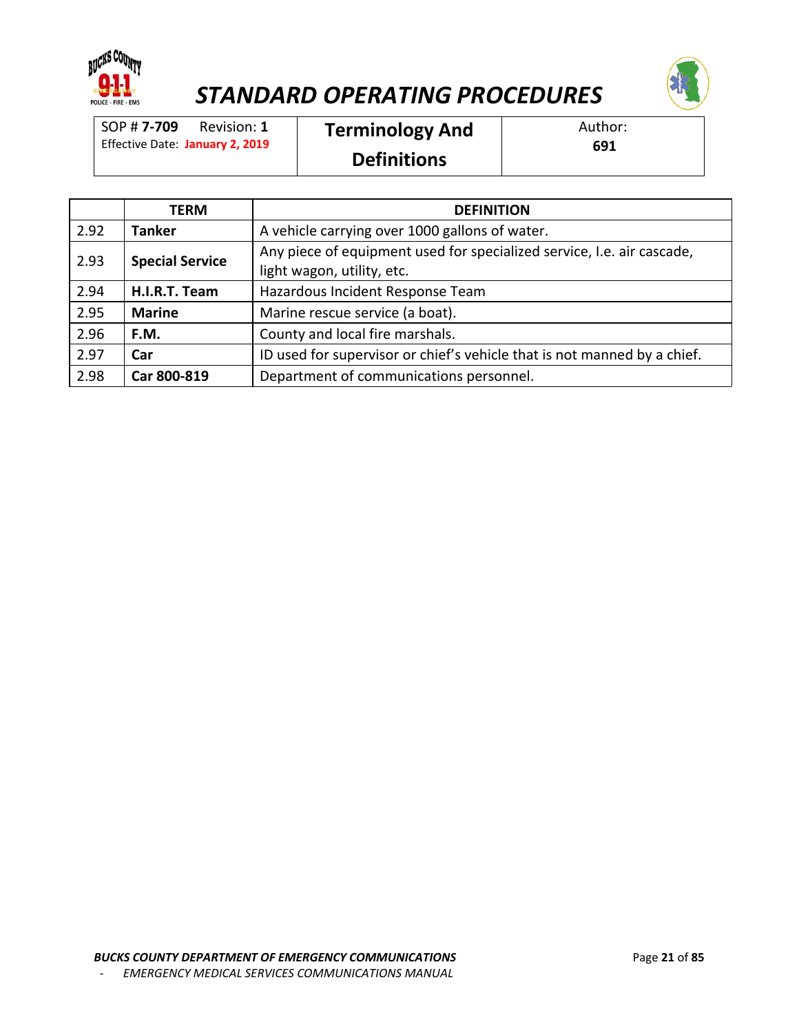



SOP # **7‐709**  Revision: **1**

**Terminology And Definitions**

Author:

**691** 

|      | <b>TERM</b>                                              | <b>DEFINITION</b>                                                        |  |
|------|----------------------------------------------------------|--------------------------------------------------------------------------|--|
| 2.92 | A vehicle carrying over 1000 gallons of water.<br>Tanker |                                                                          |  |
| 2.93 |                                                          | Any piece of equipment used for specialized service, I.e. air cascade,   |  |
|      | <b>Special Service</b>                                   | light wagon, utility, etc.                                               |  |
| 2.94 | H.I.R.T. Team                                            | Hazardous Incident Response Team                                         |  |
| 2.95 | <b>Marine</b>                                            | Marine rescue service (a boat).                                          |  |
| 2.96 | F.M.                                                     | County and local fire marshals.                                          |  |
| 2.97 | Car                                                      | ID used for supervisor or chief's vehicle that is not manned by a chief. |  |
| 2.98 | Car 800-819                                              | Department of communications personnel.                                  |  |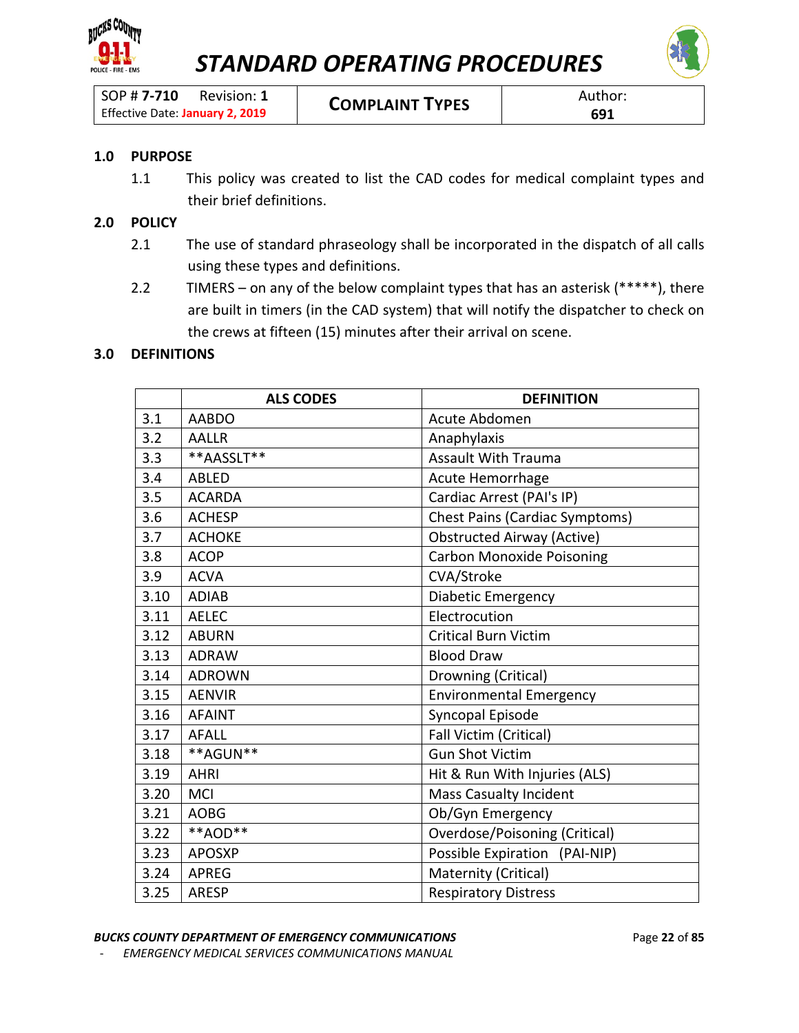



**691** 

SOP # **7‐710**  Revision: **1** SOP # **7-710** Revision: 1 **COMPLAINT TYPES** Author:<br>Effective Date: **January 2, 2019 COMPLAINT TYPES** 

### **1.0 PURPOSE**

1.1 This policy was created to list the CAD codes for medical complaint types and their brief definitions.

### **2.0 POLICY**

- 2.1 The use of standard phraseology shall be incorporated in the dispatch of all calls using these types and definitions.
- 2.2 TIMERS on any of the below complaint types that has an asterisk (\*\*\*\*\*), there are built in timers (in the CAD system) that will notify the dispatcher to check on the crews at fifteen (15) minutes after their arrival on scene.

#### **3.0 DEFINITIONS**

|      | <b>ALS CODES</b> | <b>DEFINITION</b>                     |
|------|------------------|---------------------------------------|
| 3.1  | <b>AABDO</b>     | Acute Abdomen                         |
| 3.2  | <b>AALLR</b>     | Anaphylaxis                           |
| 3.3  | **AASSLT**       | <b>Assault With Trauma</b>            |
| 3.4  | ABLED            | Acute Hemorrhage                      |
| 3.5  | <b>ACARDA</b>    | Cardiac Arrest (PAI's IP)             |
| 3.6  | <b>ACHESP</b>    | <b>Chest Pains (Cardiac Symptoms)</b> |
| 3.7  | <b>ACHOKE</b>    | <b>Obstructed Airway (Active)</b>     |
| 3.8  | <b>ACOP</b>      | Carbon Monoxide Poisoning             |
| 3.9  | <b>ACVA</b>      | CVA/Stroke                            |
| 3.10 | <b>ADIAB</b>     | Diabetic Emergency                    |
| 3.11 | <b>AELEC</b>     | Electrocution                         |
| 3.12 | <b>ABURN</b>     | <b>Critical Burn Victim</b>           |
| 3.13 | <b>ADRAW</b>     | <b>Blood Draw</b>                     |
| 3.14 | <b>ADROWN</b>    | Drowning (Critical)                   |
| 3.15 | <b>AENVIR</b>    | <b>Environmental Emergency</b>        |
| 3.16 | <b>AFAINT</b>    | Syncopal Episode                      |
| 3.17 | <b>AFALL</b>     | Fall Victim (Critical)                |
| 3.18 | **AGUN**         | <b>Gun Shot Victim</b>                |
| 3.19 | <b>AHRI</b>      | Hit & Run With Injuries (ALS)         |
| 3.20 | <b>MCI</b>       | <b>Mass Casualty Incident</b>         |
| 3.21 | <b>AOBG</b>      | Ob/Gyn Emergency                      |
| 3.22 | **AOD**          | Overdose/Poisoning (Critical)         |
| 3.23 | <b>APOSXP</b>    | Possible Expiration (PAI-NIP)         |
| 3.24 | <b>APREG</b>     | Maternity (Critical)                  |
| 3.25 | <b>ARESP</b>     | <b>Respiratory Distress</b>           |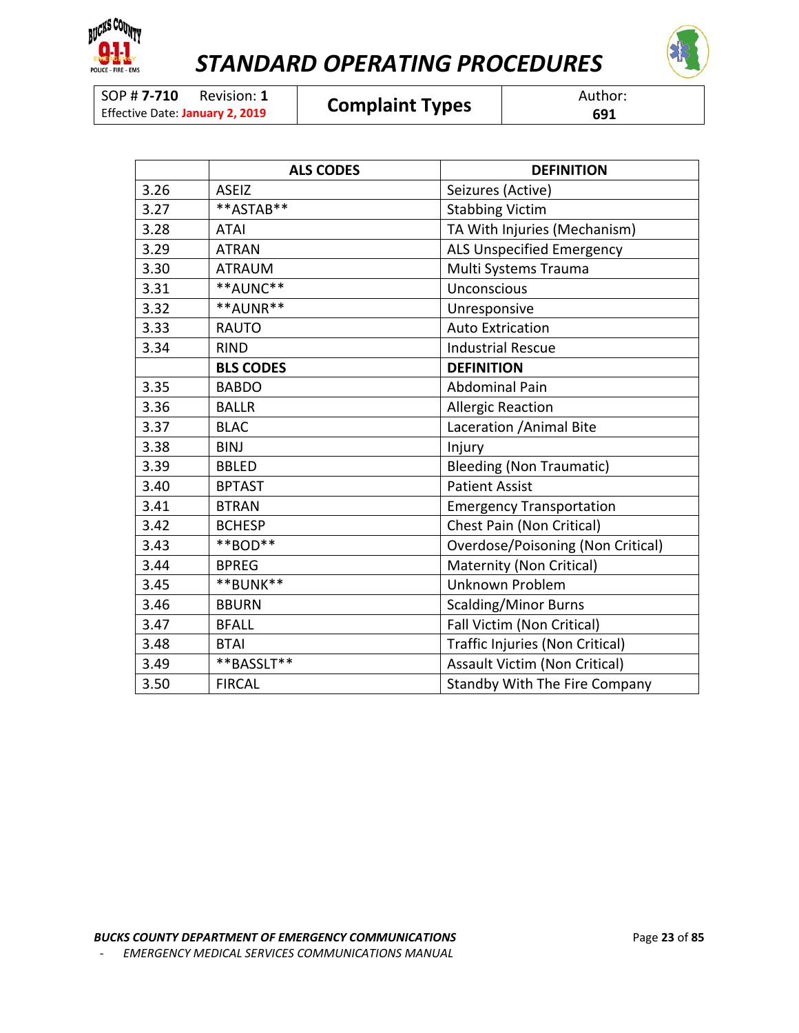

SOP # **7‐710** Revision: **1** SOP # **7-710** Revision: **1 Complaint Types** Author: Effective Date: January 2, 2019

**691** 

|      | <b>ALS CODES</b> | <b>DEFINITION</b>                    |
|------|------------------|--------------------------------------|
| 3.26 | <b>ASEIZ</b>     | Seizures (Active)                    |
| 3.27 | **ASTAB**        | <b>Stabbing Victim</b>               |
| 3.28 | <b>ATAI</b>      | TA With Injuries (Mechanism)         |
| 3.29 | <b>ATRAN</b>     | ALS Unspecified Emergency            |
| 3.30 | <b>ATRAUM</b>    | Multi Systems Trauma                 |
| 3.31 | **AUNC**         | Unconscious                          |
| 3.32 | **AUNR**         | Unresponsive                         |
| 3.33 | <b>RAUTO</b>     | <b>Auto Extrication</b>              |
| 3.34 | <b>RIND</b>      | <b>Industrial Rescue</b>             |
|      | <b>BLS CODES</b> | <b>DEFINITION</b>                    |
| 3.35 | <b>BABDO</b>     | <b>Abdominal Pain</b>                |
| 3.36 | <b>BALLR</b>     | <b>Allergic Reaction</b>             |
| 3.37 | <b>BLAC</b>      | Laceration / Animal Bite             |
| 3.38 | <b>BINJ</b>      | Injury                               |
| 3.39 | <b>BBLED</b>     | <b>Bleeding (Non Traumatic)</b>      |
| 3.40 | <b>BPTAST</b>    | <b>Patient Assist</b>                |
| 3.41 | <b>BTRAN</b>     | <b>Emergency Transportation</b>      |
| 3.42 | <b>BCHESP</b>    | Chest Pain (Non Critical)            |
| 3.43 | **BOD**          | Overdose/Poisoning (Non Critical)    |
| 3.44 | <b>BPREG</b>     | Maternity (Non Critical)             |
| 3.45 | **BUNK**         | Unknown Problem                      |
| 3.46 | <b>BBURN</b>     | <b>Scalding/Minor Burns</b>          |
| 3.47 | <b>BFALL</b>     | Fall Victim (Non Critical)           |
| 3.48 | <b>BTAI</b>      | Traffic Injuries (Non Critical)      |
| 3.49 | **BASSLT**       | <b>Assault Victim (Non Critical)</b> |
| 3.50 | <b>FIRCAL</b>    | <b>Standby With The Fire Company</b> |

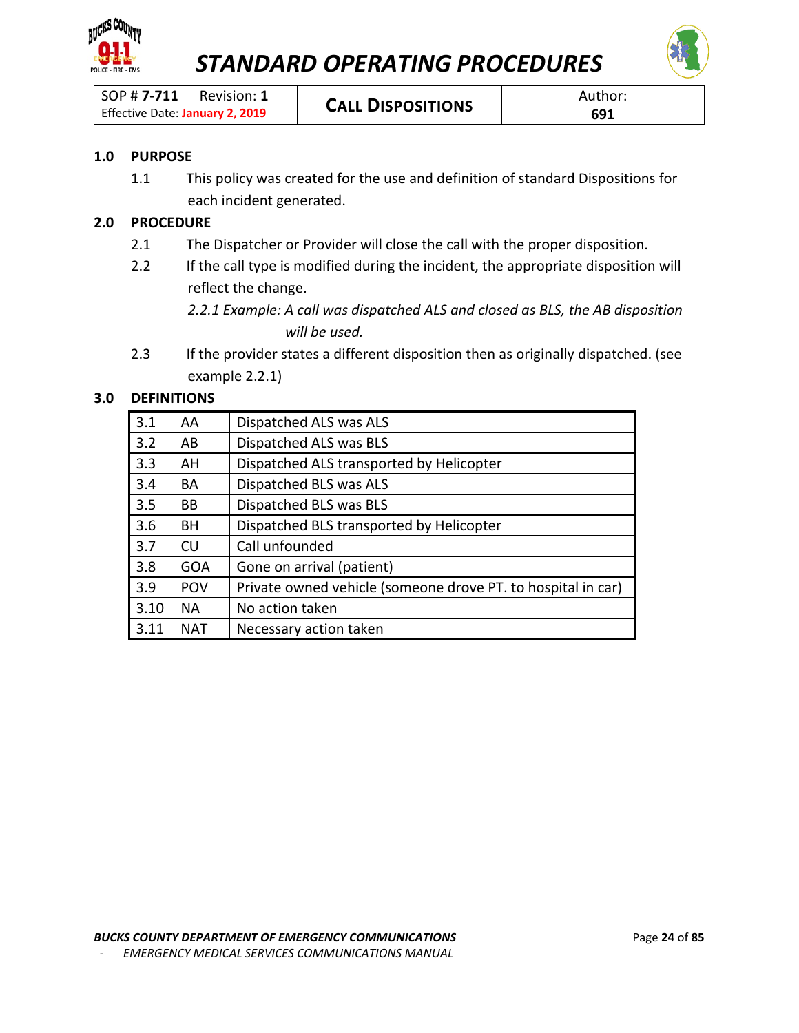



SOP # **7‐711**  Revision: **1** Effective Date: **January 2, 2019 CALL DISPOSITIONS** 

### **1.0 PURPOSE**

1.1 This policy was created for the use and definition of standard Dispositions for each incident generated.

### **2.0 PROCEDURE**

- 2.1 The Dispatcher or Provider will close the call with the proper disposition.
- 2.2 If the call type is modified during the incident, the appropriate disposition will reflect the change.

 *2.2.1 Example: A call was dispatched ALS and closed as BLS, the AB disposition will be used.* 

2.3 If the provider states a different disposition then as originally dispatched. (see example 2.2.1)

### **3.0 DEFINITIONS**

| 3.1  | AA         | Dispatched ALS was ALS                                       |
|------|------------|--------------------------------------------------------------|
| 3.2  | AB         | Dispatched ALS was BLS                                       |
| 3.3  | AH         | Dispatched ALS transported by Helicopter                     |
| 3.4  | BA         | Dispatched BLS was ALS                                       |
| 3.5  | <b>BB</b>  | Dispatched BLS was BLS                                       |
| 3.6  | BH         | Dispatched BLS transported by Helicopter                     |
| 3.7  | CU         | Call unfounded                                               |
| 3.8  | <b>GOA</b> | Gone on arrival (patient)                                    |
| 3.9  | <b>POV</b> | Private owned vehicle (someone drove PT. to hospital in car) |
| 3.10 | <b>NA</b>  | No action taken                                              |
| 3.11 | <b>NAT</b> | Necessary action taken                                       |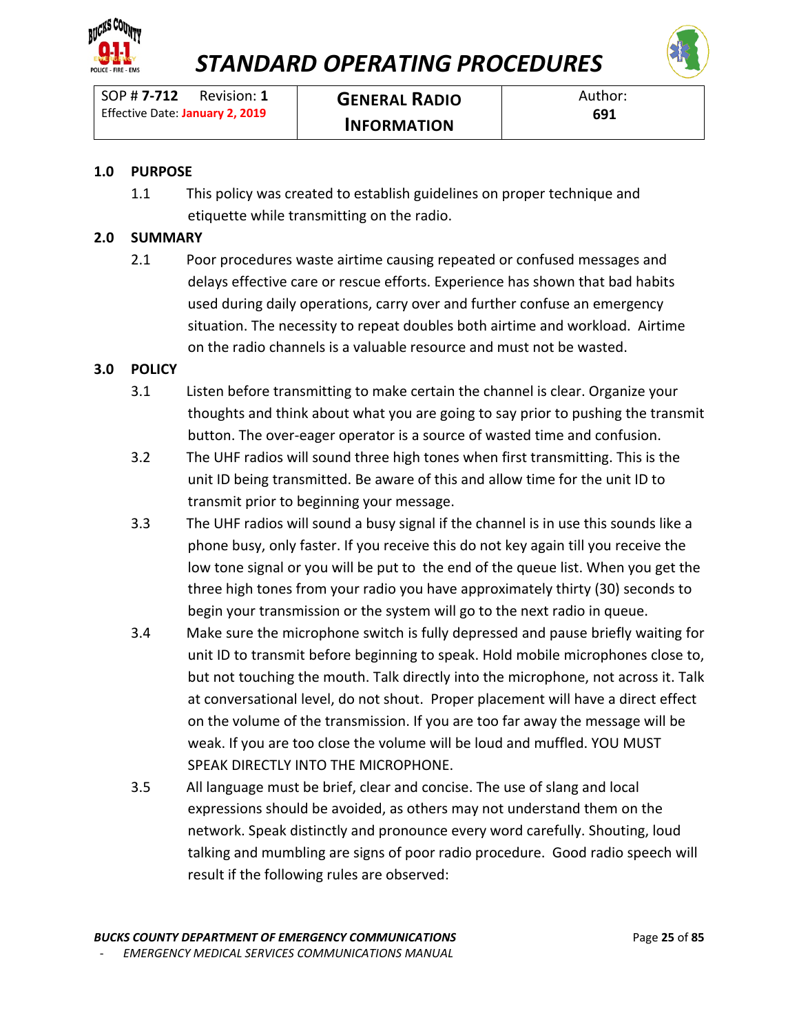

SOP # **7‐712** Revision: **1** Effective Date: **January 2, 2019**



### **1.0 PURPOSE**

1.1 This policy was created to establish guidelines on proper technique and etiquette while transmitting on the radio.

### **2.0 SUMMARY**

2.1 Poor procedures waste airtime causing repeated or confused messages and delays effective care or rescue efforts. Experience has shown that bad habits used during daily operations, carry over and further confuse an emergency situation. The necessity to repeat doubles both airtime and workload. Airtime on the radio channels is a valuable resource and must not be wasted.

### **3.0 POLICY**

- 3.1 Listen before transmitting to make certain the channel is clear. Organize your thoughts and think about what you are going to say prior to pushing the transmit button. The over‐eager operator is a source of wasted time and confusion.
- 3.2 The UHF radios will sound three high tones when first transmitting. This is the unit ID being transmitted. Be aware of this and allow time for the unit ID to transmit prior to beginning your message.
- 3.3 The UHF radios will sound a busy signal if the channel is in use this sounds like a phone busy, only faster. If you receive this do not key again till you receive the low tone signal or you will be put to the end of the queue list. When you get the three high tones from your radio you have approximately thirty (30) seconds to begin your transmission or the system will go to the next radio in queue.
- 3.4 Make sure the microphone switch is fully depressed and pause briefly waiting for unit ID to transmit before beginning to speak. Hold mobile microphones close to, but not touching the mouth. Talk directly into the microphone, not across it. Talk at conversational level, do not shout. Proper placement will have a direct effect on the volume of the transmission. If you are too far away the message will be weak. If you are too close the volume will be loud and muffled. YOU MUST SPEAK DIRECTLY INTO THE MICROPHONE.
- 3.5 All language must be brief, clear and concise. The use of slang and local expressions should be avoided, as others may not understand them on the network. Speak distinctly and pronounce every word carefully. Shouting, loud talking and mumbling are signs of poor radio procedure. Good radio speech will result if the following rules are observed: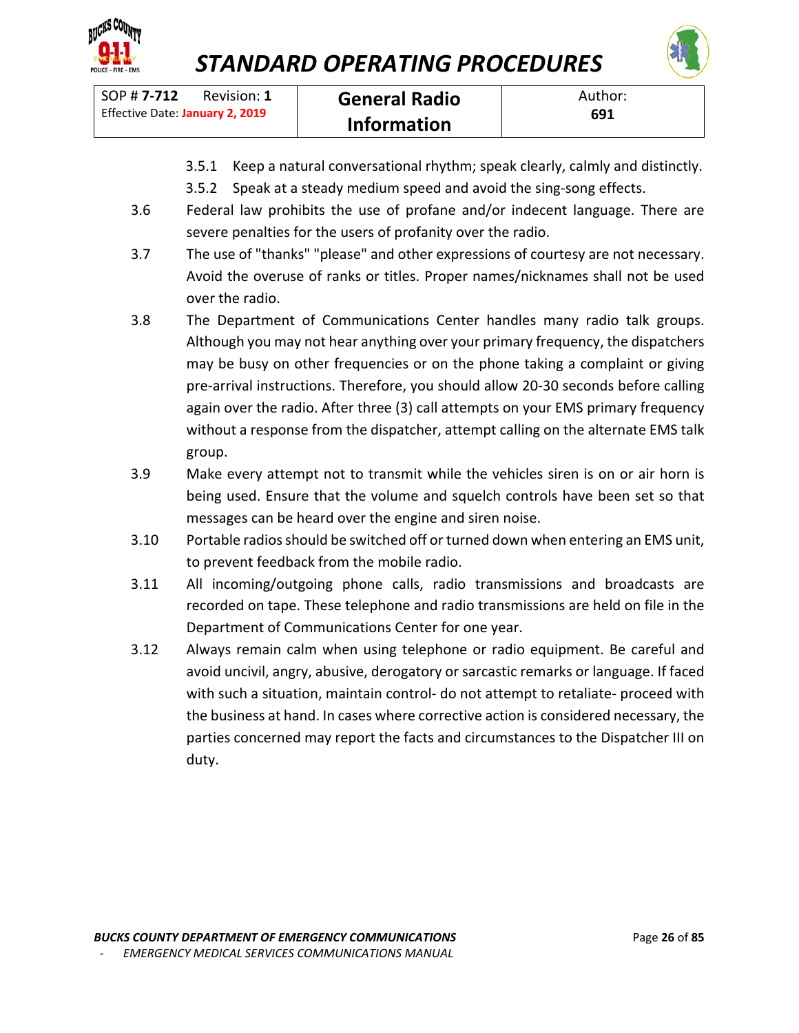



SOP # **7‐712** Revision: **1** Effective Date: **January 2, 2019**

- 3.5.1 Keep a natural conversational rhythm; speak clearly, calmly and distinctly.
- 3.5.2 Speak at a steady medium speed and avoid the sing‐song effects.
- 3.6 Federal law prohibits the use of profane and/or indecent language. There are severe penalties for the users of profanity over the radio.
- 3.7 The use of "thanks" "please" and other expressions of courtesy are not necessary. Avoid the overuse of ranks or titles. Proper names/nicknames shall not be used over the radio.
- 3.8 The Department of Communications Center handles many radio talk groups. Although you may not hear anything over your primary frequency, the dispatchers may be busy on other frequencies or on the phone taking a complaint or giving pre‐arrival instructions. Therefore, you should allow 20‐30 seconds before calling again over the radio. After three (3) call attempts on your EMS primary frequency without a response from the dispatcher, attempt calling on the alternate EMS talk group.
- 3.9 Make every attempt not to transmit while the vehicles siren is on or air horn is being used. Ensure that the volume and squelch controls have been set so that messages can be heard over the engine and siren noise.
- 3.10 Portable radios should be switched off or turned down when entering an EMS unit, to prevent feedback from the mobile radio.
- 3.11 All incoming/outgoing phone calls, radio transmissions and broadcasts are recorded on tape. These telephone and radio transmissions are held on file in the Department of Communications Center for one year.
- 3.12 Always remain calm when using telephone or radio equipment. Be careful and avoid uncivil, angry, abusive, derogatory or sarcastic remarks or language. If faced with such a situation, maintain control-do not attempt to retaliate- proceed with the business at hand. In cases where corrective action is considered necessary, the parties concerned may report the facts and circumstances to the Dispatcher III on duty.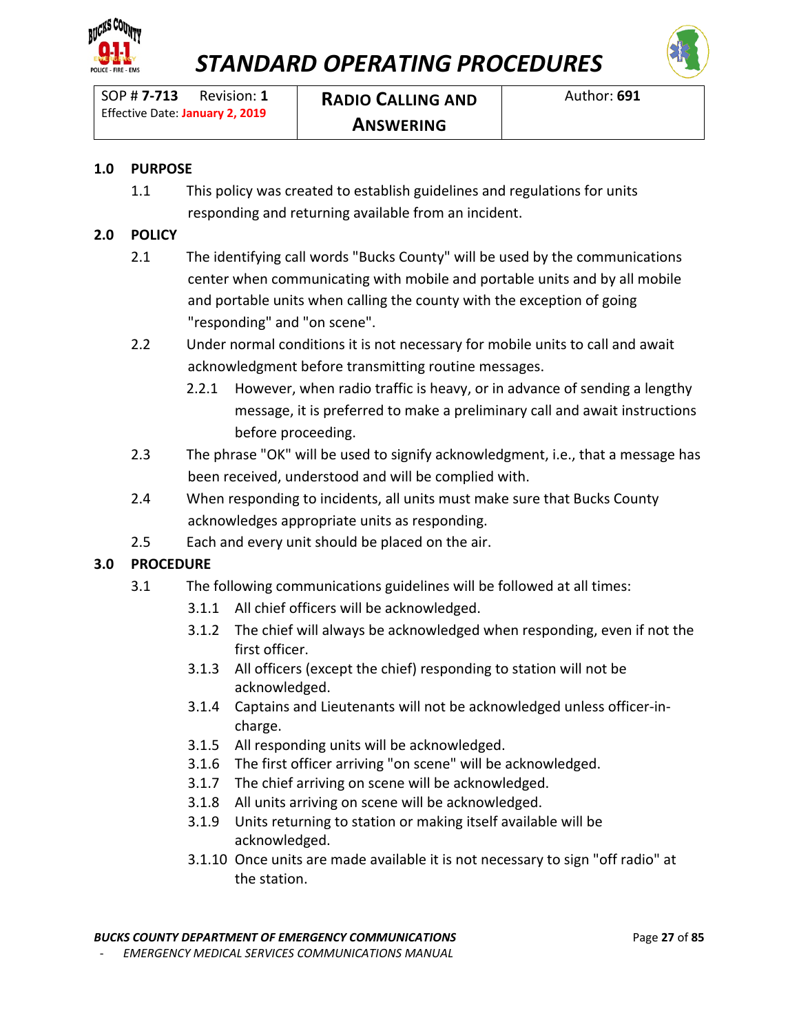

SOP # **7‐713** Revision: **1** Effective Date: **January 2, 2019**



### **1.0 PURPOSE**

1.1 This policy was created to establish guidelines and regulations for units responding and returning available from an incident.

### **2.0 POLICY**

- 2.1 The identifying call words "Bucks County" will be used by the communications center when communicating with mobile and portable units and by all mobile and portable units when calling the county with the exception of going "responding" and "on scene".
- 2.2 Under normal conditions it is not necessary for mobile units to call and await acknowledgment before transmitting routine messages.
	- 2.2.1 However, when radio traffic is heavy, or in advance of sending a lengthy message, it is preferred to make a preliminary call and await instructions before proceeding.
- 2.3 The phrase "OK" will be used to signify acknowledgment, i.e., that a message has been received, understood and will be complied with.
- 2.4 When responding to incidents, all units must make sure that Bucks County acknowledges appropriate units as responding.
- 2.5 Each and every unit should be placed on the air.

### **3.0 PROCEDURE**

- 3.1 The following communications guidelines will be followed at all times:
	- 3.1.1 All chief officers will be acknowledged.
	- 3.1.2 The chief will always be acknowledged when responding, even if not the first officer.
	- 3.1.3 All officers (except the chief) responding to station will not be acknowledged.
	- 3.1.4 Captains and Lieutenants will not be acknowledged unless officer‐in‐ charge.
	- 3.1.5 All responding units will be acknowledged.
	- 3.1.6 The first officer arriving "on scene" will be acknowledged.
	- 3.1.7 The chief arriving on scene will be acknowledged.
	- 3.1.8 All units arriving on scene will be acknowledged.
	- 3.1.9 Units returning to station or making itself available will be acknowledged.
	- 3.1.10 Once units are made available it is not necessary to sign "off radio" at the station.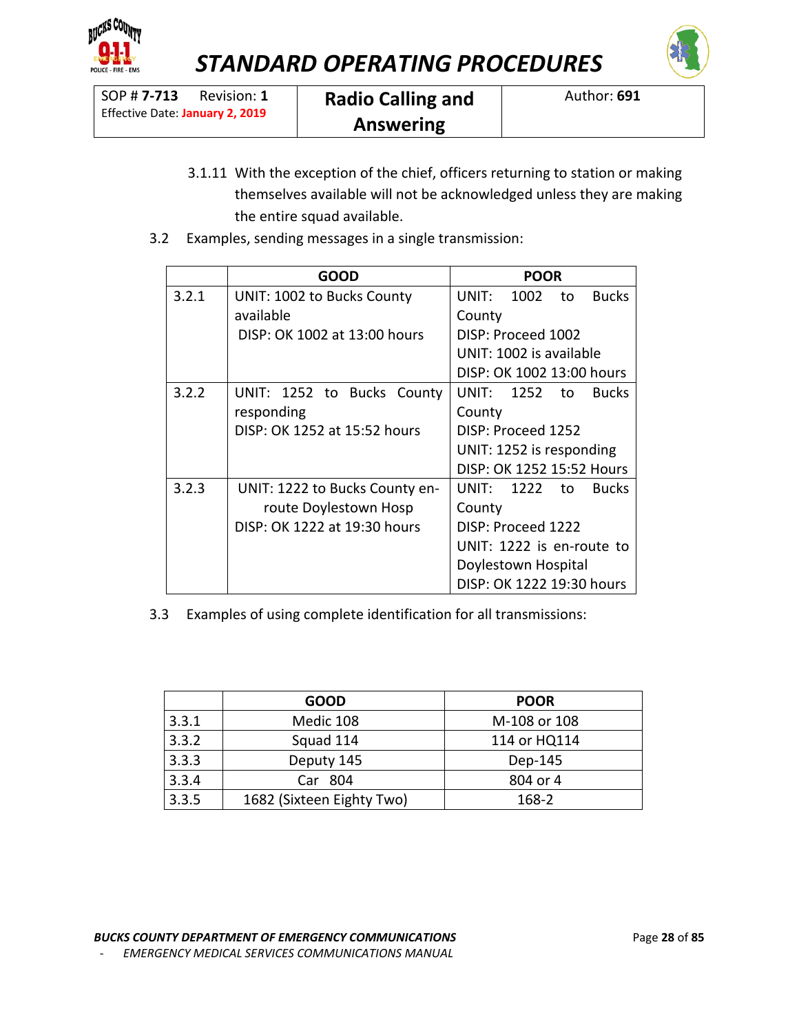





- 3.1.11 With the exception of the chief, officers returning to station or making themselves available will not be acknowledged unless they are making the entire squad available.
- 3.2 Examples, sending messages in a single transmission:

|       | GOOD                           | <b>POOR</b>                         |
|-------|--------------------------------|-------------------------------------|
| 3.2.1 | UNIT: 1002 to Bucks County     | <b>Bucks</b><br>UNIT:<br>1002<br>to |
|       | available                      | County                              |
|       | DISP: OK 1002 at 13:00 hours   | DISP: Proceed 1002                  |
|       |                                | UNIT: 1002 is available             |
|       |                                | DISP: OK 1002 13:00 hours           |
| 3.2.2 | UNIT: 1252 to Bucks County     | 1252<br><b>Bucks</b><br>UNIT:<br>to |
|       | responding                     | County                              |
|       | DISP: OK 1252 at 15:52 hours   | DISP: Proceed 1252                  |
|       |                                | UNIT: 1252 is responding            |
|       |                                | DISP: OK 1252 15:52 Hours           |
| 3.2.3 | UNIT: 1222 to Bucks County en- | 1222<br>UNIT:<br><b>Bucks</b><br>to |
|       | route Doylestown Hosp          | County                              |
|       | DISP: OK 1222 at 19:30 hours   | DISP: Proceed 1222                  |
|       |                                | UNIT: 1222 is en-route to           |
|       |                                | Doylestown Hospital                 |
|       |                                | DISP: OK 1222 19:30 hours           |

3.3 Examples of using complete identification for all transmissions:

|       | <b>GOOD</b>               | <b>POOR</b>  |
|-------|---------------------------|--------------|
| 3.3.1 | Medic 108                 | M-108 or 108 |
| 3.3.2 | Squad 114                 | 114 or HQ114 |
| 3.3.3 | Deputy 145                | Dep-145      |
| 3.3.4 | Car 804                   | 804 or 4     |
| 3.3.5 | 1682 (Sixteen Eighty Two) | 168-2        |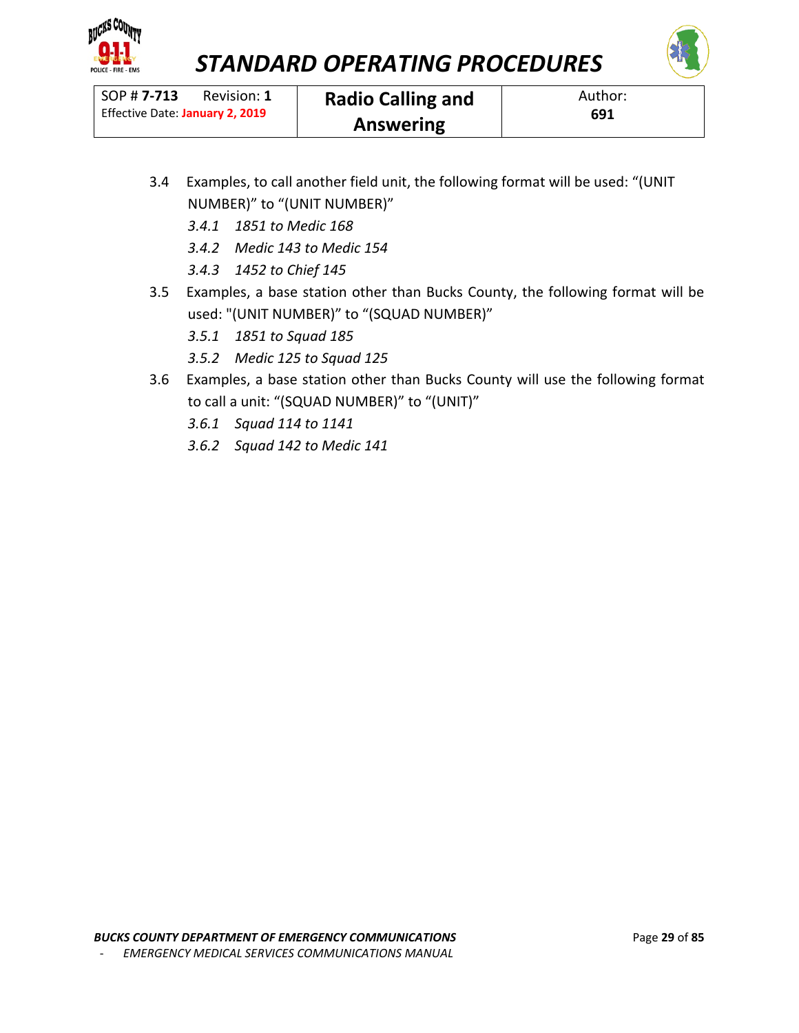



- 3.4 Examples, to call another field unit, the following format will be used: "(UNIT NUMBER)" to "(UNIT NUMBER)"
	- *3.4.1 1851 to Medic 168*
	- *3.4.2 Medic 143 to Medic 154*
	- *3.4.3 1452 to Chief 145*
- 3.5 Examples, a base station other than Bucks County, the following format will be used: "(UNIT NUMBER)" to "(SQUAD NUMBER)"
	- *3.5.1 1851 to Squad 185*
	- *3.5.2 Medic 125 to Squad 125*
- 3.6 Examples, a base station other than Bucks County will use the following format to call a unit: "(SQUAD NUMBER)" to "(UNIT)"
	- *3.6.1 Squad 114 to 1141*
	- *3.6.2 Squad 142 to Medic 141*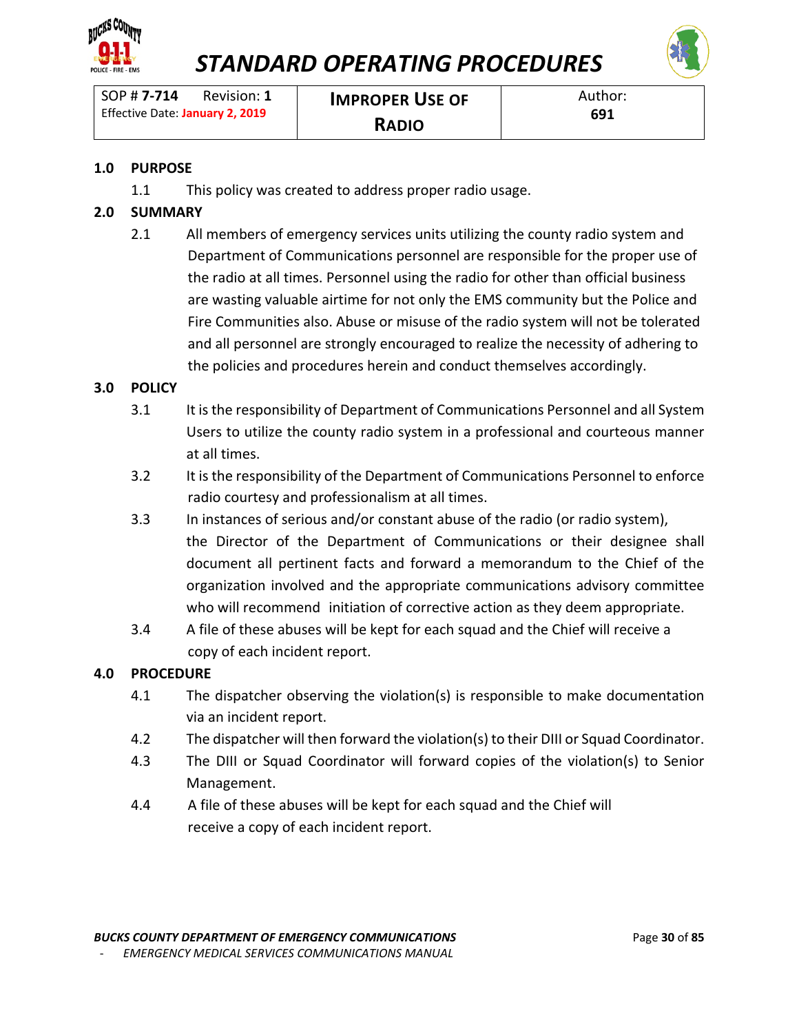

SOP # **7‐714** Revision: **1** Effective Date: **January 2, 2019**

### **1.0 PURPOSE**

1.1 This policy was created to address proper radio usage.

### **2.0 SUMMARY**

2.1 All members of emergency services units utilizing the county radio system and Department of Communications personnel are responsible for the proper use of the radio at all times. Personnel using the radio for other than official business are wasting valuable airtime for not only the EMS community but the Police and Fire Communities also. Abuse or misuse of the radio system will not be tolerated and all personnel are strongly encouraged to realize the necessity of adhering to the policies and procedures herein and conduct themselves accordingly.

### **3.0 POLICY**

- 3.1 It is the responsibility of Department of Communications Personnel and all System Users to utilize the county radio system in a professional and courteous manner at all times.
- 3.2 It is the responsibility of the Department of Communications Personnel to enforce radio courtesy and professionalism at all times.
- 3.3 In instances of serious and/or constant abuse of the radio (or radio system), the Director of the Department of Communications or their designee shall document all pertinent facts and forward a memorandum to the Chief of the organization involved and the appropriate communications advisory committee who will recommend initiation of corrective action as they deem appropriate.
- 3.4 A file of these abuses will be kept for each squad and the Chief will receive a copy of each incident report.

#### **4.0 PROCEDURE**

- 4.1 The dispatcher observing the violation(s) is responsible to make documentation via an incident report.
- 4.2 The dispatcher will then forward the violation(s) to their DIII or Squad Coordinator.
- 4.3 The DIII or Squad Coordinator will forward copies of the violation(s) to Senior Management.
- 4.4 A file of these abuses will be kept for each squad and the Chief will receive a copy of each incident report.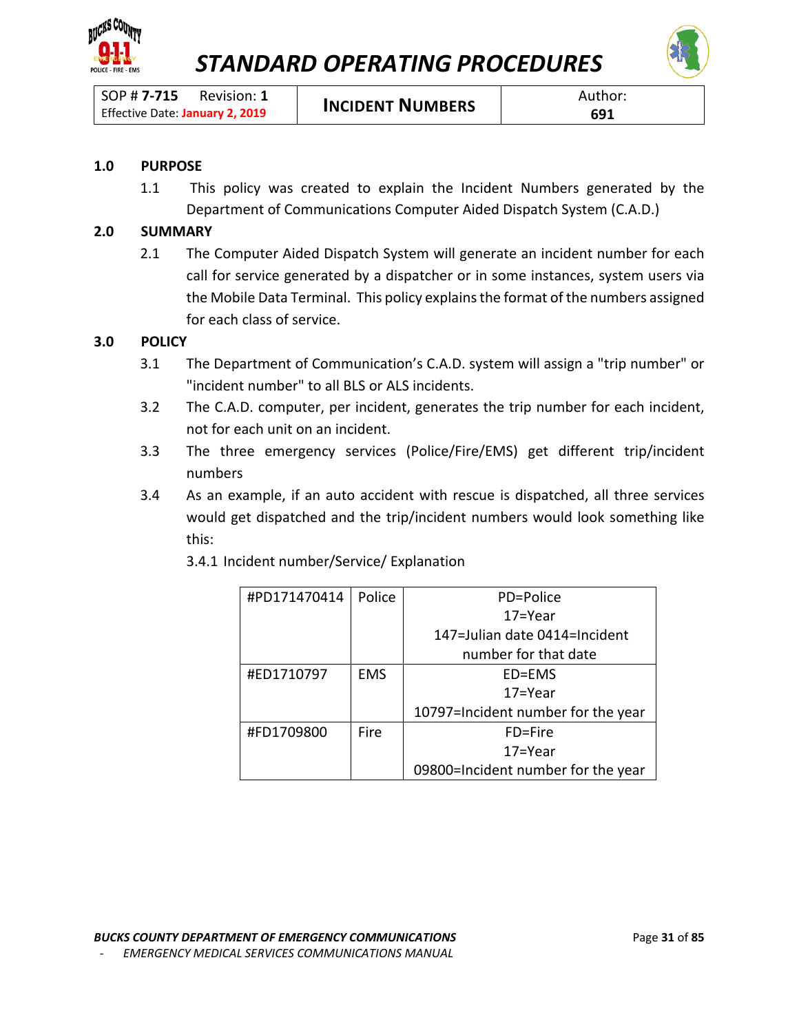



SOP # **7‐715**  Revision: **1** Effective Date: **January 2, 2019 INCIDENT NUMBERS**

### **1.0 PURPOSE**

1.1 This policy was created to explain the Incident Numbers generated by the Department of Communications Computer Aided Dispatch System (C.A.D.)

### **2.0 SUMMARY**

2.1 The Computer Aided Dispatch System will generate an incident number for each call for service generated by a dispatcher or in some instances, system users via the Mobile Data Terminal. This policy explains the format of the numbers assigned for each class of service.

### **3.0 POLICY**

- 3.1 The Department of Communication's C.A.D. system will assign a "trip number" or "incident number" to all BLS or ALS incidents.
- 3.2 The C.A.D. computer, per incident, generates the trip number for each incident, not for each unit on an incident.
- 3.3 The three emergency services (Police/Fire/EMS) get different trip/incident numbers
- 3.4 As an example, if an auto accident with rescue is dispatched, all three services would get dispatched and the trip/incident numbers would look something like this:

|  | 3.4.1 Incident number/Service/ Explanation |  |
|--|--------------------------------------------|--|
|  |                                            |  |

| #PD171470414 | Police     | PD=Police                          |
|--------------|------------|------------------------------------|
|              |            | 17=Year                            |
|              |            | 147=Julian date 0414=Incident      |
|              |            | number for that date               |
| #ED1710797   | <b>EMS</b> | ED=EMS                             |
|              |            | 17=Year                            |
|              |            | 10797=Incident number for the year |
| #FD1709800   | Fire       | FD=Fire                            |
|              |            | 17=Year                            |
|              |            | 09800=Incident number for the year |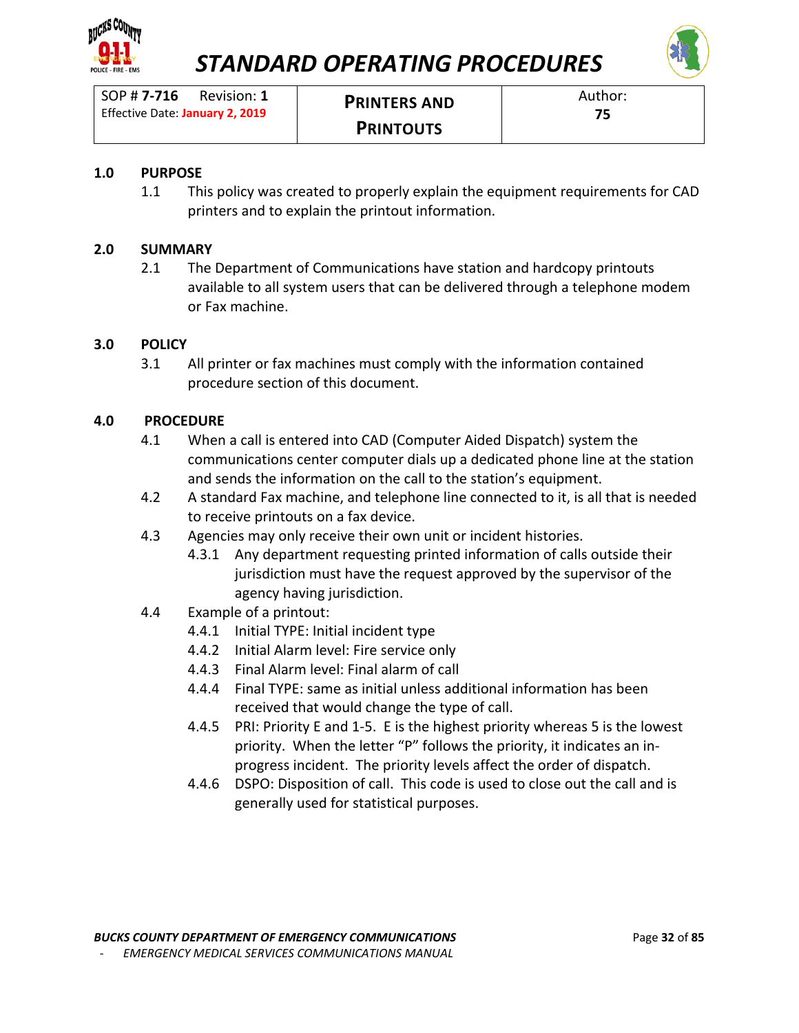



| SOP # $7-716$ Revision: 1       | <b>PRINTERS AND</b> | Author: |
|---------------------------------|---------------------|---------|
| Effective Date: January 2, 2019 |                     |         |
|                                 | <b>PRINTOUTS</b>    |         |

### **1.0 PURPOSE**

1.1 This policy was created to properly explain the equipment requirements for CAD printers and to explain the printout information.

#### **2.0 SUMMARY**

2.1 The Department of Communications have station and hardcopy printouts available to all system users that can be delivered through a telephone modem or Fax machine.

#### **3.0 POLICY**

3.1 All printer or fax machines must comply with the information contained procedure section of this document.

#### **4.0 PROCEDURE**

- 4.1 When a call is entered into CAD (Computer Aided Dispatch) system the communications center computer dials up a dedicated phone line at the station and sends the information on the call to the station's equipment.
- 4.2 A standard Fax machine, and telephone line connected to it, is all that is needed to receive printouts on a fax device.
- 4.3 Agencies may only receive their own unit or incident histories.
	- 4.3.1 Any department requesting printed information of calls outside their jurisdiction must have the request approved by the supervisor of the agency having jurisdiction.
- 4.4 Example of a printout:
	- 4.4.1 Initial TYPE: Initial incident type
	- 4.4.2 Initial Alarm level: Fire service only
	- 4.4.3 Final Alarm level: Final alarm of call
	- 4.4.4 Final TYPE: same as initial unless additional information has been received that would change the type of call.
	- 4.4.5 PRI: Priority E and 1-5. E is the highest priority whereas 5 is the lowest priority. When the letter "P" follows the priority, it indicates an in‐ progress incident. The priority levels affect the order of dispatch.
	- 4.4.6 DSPO: Disposition of call. This code is used to close out the call and is generally used for statistical purposes.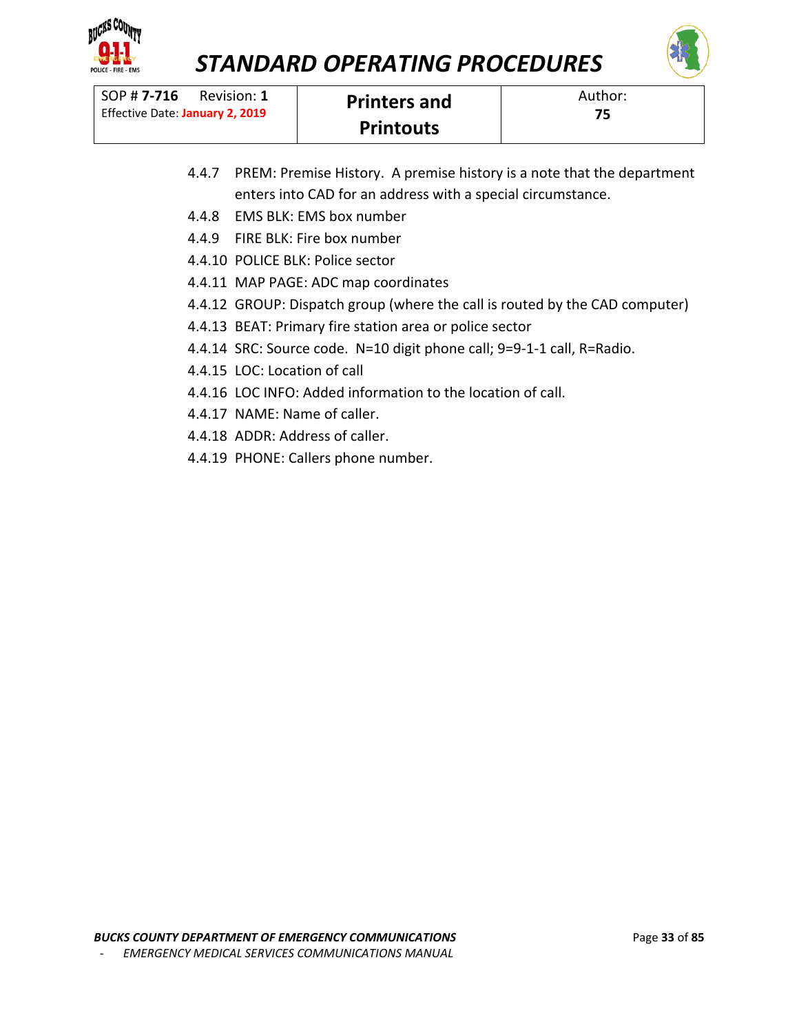



| SOP # 7-716                     | Revision: 1 | <b>Printers and</b> |  |
|---------------------------------|-------------|---------------------|--|
| Effective Date: January 2, 2019 |             |                     |  |
|                                 |             | <b>Printouts</b>    |  |

- 4.4.8 EMS BLK: EMS box number
- 4.4.9 FIRE BLK: Fire box number
- 4.4.10 POLICE BLK: Police sector
- 4.4.11 MAP PAGE: ADC map coordinates
- 4.4.12 GROUP: Dispatch group (where the call is routed by the CAD computer)
- 4.4.13 BEAT: Primary fire station area or police sector
- 4.4.14 SRC: Source code. N=10 digit phone call; 9=9‐1‐1 call, R=Radio.
- 4.4.15 LOC: Location of call
- 4.4.16 LOC INFO: Added information to the location of call.
- 4.4.17 NAME: Name of caller.
- 4.4.18 ADDR: Address of caller.
- 4.4.19 PHONE: Callers phone number.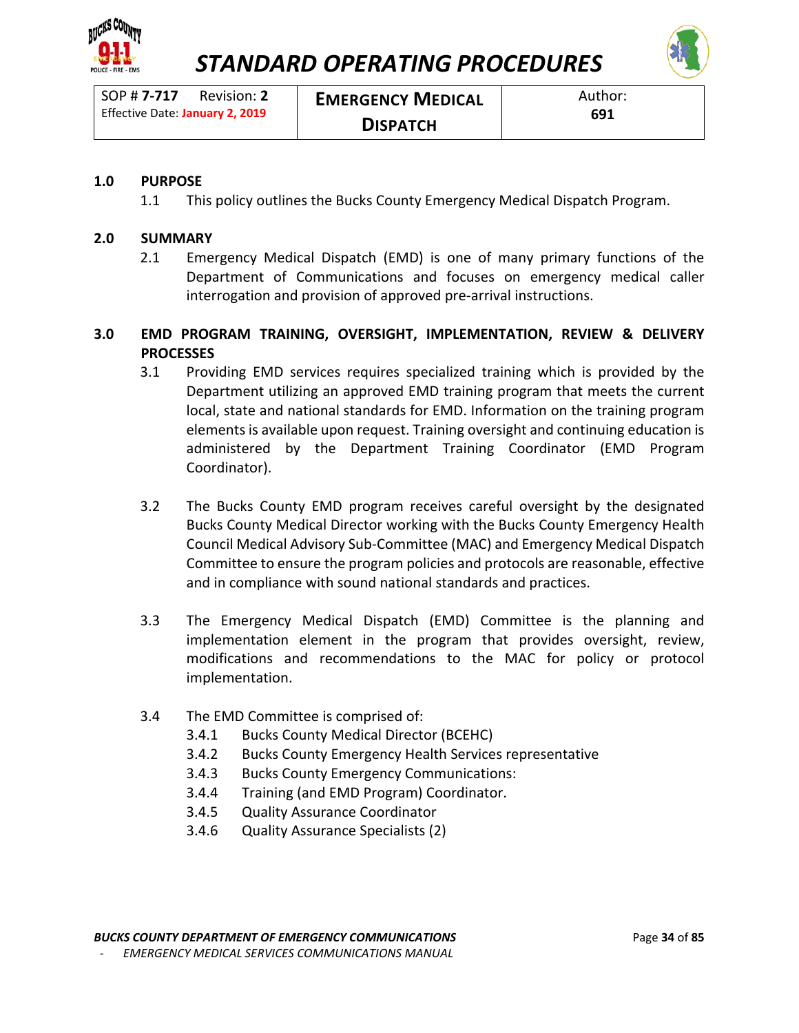



SOP # **7‐717**  Revision: **2** Effective Date: **January 2, 2019**

### **1.0 PURPOSE**

1.1 This policy outlines the Bucks County Emergency Medical Dispatch Program.

### **2.0 SUMMARY**

2.1 Emergency Medical Dispatch (EMD) is one of many primary functions of the Department of Communications and focuses on emergency medical caller interrogation and provision of approved pre‐arrival instructions.

### **3.0 EMD PROGRAM TRAINING, OVERSIGHT, IMPLEMENTATION, REVIEW & DELIVERY PROCESSES**

- 3.1 Providing EMD services requires specialized training which is provided by the Department utilizing an approved EMD training program that meets the current local, state and national standards for EMD. Information on the training program elements is available upon request. Training oversight and continuing education is administered by the Department Training Coordinator (EMD Program Coordinator).
- 3.2 The Bucks County EMD program receives careful oversight by the designated Bucks County Medical Director working with the Bucks County Emergency Health Council Medical Advisory Sub‐Committee (MAC) and Emergency Medical Dispatch Committee to ensure the program policies and protocols are reasonable, effective and in compliance with sound national standards and practices.
- 3.3 The Emergency Medical Dispatch (EMD) Committee is the planning and implementation element in the program that provides oversight, review, modifications and recommendations to the MAC for policy or protocol implementation.
- 3.4 The EMD Committee is comprised of:
	- 3.4.1 Bucks County Medical Director (BCEHC)
	- 3.4.2 Bucks County Emergency Health Services representative
	- 3.4.3 Bucks County Emergency Communications:
	- 3.4.4 Training (and EMD Program) Coordinator.
	- 3.4.5 Quality Assurance Coordinator
	- 3.4.6 Quality Assurance Specialists (2)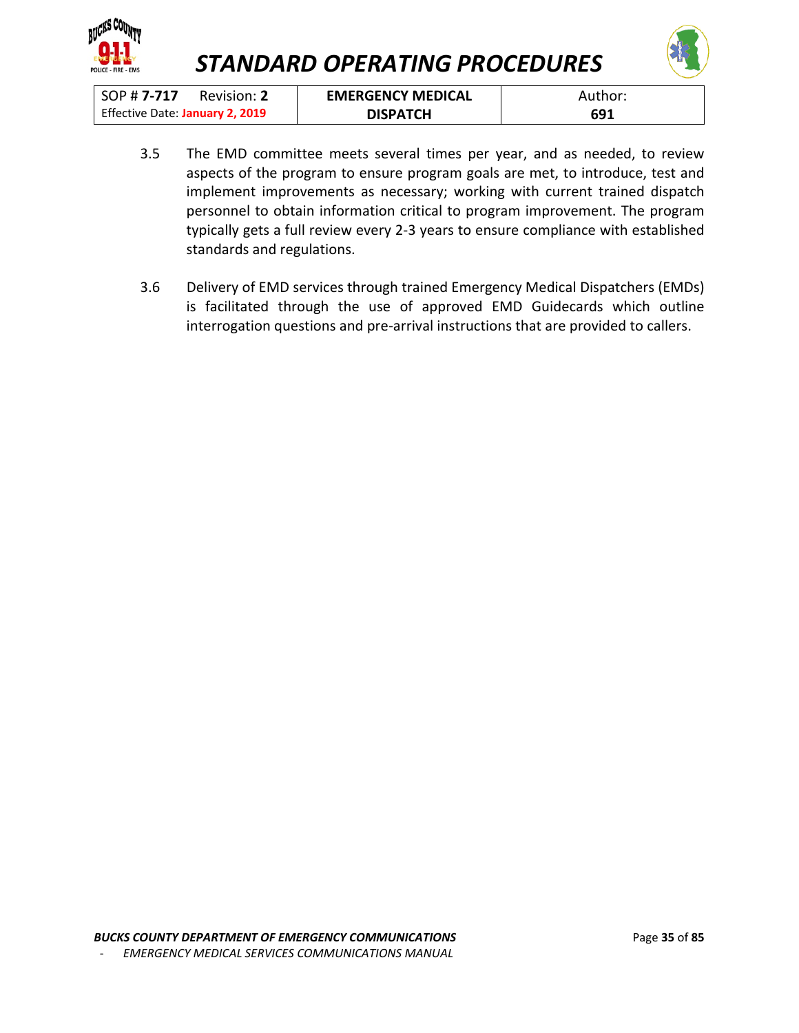



| SOP # $7-717$<br>Revision: 2    | <b>EMERGENCY MEDICAL</b> | Author: |
|---------------------------------|--------------------------|---------|
| Effective Date: January 2, 2019 | <b>DISPATCH</b>          | 691     |

- 3.5 The EMD committee meets several times per year, and as needed, to review aspects of the program to ensure program goals are met, to introduce, test and implement improvements as necessary; working with current trained dispatch personnel to obtain information critical to program improvement. The program typically gets a full review every 2‐3 years to ensure compliance with established standards and regulations.
- 3.6 Delivery of EMD services through trained Emergency Medical Dispatchers (EMDs) is facilitated through the use of approved EMD Guidecards which outline interrogation questions and pre‐arrival instructions that are provided to callers.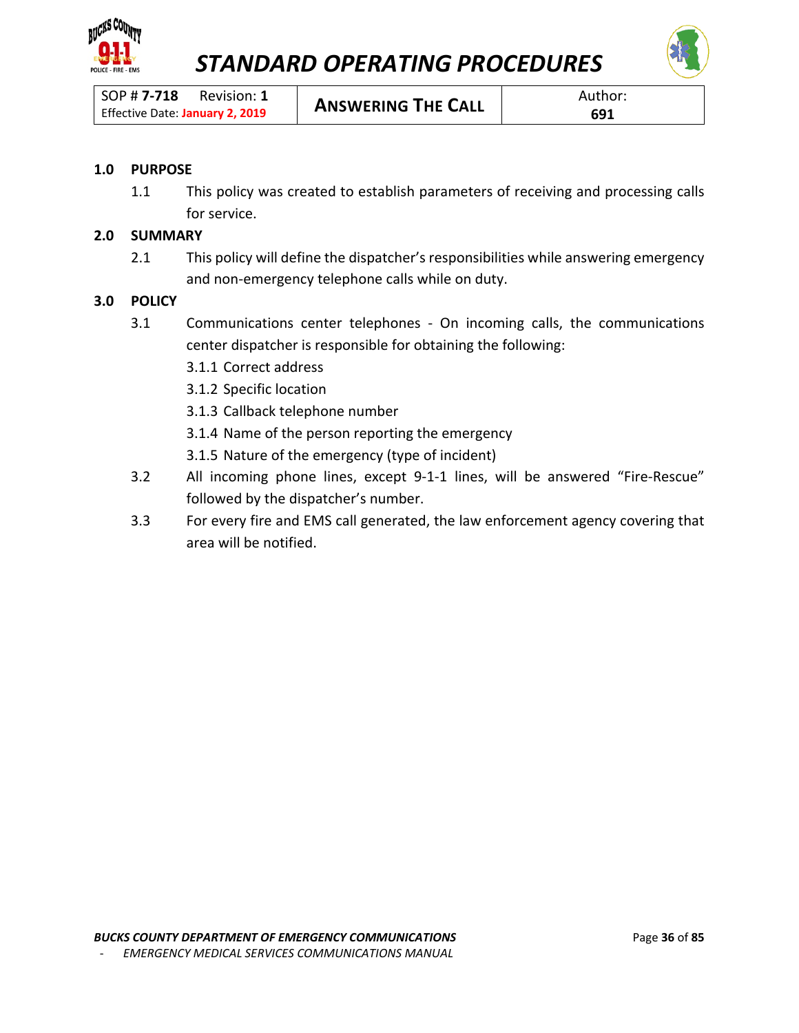



SOP # **7‐718**  Revision: **1** Effective Date: **January 2, 2019 ANSWERING THE CALL** Author: **691** 

### **1.0 PURPOSE**

1.1 This policy was created to establish parameters of receiving and processing calls for service.

#### **2.0 SUMMARY**

2.1 This policy will define the dispatcher's responsibilities while answering emergency and non-emergency telephone calls while on duty.

#### **3.0 POLICY**

- 3.1 Communications center telephones ‐ On incoming calls, the communications center dispatcher is responsible for obtaining the following:
	- 3.1.1 Correct address
	- 3.1.2 Specific location
	- 3.1.3 Callback telephone number
	- 3.1.4 Name of the person reporting the emergency
	- 3.1.5 Nature of the emergency (type of incident)
- 3.2 All incoming phone lines, except 9-1-1 lines, will be answered "Fire-Rescue" followed by the dispatcher's number.
- 3.3 For every fire and EMS call generated, the law enforcement agency covering that area will be notified.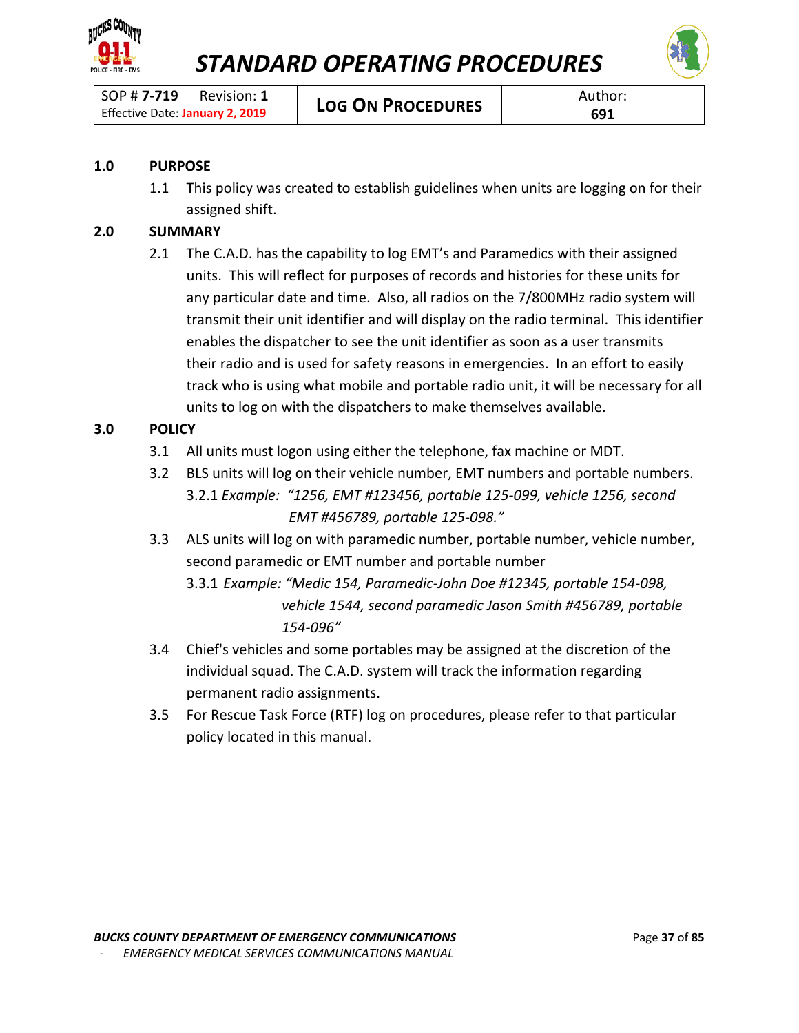



SOP # **7‐719**  Revision: **1** Effective Date: **January 2, 2019 LOG ON PROCEDURES** 

## **1.0 PURPOSE**

1.1 This policy was created to establish guidelines when units are logging on for their assigned shift.

## **2.0 SUMMARY**

2.1 The C.A.D. has the capability to log EMT's and Paramedics with their assigned units. This will reflect for purposes of records and histories for these units for any particular date and time. Also, all radios on the 7/800MHz radio system will transmit their unit identifier and will display on the radio terminal. This identifier enables the dispatcher to see the unit identifier as soon as a user transmits their radio and is used for safety reasons in emergencies. In an effort to easily track who is using what mobile and portable radio unit, it will be necessary for all units to log on with the dispatchers to make themselves available.

## **3.0 POLICY**

- 3.1 All units must logon using either the telephone, fax machine or MDT.
- 3.2 BLS units will log on their vehicle number, EMT numbers and portable numbers. 3.2.1 *Example: "1256, EMT #123456, portable 125‐099, vehicle 1256, second EMT #456789, portable 125‐098."*
- 3.3 ALS units will log on with paramedic number, portable number, vehicle number, second paramedic or EMT number and portable number
	- 3.3.1 *Example: "Medic 154, Paramedic‐John Doe #12345, portable 154‐098, vehicle 1544, second paramedic Jason Smith #456789, portable 154‐096"*
- 3.4 Chief's vehicles and some portables may be assigned at the discretion of the individual squad. The C.A.D. system will track the information regarding permanent radio assignments.
- 3.5 For Rescue Task Force (RTF) log on procedures, please refer to that particular policy located in this manual.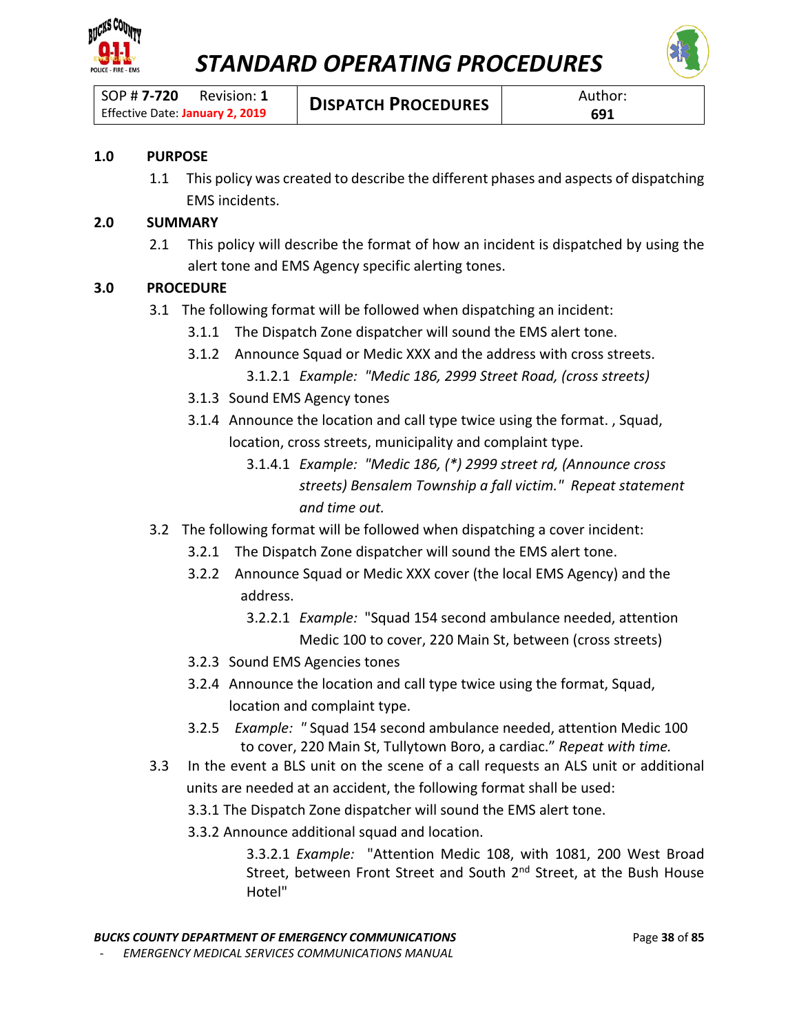



SOP # **7‐720**  Revision: **1** SOP # **7-720** Revision: 1 **DISPATCH PROCEDURES** Author:

## **1.0 PURPOSE**

1.1 This policy was created to describe the different phases and aspects of dispatching EMS incidents.

## **2.0 SUMMARY**

2.1 This policy will describe the format of how an incident is dispatched by using the alert tone and EMS Agency specific alerting tones.

## **3.0 PROCEDURE**

- 3.1 The following format will be followed when dispatching an incident:
	- 3.1.1 The Dispatch Zone dispatcher will sound the EMS alert tone.
	- 3.1.2 Announce Squad or Medic XXX and the address with cross streets.

3.1.2.1 *Example: "Medic 186, 2999 Street Road, (cross streets)* 

- 3.1.3 Sound EMS Agency tones
- 3.1.4 Announce the location and call type twice using the format. , Squad, location, cross streets, municipality and complaint type.
	- 3.1.4.1 *Example: "Medic 186, (\*) 2999 street rd, (Announce cross streets) Bensalem Township a fall victim." Repeat statement and time out.*
- 3.2 The following format will be followed when dispatching a cover incident:
	- 3.2.1 The Dispatch Zone dispatcher will sound the EMS alert tone.
	- 3.2.2 Announce Squad or Medic XXX cover (the local EMS Agency) and the address.
		- 3.2.2.1 *Example:* "Squad 154 second ambulance needed, attention Medic 100 to cover, 220 Main St, between (cross streets)
	- 3.2.3 Sound EMS Agencies tones
	- 3.2.4 Announce the location and call type twice using the format, Squad, location and complaint type.
	- 3.2.5 *Example: "* Squad 154 second ambulance needed, attention Medic 100 to cover, 220 Main St, Tullytown Boro, a cardiac." *Repeat with time.*
- 3.3 In the event a BLS unit on the scene of a call requests an ALS unit or additional units are needed at an accident, the following format shall be used:
	- 3.3.1 The Dispatch Zone dispatcher will sound the EMS alert tone.
	- 3.3.2 Announce additional squad and location.

3.3.2.1 *Example:*  "Attention Medic 108, with 1081, 200 West Broad Street, between Front Street and South 2<sup>nd</sup> Street, at the Bush House Hotel"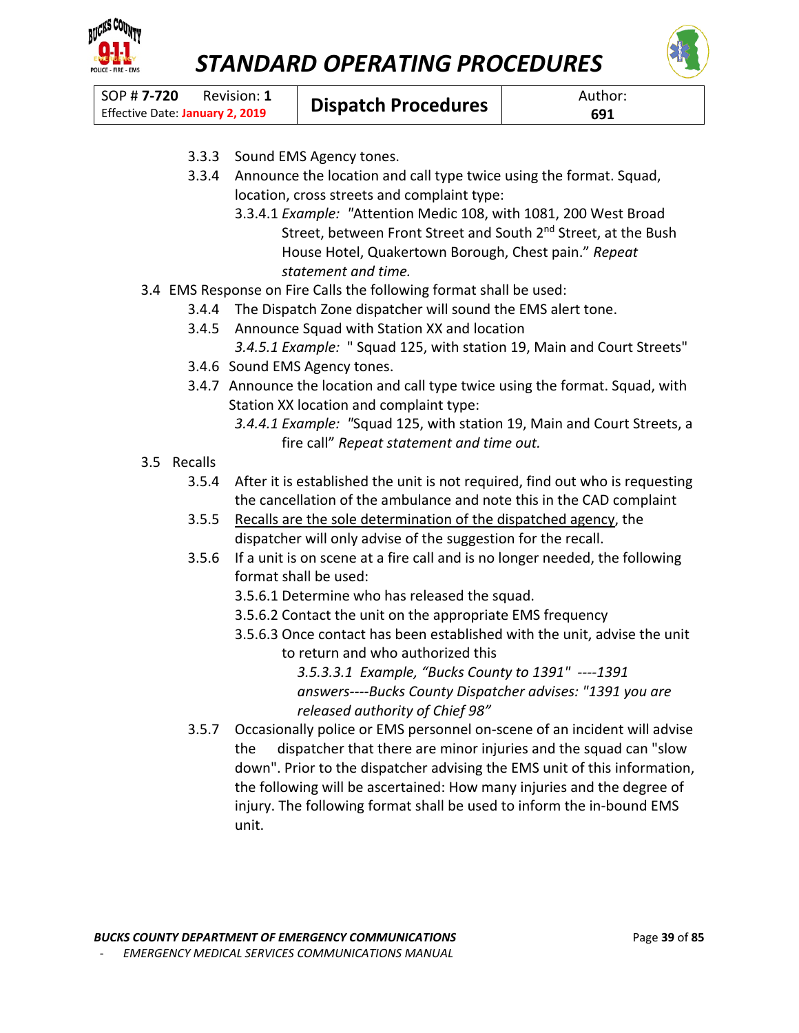



SOP # **7‐720** Revision: **1** SOP # **7-720** Revision: 1 **Dispatch Procedures** Author:

- 3.3.3 Sound EMS Agency tones.
- 3.3.4 Announce the location and call type twice using the format. Squad, location, cross streets and complaint type:
	- 3.3.4.1 *Example: "*Attention Medic 108, with 1081, 200 West Broad Street, between Front Street and South 2<sup>nd</sup> Street, at the Bush House Hotel, Quakertown Borough, Chest pain." *Repeat statement and time.*
- 3.4 EMS Response on Fire Calls the following format shall be used:
	- 3.4.4 The Dispatch Zone dispatcher will sound the EMS alert tone.
	- 3.4.5 Announce Squad with Station XX and location *3.4.5.1 Example:* " Squad 125, with station 19, Main and Court Streets"
	- 3.4.6 Sound EMS Agency tones.
	- 3.4.7 Announce the location and call type twice using the format. Squad, with Station XX location and complaint type:

- 3.5 Recalls
	- 3.5.4 After it is established the unit is not required, find out who is requesting the cancellation of the ambulance and note this in the CAD complaint
	- 3.5.5 Recalls are the sole determination of the dispatched agency, the dispatcher will only advise of the suggestion for the recall.
	- 3.5.6 If a unit is on scene at a fire call and is no longer needed, the following format shall be used:
		- 3.5.6.1 Determine who has released the squad.
		- 3.5.6.2 Contact the unit on the appropriate EMS frequency
		- 3.5.6.3 Once contact has been established with the unit, advise the unit to return and who authorized this
			- *3.5.3.3.1 Example, "Bucks County to 1391" ‐‐‐‐1391 answers‐‐‐‐Bucks County Dispatcher advises: "1391 you are released authority of Chief 98"*
	- 3.5.7 Occasionally police or EMS personnel on‐scene of an incident will advise the dispatcher that there are minor injuries and the squad can "slow down". Prior to the dispatcher advising the EMS unit of this information, the following will be ascertained: How many injuries and the degree of injury. The following format shall be used to inform the in‐bound EMS unit.

 *<sup>3.4.4.1</sup> Example: "*Squad 125, with station 19, Main and Court Streets, a fire call" *Repeat statement and time out.*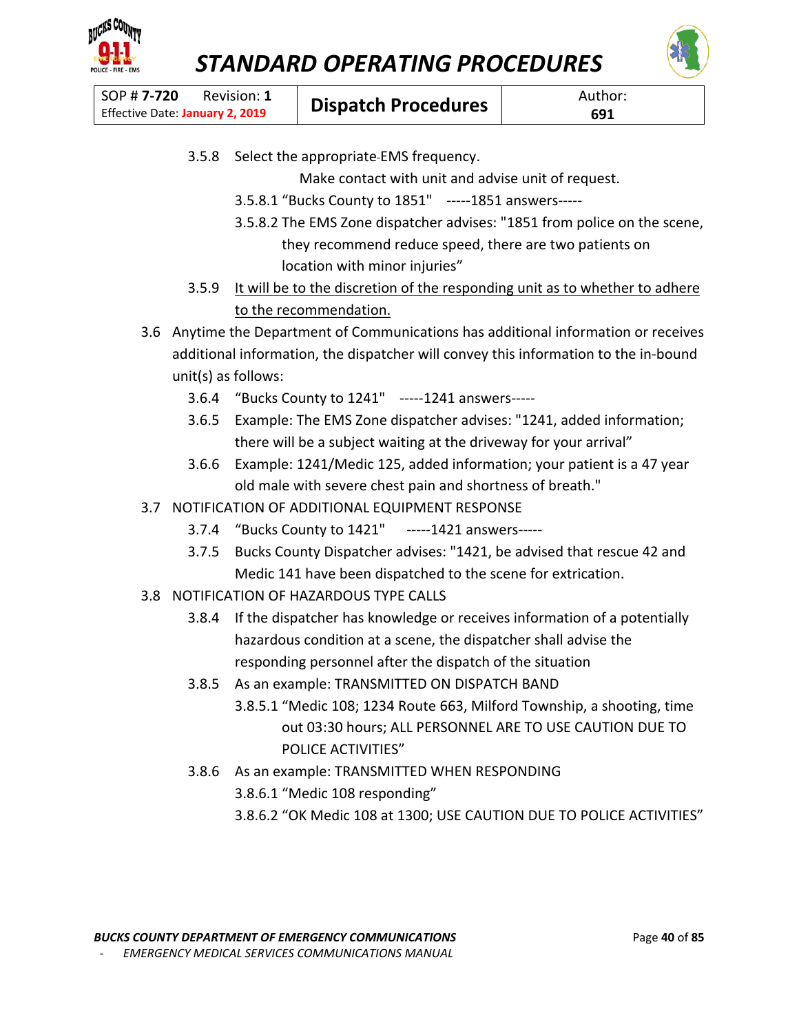



SOP # **7‐720** Revision: **1** SOP # **7-720** Revision: 1 **Dispatch Procedures** Author:

3.5.8 Select the appropriate EMS frequency.

Make contact with unit and advise unit of request.

- 3.5.8.1 "Bucks County to 1851" -----1851 answers-----
- 3.5.8.2 The EMS Zone dispatcher advises: "1851 from police on the scene, they recommend reduce speed, there are two patients on location with minor injuries"
- 3.5.9 It will be to the discretion of the responding unit as to whether to adhere to the recommendation.
- 3.6 Anytime the Department of Communications has additional information or receives additional information, the dispatcher will convey this information to the in‐bound unit(s) as follows:
	- 3.6.4 "Bucks County to 1241" -----1241 answers-----
	- 3.6.5 Example: The EMS Zone dispatcher advises: "1241, added information; there will be a subject waiting at the driveway for your arrival"
	- 3.6.6 Example: 1241/Medic 125, added information; your patient is a 47 year old male with severe chest pain and shortness of breath."
- 3.7 NOTIFICATION OF ADDITIONAL EQUIPMENT RESPONSE
	- 3.7.4 "Bucks County to 1421" -----1421 answers-----
	- 3.7.5 Bucks County Dispatcher advises: "1421, be advised that rescue 42 and Medic 141 have been dispatched to the scene for extrication.
- 3.8 NOTIFICATION OF HAZARDOUS TYPE CALLS
	- 3.8.4 If the dispatcher has knowledge or receives information of a potentially hazardous condition at a scene, the dispatcher shall advise the responding personnel after the dispatch of the situation
	- 3.8.5 As an example: TRANSMITTED ON DISPATCH BAND
		- 3.8.5.1 "Medic 108; 1234 Route 663, Milford Township, a shooting, time out 03:30 hours; ALL PERSONNEL ARE TO USE CAUTION DUE TO POLICE ACTIVITIES"
	- 3.8.6 As an example: TRANSMITTED WHEN RESPONDING

3.8.6.1 "Medic 108 responding"

3.8.6.2 "OK Medic 108 at 1300; USE CAUTION DUE TO POLICE ACTIVITIES"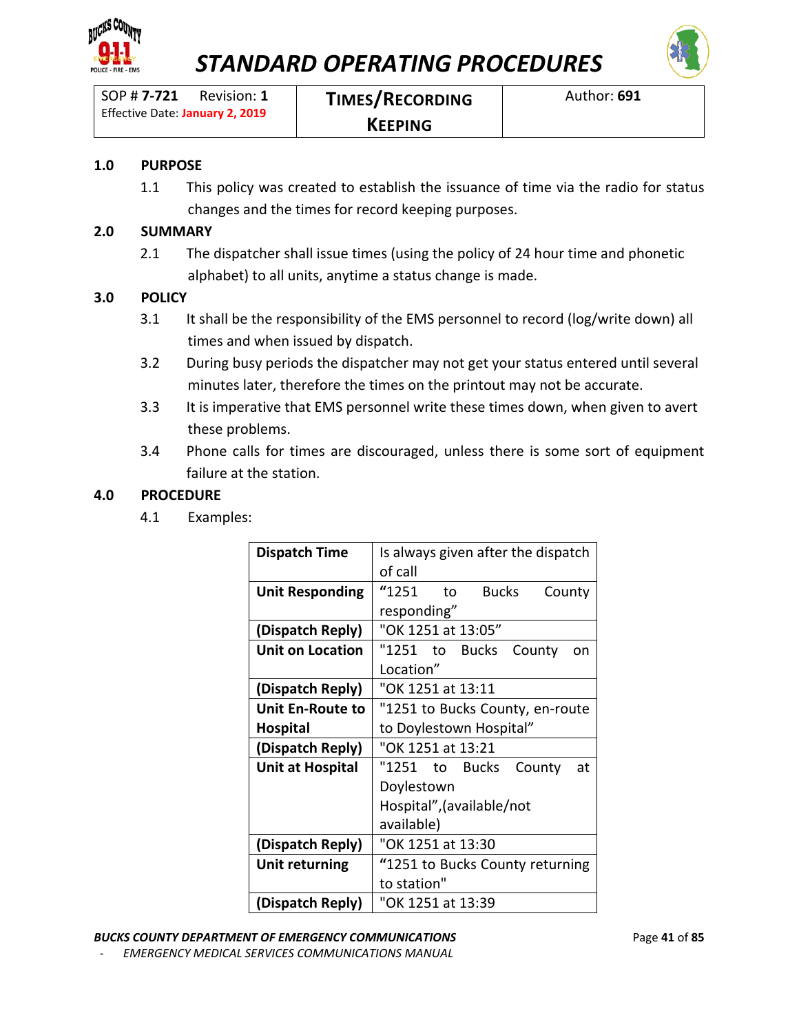



SOP # **7‐721**  Revision: **1** Effective Date: **January 2, 2019**

## **1.0 PURPOSE**

1.1 This policy was created to establish the issuance of time via the radio for status changes and the times for record keeping purposes.

## **2.0 SUMMARY**

2.1 The dispatcher shall issue times (using the policy of 24 hour time and phonetic alphabet) to all units, anytime a status change is made.

## **3.0 POLICY**

- 3.1 It shall be the responsibility of the EMS personnel to record (log/write down) all times and when issued by dispatch.
- 3.2 During busy periods the dispatcher may not get your status entered until several minutes later, therefore the times on the printout may not be accurate.
- 3.3 It is imperative that EMS personnel write these times down, when given to avert these problems.
- 3.4 Phone calls for times are discouraged, unless there is some sort of equipment failure at the station.

## **4.0 PROCEDURE**

4.1 Examples:

| <b>Dispatch Time</b>   | Is always given after the dispatch |  |  |
|------------------------|------------------------------------|--|--|
|                        | of call                            |  |  |
| <b>Unit Responding</b> | "1251<br>Bucks<br>to<br>County     |  |  |
|                        | responding"                        |  |  |
| (Dispatch Reply)       | "OK 1251 at 13:05"                 |  |  |
| Unit on Location       | "1251<br>to Bucks County<br>on     |  |  |
|                        | Location"                          |  |  |
| (Dispatch Reply)       | "OK 1251 at 13:11                  |  |  |
| Unit En-Route to       | "1251 to Bucks County, en-route    |  |  |
| <b>Hospital</b>        | to Doylestown Hospital"            |  |  |
| (Dispatch Reply)       | "OK 1251 at 13:21                  |  |  |
| Unit at Hospital       | "1251 to Bucks County<br>at        |  |  |
|                        | Doylestown                         |  |  |
|                        | Hospital", (available/not          |  |  |
|                        | available)                         |  |  |
| (Dispatch Reply)       | "OK 1251 at 13:30                  |  |  |
| Unit returning         | "1251 to Bucks County returning    |  |  |
|                        | to station"                        |  |  |
| (Dispatch Reply)       | "OK 1251 at 13:39                  |  |  |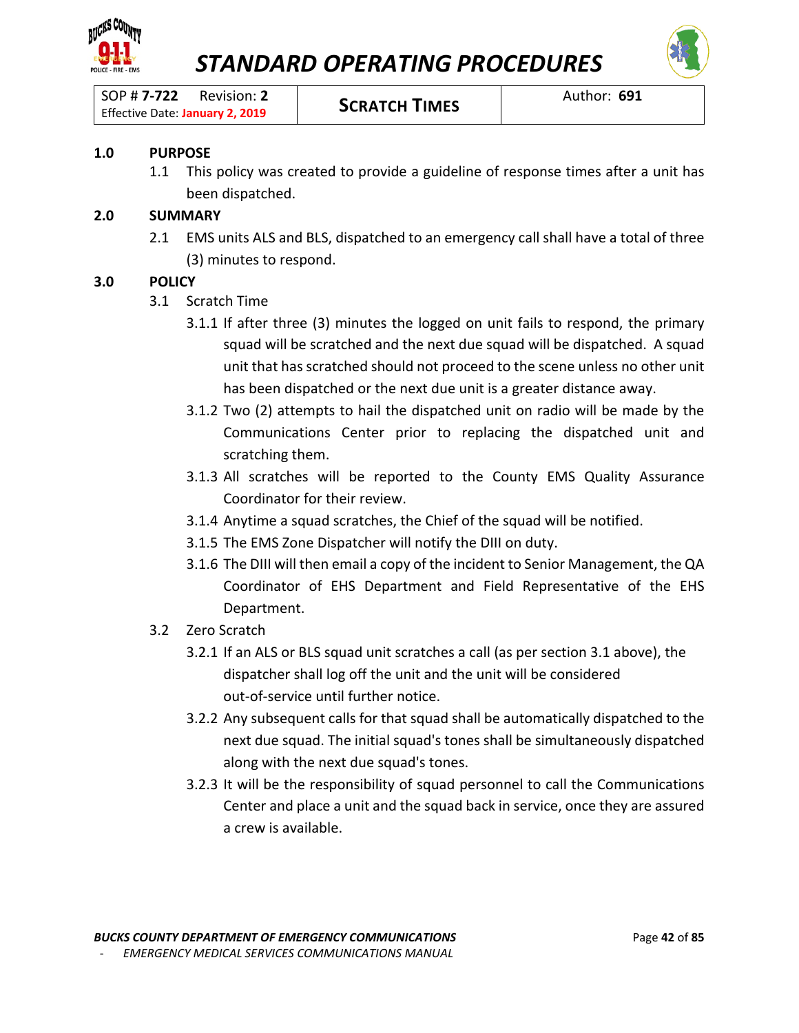



SOP # **7‐722** Revision: **2** Effective Date: **January 2, 2019 SCRATCH TIMES**

## **1.0 PURPOSE**

1.1 This policy was created to provide a guideline of response times after a unit has been dispatched.

## **2.0 SUMMARY**

2.1 EMS units ALS and BLS, dispatched to an emergency call shall have a total of three (3) minutes to respond.

## **3.0 POLICY**

- 3.1 Scratch Time
	- 3.1.1 If after three (3) minutes the logged on unit fails to respond, the primary squad will be scratched and the next due squad will be dispatched. A squad unit that has scratched should not proceed to the scene unless no other unit has been dispatched or the next due unit is a greater distance away.
	- 3.1.2 Two (2) attempts to hail the dispatched unit on radio will be made by the Communications Center prior to replacing the dispatched unit and scratching them.
	- 3.1.3 All scratches will be reported to the County EMS Quality Assurance Coordinator for their review.
	- 3.1.4 Anytime a squad scratches, the Chief of the squad will be notified.
	- 3.1.5 The EMS Zone Dispatcher will notify the DIII on duty.
	- 3.1.6 The DIII will then email a copy of the incident to Senior Management, the QA Coordinator of EHS Department and Field Representative of the EHS Department.
- 3.2 Zero Scratch
	- 3.2.1 If an ALS or BLS squad unit scratches a call (as per section 3.1 above), the dispatcher shall log off the unit and the unit will be considered out‐of‐service until further notice.
	- 3.2.2 Any subsequent calls for that squad shall be automatically dispatched to the next due squad. The initial squad's tones shall be simultaneously dispatched along with the next due squad's tones.
	- 3.2.3 It will be the responsibility of squad personnel to call the Communications Center and place a unit and the squad back in service, once they are assured a crew is available.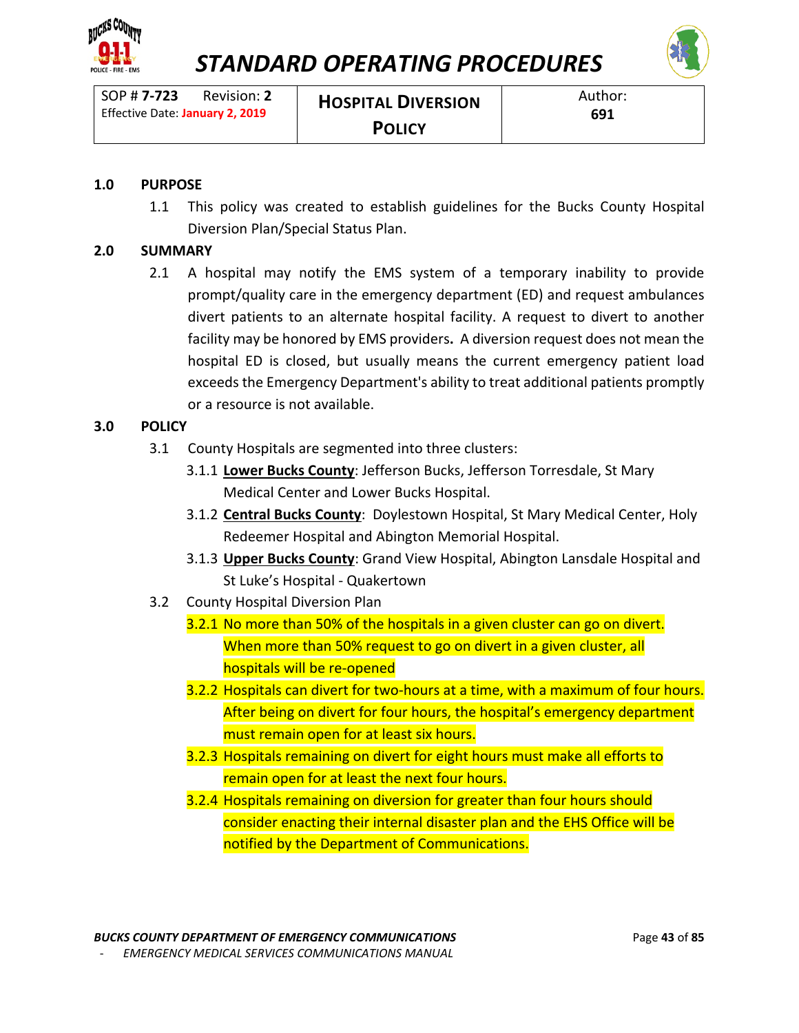

SOP # **7‐723** Revision: **2**  Effective Date: **January 2, 2019 HOSPITAL DIVERSION** 

## **1.0 PURPOSE**

1.1 This policy was created to establish guidelines for the Bucks County Hospital Diversion Plan/Special Status Plan.

## **2.0 SUMMARY**

2.1 A hospital may notify the EMS system of a temporary inability to provide prompt/quality care in the emergency department (ED) and request ambulances divert patients to an alternate hospital facility. A request to divert to another facility may be honored by EMS providers**.** A diversion request does not mean the hospital ED is closed, but usually means the current emergency patient load exceeds the Emergency Department's ability to treat additional patients promptly or a resource is not available.

## **3.0 POLICY**

- 3.1 County Hospitals are segmented into three clusters:
	- 3.1.1 **Lower Bucks County**: Jefferson Bucks, Jefferson Torresdale, St Mary Medical Center and Lower Bucks Hospital.
	- 3.1.2 **Central Bucks County**: Doylestown Hospital, St Mary Medical Center, Holy Redeemer Hospital and Abington Memorial Hospital.
	- 3.1.3 **Upper Bucks County**: Grand View Hospital, Abington Lansdale Hospital and St Luke's Hospital ‐ Quakertown
- 3.2 County Hospital Diversion Plan
	- 3.2.1 No more than 50% of the hospitals in a given cluster can go on divert. When more than 50% request to go on divert in a given cluster, all hospitals will be re‐opened
	- 3.2.2 Hospitals can divert for two-hours at a time, with a maximum of four hours. After being on divert for four hours, the hospital's emergency department must remain open for at least six hours.
	- 3.2.3 Hospitals remaining on divert for eight hours must make all efforts to remain open for at least the next four hours.
	- 3.2.4 Hospitals remaining on diversion for greater than four hours should consider enacting their internal disaster plan and the EHS Office will be notified by the Department of Communications.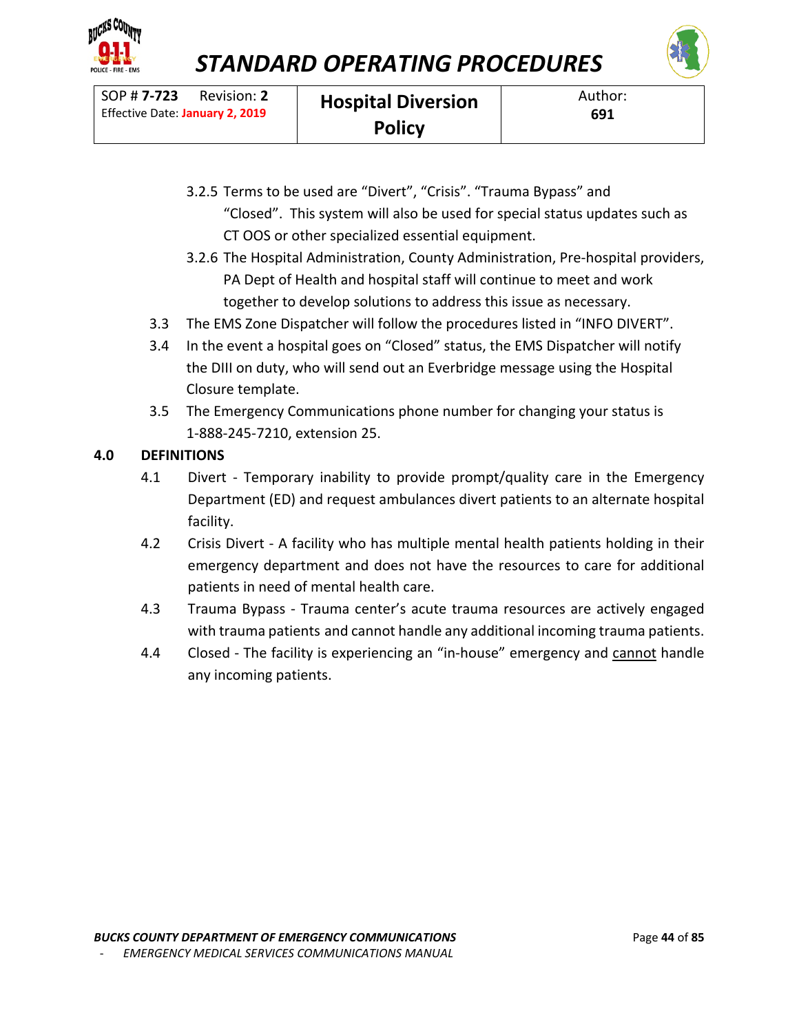

SOP # **7‐723** Revision: **2** Effective Date: **January 2, 2019 Hospital Diversion** 

- 3.2.5 Terms to be used are "Divert", "Crisis". "Trauma Bypass" and "Closed". This system will also be used for special status updates such as CT OOS or other specialized essential equipment.
- 3.2.6 The Hospital Administration, County Administration, Pre‐hospital providers, PA Dept of Health and hospital staff will continue to meet and work together to develop solutions to address this issue as necessary.
- 3.3 The EMS Zone Dispatcher will follow the procedures listed in "INFO DIVERT".
- 3.4 In the event a hospital goes on "Closed" status, the EMS Dispatcher will notify the DIII on duty, who will send out an Everbridge message using the Hospital Closure template.
- 3.5 The Emergency Communications phone number for changing your status is 1‐888‐245‐7210, extension 25.

## **4.0 DEFINITIONS**

- 4.1 Divert Temporary inability to provide prompt/quality care in the Emergency Department (ED) and request ambulances divert patients to an alternate hospital facility.
- 4.2 Crisis Divert A facility who has multiple mental health patients holding in their emergency department and does not have the resources to care for additional patients in need of mental health care.
- 4.3 Trauma Bypass Trauma center's acute trauma resources are actively engaged with trauma patients and cannot handle any additional incoming trauma patients.
- 4.4 Closed ‐ The facility is experiencing an "in‐house" emergency and cannot handle any incoming patients.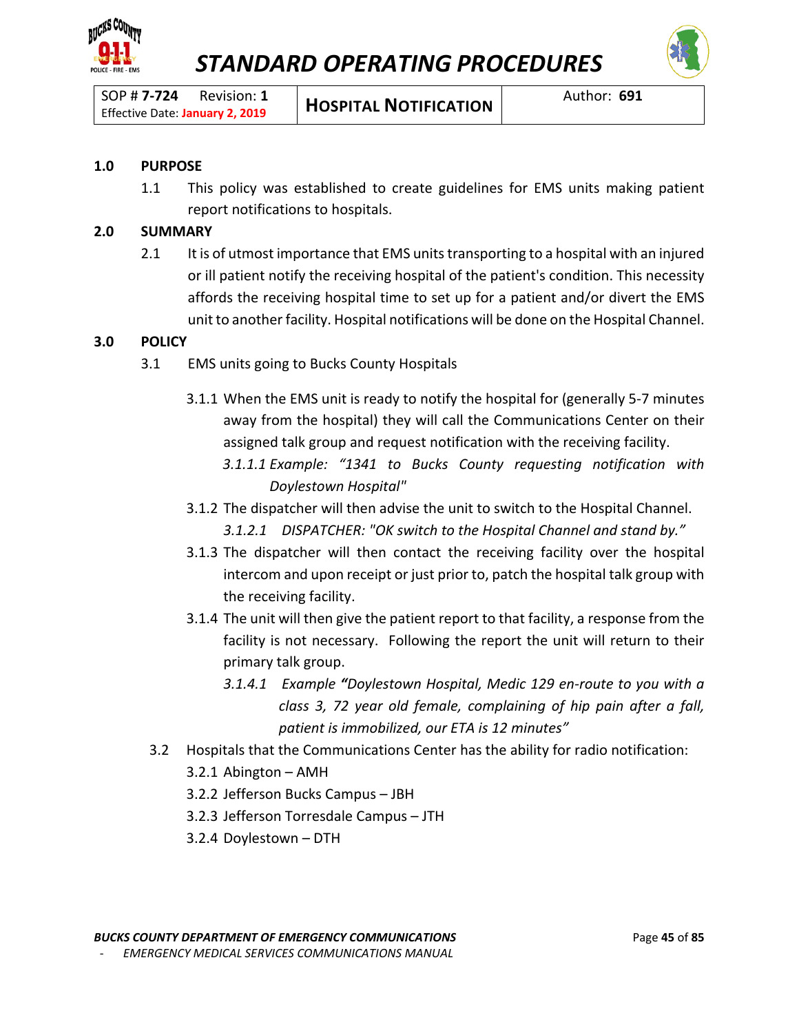

SOP # **7‐724** Revision: **1** Effective Date: **January 2, 2019 HOSPITAL NOTIFICATION** 

## **1.0 PURPOSE**

1.1 This policy was established to create guidelines for EMS units making patient report notifications to hospitals.

#### **2.0 SUMMARY**

2.1 It is of utmost importance that EMS units transporting to a hospital with an injured or ill patient notify the receiving hospital of the patient's condition. This necessity affords the receiving hospital time to set up for a patient and/or divert the EMS unit to another facility. Hospital notifications will be done on the Hospital Channel.

#### **3.0 POLICY**

- 3.1 EMS units going to Bucks County Hospitals
	- 3.1.1 When the EMS unit is ready to notify the hospital for (generally 5‐7 minutes away from the hospital) they will call the Communications Center on their assigned talk group and request notification with the receiving facility. *3.1.1.1 Example: "1341 to Bucks County requesting notification with*

*Doylestown Hospital"*

- 3.1.2 The dispatcher will then advise the unit to switch to the Hospital Channel.
	- *3.1.2.1 DISPATCHER: "OK switch to the Hospital Channel and stand by."*
- 3.1.3 The dispatcher will then contact the receiving facility over the hospital intercom and upon receipt or just prior to, patch the hospital talk group with the receiving facility.
- 3.1.4 The unit will then give the patient report to that facility, a response from the facility is not necessary. Following the report the unit will return to their primary talk group.
	- *3.1.4.1 Example "Doylestown Hospital, Medic 129 en‐route to you with a class 3, 72 year old female, complaining of hip pain after a fall, patient is immobilized, our ETA is 12 minutes"*
- 3.2 Hospitals that the Communications Center has the ability for radio notification:
	- 3.2.1 Abington AMH
	- 3.2.2 Jefferson Bucks Campus JBH
	- 3.2.3 Jefferson Torresdale Campus JTH
	- 3.2.4 Doylestown DTH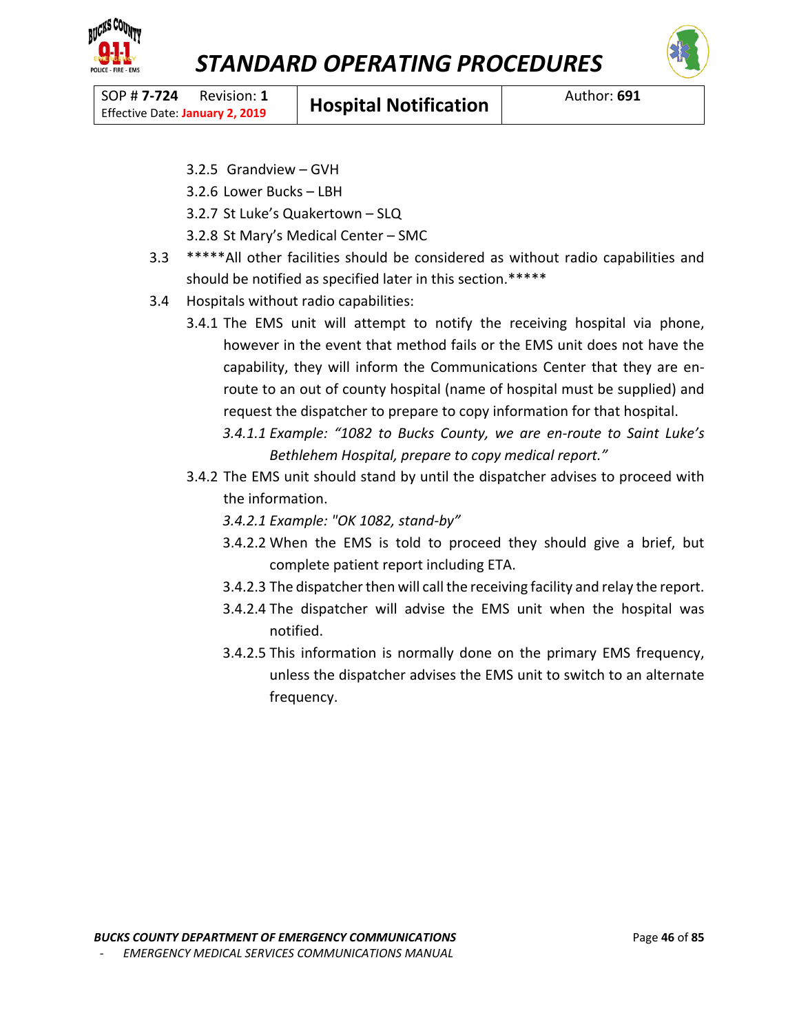

SOP # **7‐724** Revision: **1** SOP # **7-724** Revision: 1 **Hospital Notification**  $\left| \begin{array}{c} \text{Author: } 691 \\ \text{Effective Date: January 2, 2019} \end{array} \right|$ 

- 3.2.5 Grandview GVH
- 3.2.6 Lower Bucks LBH
- 3.2.7 St Luke's Quakertown SLQ
- 3.2.8 St Mary's Medical Center SMC
- 3.3 \*\*\*\*\*All other facilities should be considered as without radio capabilities and should be notified as specified later in this section.\*\*\*\*\*
- 3.4 Hospitals without radio capabilities:
	- 3.4.1 The EMS unit will attempt to notify the receiving hospital via phone, however in the event that method fails or the EMS unit does not have the capability, they will inform the Communications Center that they are en‐ route to an out of county hospital (name of hospital must be supplied) and request the dispatcher to prepare to copy information for that hospital.
		- *3.4.1.1 Example: "1082 to Bucks County, we are en‐route to Saint Luke's Bethlehem Hospital, prepare to copy medical report."*
	- 3.4.2 The EMS unit should stand by until the dispatcher advises to proceed with the information.
		- *3.4.2.1 Example: "OK 1082, stand‐by"*
		- 3.4.2.2 When the EMS is told to proceed they should give a brief, but complete patient report including ETA.
		- 3.4.2.3 The dispatcher then will call the receiving facility and relay the report.
		- 3.4.2.4 The dispatcher will advise the EMS unit when the hospital was notified.
		- 3.4.2.5 This information is normally done on the primary EMS frequency, unless the dispatcher advises the EMS unit to switch to an alternate frequency.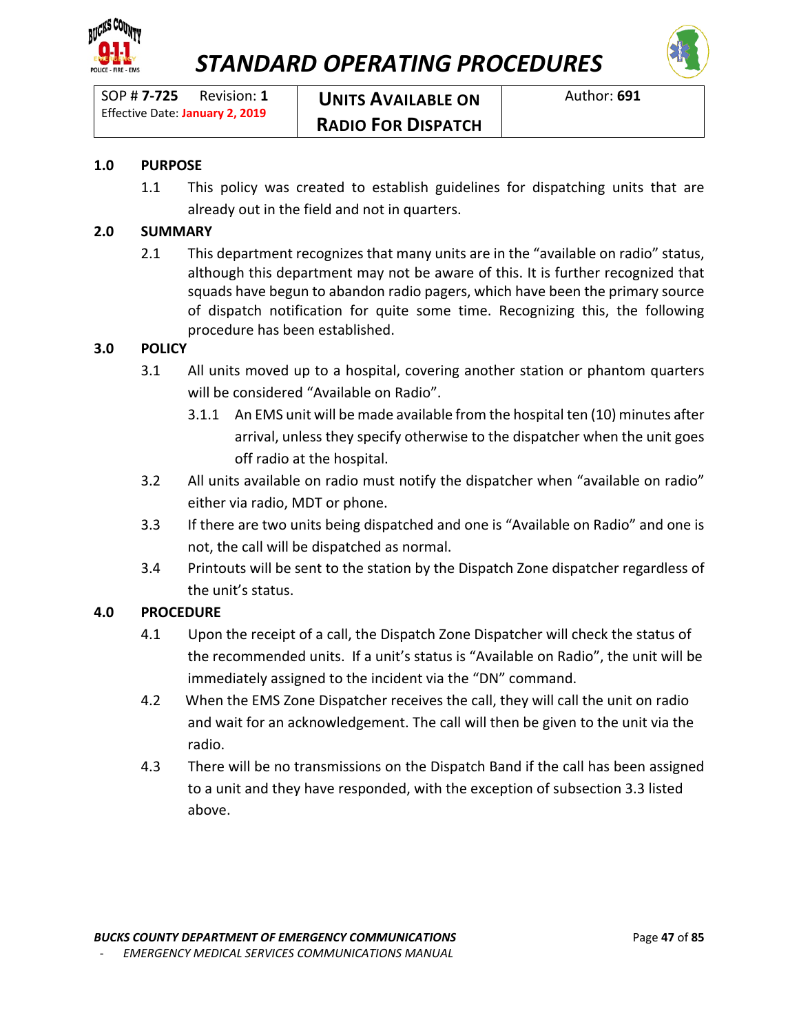

SOP # **7‐725** Revision: **1** Effective Date: **January 2, 2019**

## **1.0 PURPOSE**

1.1 This policy was created to establish guidelines for dispatching units that are already out in the field and not in quarters.

#### **2.0 SUMMARY**

2.1 This department recognizes that many units are in the "available on radio" status, although this department may not be aware of this. It is further recognized that squads have begun to abandon radio pagers, which have been the primary source of dispatch notification for quite some time. Recognizing this, the following procedure has been established.

## **3.0 POLICY**

- 3.1 All units moved up to a hospital, covering another station or phantom quarters will be considered "Available on Radio".
	- 3.1.1 An EMS unit will be made available from the hospital ten (10) minutes after arrival, unless they specify otherwise to the dispatcher when the unit goes off radio at the hospital.
- 3.2 All units available on radio must notify the dispatcher when "available on radio" either via radio, MDT or phone.
- 3.3 If there are two units being dispatched and one is "Available on Radio" and one is not, the call will be dispatched as normal.
- 3.4 Printouts will be sent to the station by the Dispatch Zone dispatcher regardless of the unit's status.

- 4.1 Upon the receipt of a call, the Dispatch Zone Dispatcher will check the status of the recommended units. If a unit's status is "Available on Radio", the unit will be immediately assigned to the incident via the "DN" command.
- 4.2 When the EMS Zone Dispatcher receives the call, they will call the unit on radio and wait for an acknowledgement. The call will then be given to the unit via the radio.
- 4.3 There will be no transmissions on the Dispatch Band if the call has been assigned to a unit and they have responded, with the exception of subsection 3.3 listed above.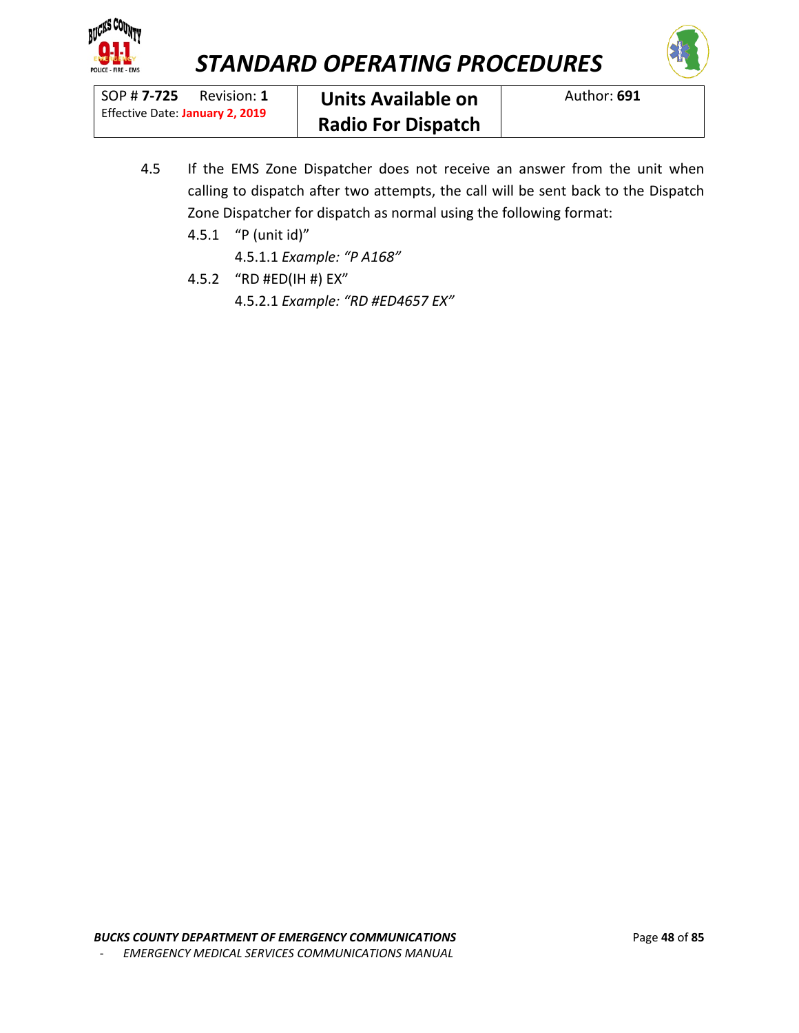



**Units Available on Radio For Dispatch** Author: **691** 

- 4.5 If the EMS Zone Dispatcher does not receive an answer from the unit when calling to dispatch after two attempts, the call will be sent back to the Dispatch Zone Dispatcher for dispatch as normal using the following format:
	- 4.5.1 "P (unit id)"
		- 4.5.1.1 *Example: "P A168"*
	- 4.5.2 "RD #ED(IH #) EX"
		- 4.5.2.1 *Example: "RD #ED4657 EX"*

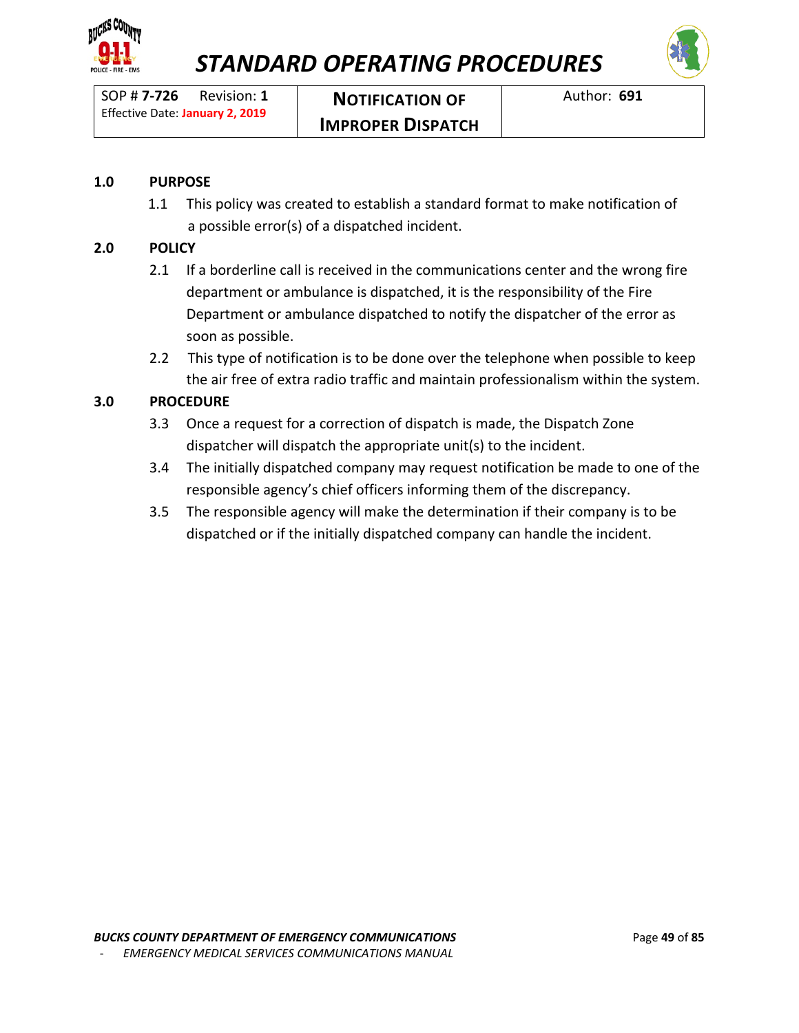

SOP # **7‐726** Revision: **1** Effective Date: **January 2, 2019**

## **1.0 PURPOSE**

1.1 This policy was created to establish a standard format to make notification of a possible error(s) of a dispatched incident.

## **2.0 POLICY**

- 2.1 If a borderline call is received in the communications center and the wrong fire department or ambulance is dispatched, it is the responsibility of the Fire Department or ambulance dispatched to notify the dispatcher of the error as soon as possible.
- 2.2 This type of notification is to be done over the telephone when possible to keep the air free of extra radio traffic and maintain professionalism within the system.

- 3.3 Once a request for a correction of dispatch is made, the Dispatch Zone dispatcher will dispatch the appropriate unit(s) to the incident.
- 3.4 The initially dispatched company may request notification be made to one of the responsible agency's chief officers informing them of the discrepancy.
- 3.5 The responsible agency will make the determination if their company is to be dispatched or if the initially dispatched company can handle the incident.

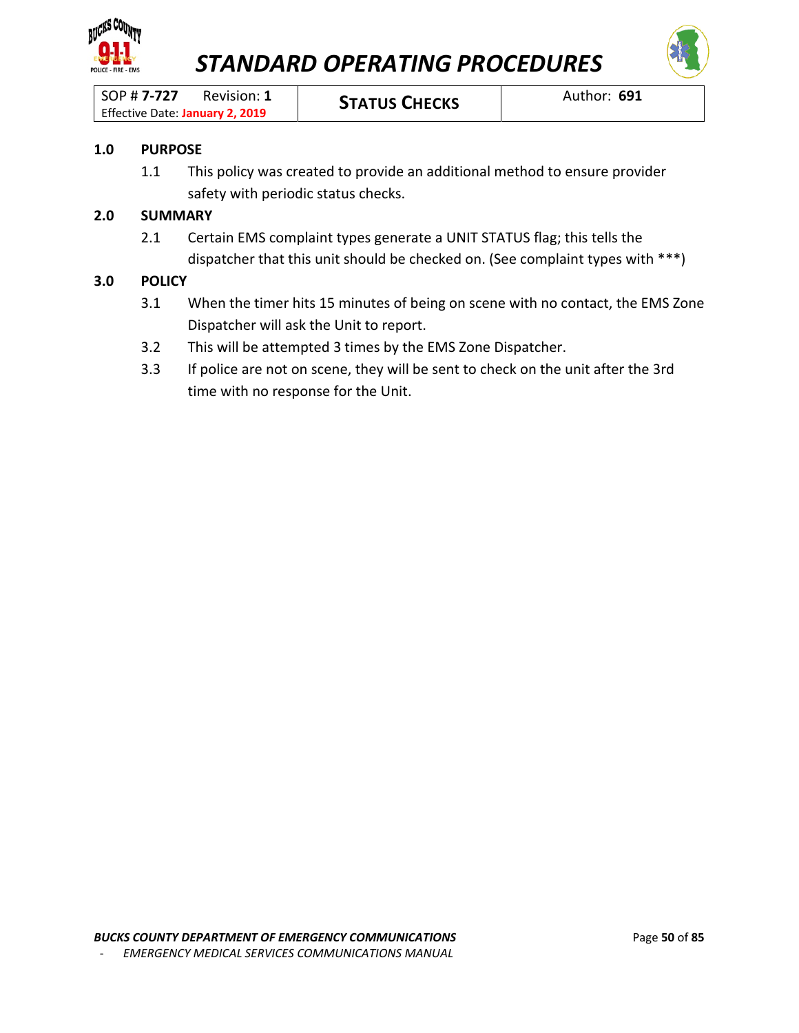



SOP # **7‐727** Revision: **1** SOP # **7-727** Revision: 1 **STATUS CHECKS** Author: **691** Author: **691** 

## **1.0 PURPOSE**

 1.1 This policy was created to provide an additional method to ensure provider safety with periodic status checks.

#### **2.0 SUMMARY**

2.1 Certain EMS complaint types generate a UNIT STATUS flag; this tells the dispatcher that this unit should be checked on. (See complaint types with \*\*\*)

#### **3.0 POLICY**

- 3.1 When the timer hits 15 minutes of being on scene with no contact, the EMS Zone Dispatcher will ask the Unit to report.
- 3.2 This will be attempted 3 times by the EMS Zone Dispatcher.
- 3.3 If police are not on scene, they will be sent to check on the unit after the 3rd time with no response for the Unit.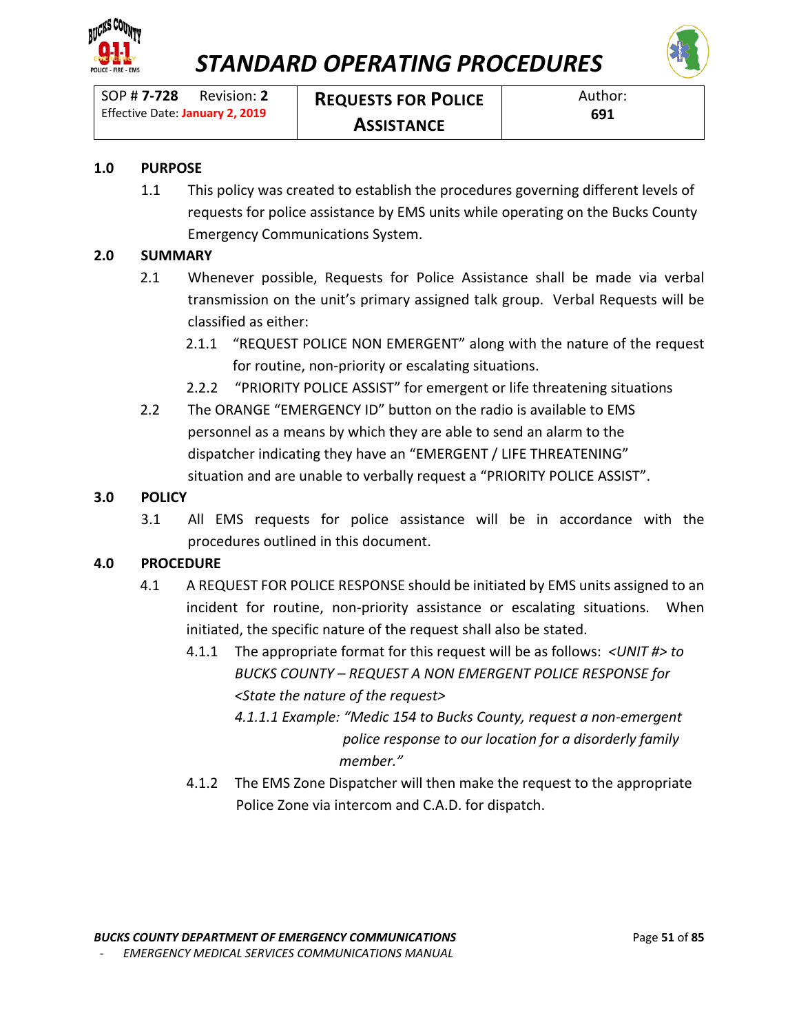



## **1.0 PURPOSE**

1.1 This policy was created to establish the procedures governing different levels of requests for police assistance by EMS units while operating on the Bucks County Emergency Communications System.

## **2.0 SUMMARY**

- 2.1 Whenever possible, Requests for Police Assistance shall be made via verbal transmission on the unit's primary assigned talk group. Verbal Requests will be classified as either:
	- 2.1.1 "REQUEST POLICE NON EMERGENT" along with the nature of the request for routine, non‐priority or escalating situations.
	- 2.2.2 "PRIORITY POLICE ASSIST" for emergent or life threatening situations
- 2.2 The ORANGE "EMERGENCY ID" button on the radio is available to EMS personnel as a means by which they are able to send an alarm to the dispatcher indicating they have an "EMERGENT / LIFE THREATENING" situation and are unable to verbally request a "PRIORITY POLICE ASSIST".

## **3.0 POLICY**

3.1 All EMS requests for police assistance will be in accordance with the procedures outlined in this document.

- 4.1 A REQUEST FOR POLICE RESPONSE should be initiated by EMS units assigned to an incident for routine, non-priority assistance or escalating situations. When initiated, the specific nature of the request shall also be stated.
	- 4.1.1 The appropriate format for this request will be as follows: *<UNIT #> to BUCKS COUNTY – REQUEST A NON EMERGENT POLICE RESPONSE for <State the nature of the request>* 
		- *4.1.1.1 Example: "Medic 154 to Bucks County, request a non‐emergent police response to our location for a disorderly family member."*
	- 4.1.2 The EMS Zone Dispatcher will then make the request to the appropriate Police Zone via intercom and C.A.D. for dispatch.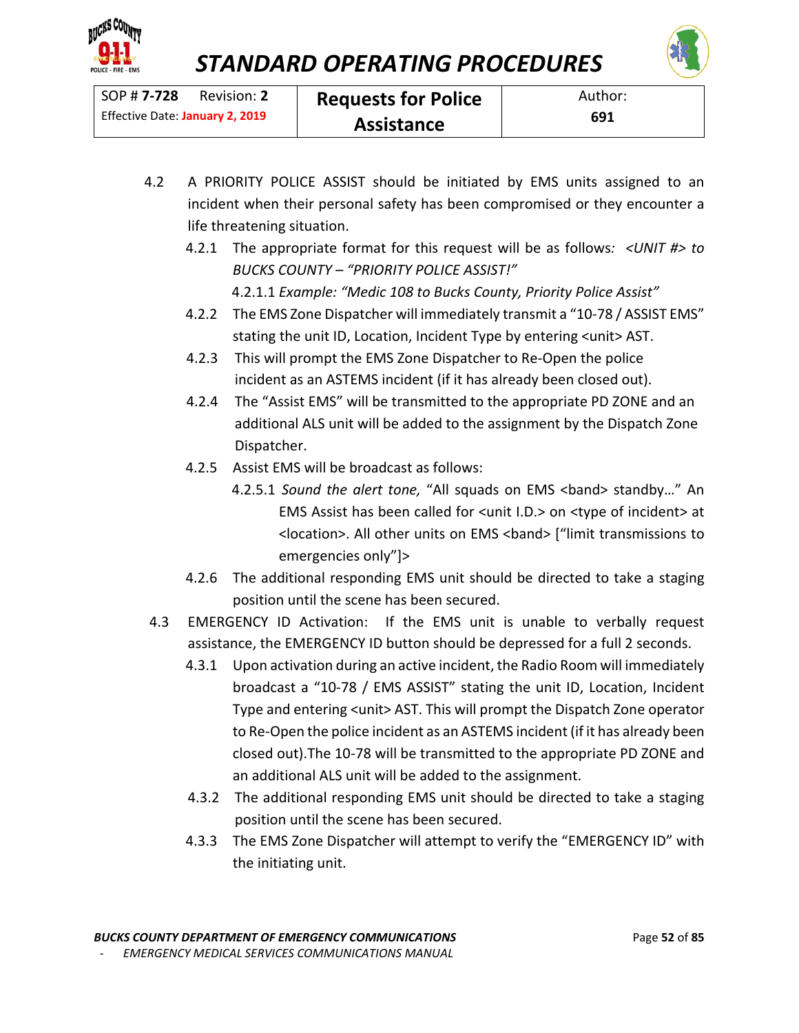

SOP # **7‐728** Revision: **2** Effective Date: **January 2, 2019**

- 4.2 A PRIORITY POLICE ASSIST should be initiated by EMS units assigned to an incident when their personal safety has been compromised or they encounter a life threatening situation.
	- 4.2.1 The appropriate format for this request will be as follows*: <UNIT #> to BUCKS COUNTY – "PRIORITY POLICE ASSIST!"* 
		- 4.2.1.1 *Example: "Medic 108 to Bucks County, Priority Police Assist"*
	- 4.2.2 The EMS Zone Dispatcher will immediately transmit a "10‐78 / ASSIST EMS" stating the unit ID, Location, Incident Type by entering <unit> AST.
	- 4.2.3 This will prompt the EMS Zone Dispatcher to Re‐Open the police incident as an ASTEMS incident (if it has already been closed out).
	- 4.2.4 The "Assist EMS" will be transmitted to the appropriate PD ZONE and an additional ALS unit will be added to the assignment by the Dispatch Zone Dispatcher.
	- 4.2.5 Assist EMS will be broadcast as follows:
		- 4.2.5.1 *Sound the alert tone,* "All squads on EMS < band> standby..." An EMS Assist has been called for <unit I.D.> on <type of incident> at <location>. All other units on EMS <band> ["limit transmissions to emergencies only"]>
	- 4.2.6 The additional responding EMS unit should be directed to take a staging position until the scene has been secured.
- 4.3 EMERGENCY ID Activation: If the EMS unit is unable to verbally request assistance, the EMERGENCY ID button should be depressed for a full 2 seconds.
	- 4.3.1 Upon activation during an active incident, the Radio Room will immediately broadcast a "10-78 / EMS ASSIST" stating the unit ID, Location, Incident Type and entering <unit> AST. This will prompt the Dispatch Zone operator to Re‐Open the police incident as an ASTEMS incident (if it has already been closed out).The 10‐78 will be transmitted to the appropriate PD ZONE and an additional ALS unit will be added to the assignment.
	- 4.3.2 The additional responding EMS unit should be directed to take a staging position until the scene has been secured.
	- 4.3.3 The EMS Zone Dispatcher will attempt to verify the "EMERGENCY ID" with the initiating unit.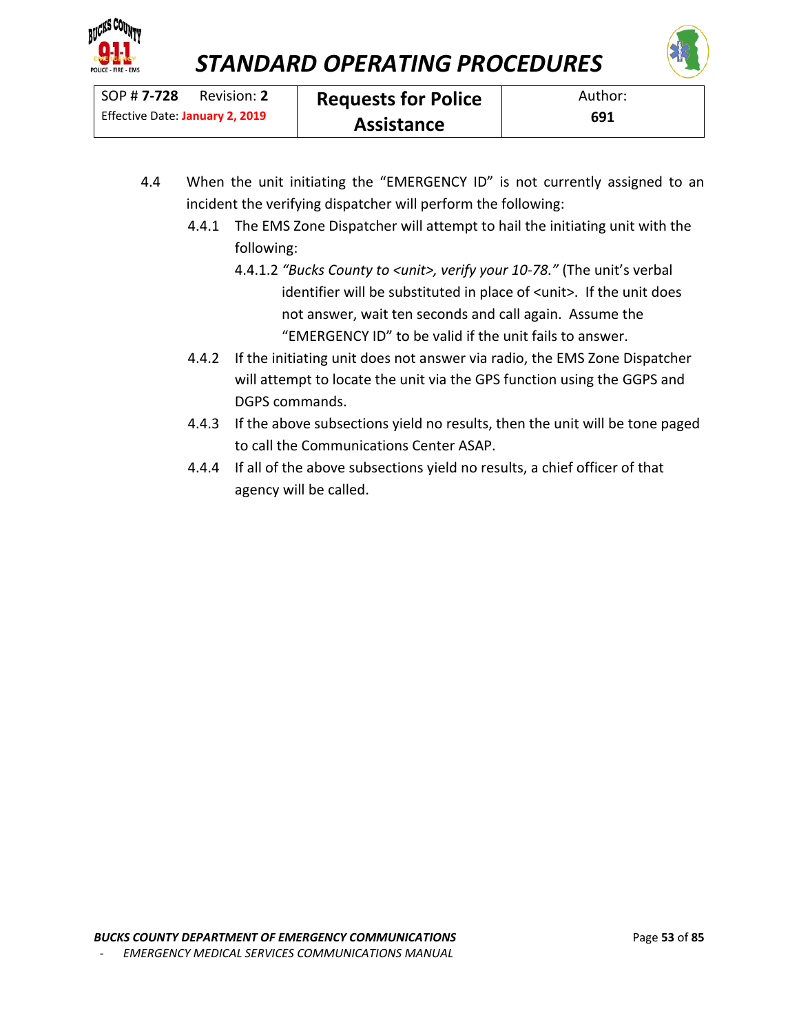

SOP # **7‐728** Revision: **2** Effective Date: **January 2, 2019**



- 4.4 When the unit initiating the "EMERGENCY ID" is not currently assigned to an incident the verifying dispatcher will perform the following:
	- 4.4.1 The EMS Zone Dispatcher will attempt to hail the initiating unit with the following:
		- 4.4.1.2 *"Bucks County to <unit>, verify your 10‐78."* (The unit's verbal identifier will be substituted in place of <unit>. If the unit does not answer, wait ten seconds and call again. Assume the "EMERGENCY ID" to be valid if the unit fails to answer.
	- 4.4.2 If the initiating unit does not answer via radio, the EMS Zone Dispatcher will attempt to locate the unit via the GPS function using the GGPS and DGPS commands.
	- 4.4.3 If the above subsections yield no results, then the unit will be tone paged to call the Communications Center ASAP.
	- 4.4.4 If all of the above subsections yield no results, a chief officer of that agency will be called.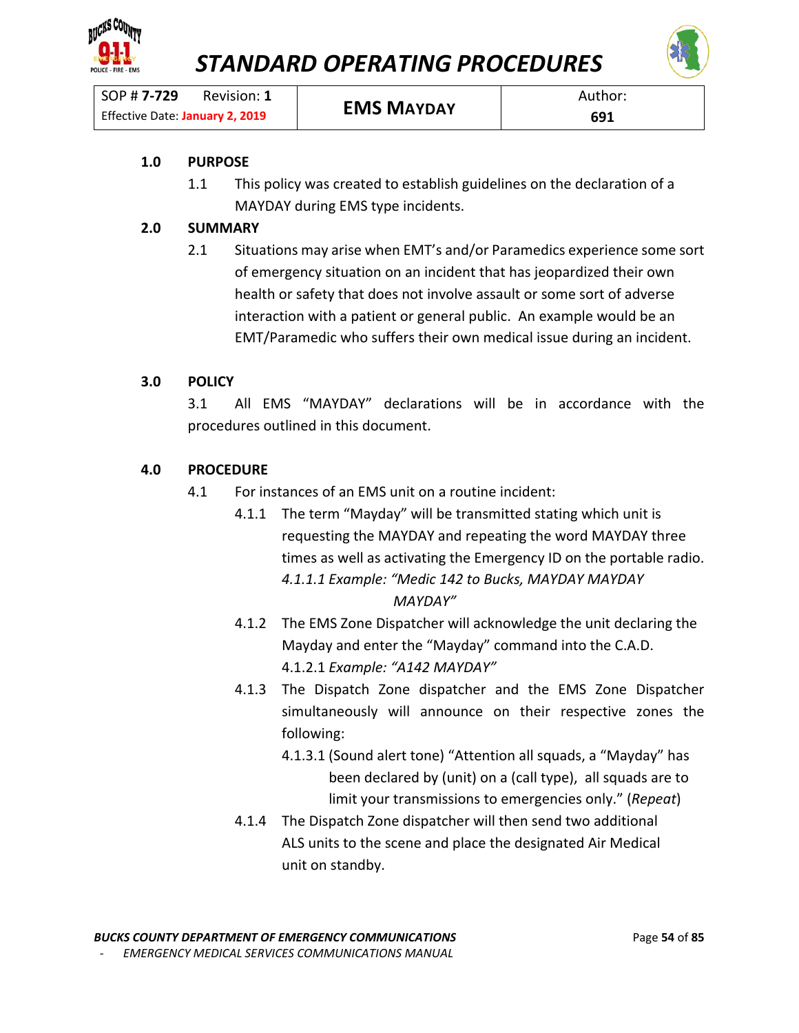



SOP # **7‐729** Revision: **1** Effective Date: **January 2, 2019 EMS MAYDAY**

## **1.0 PURPOSE**

 1.1 This policy was created to establish guidelines on the declaration of a MAYDAY during EMS type incidents.

## **2.0 SUMMARY**

 2.1 Situations may arise when EMT's and/or Paramedics experience some sort of emergency situation on an incident that has jeopardized their own health or safety that does not involve assault or some sort of adverse interaction with a patient or general public. An example would be an EMT/Paramedic who suffers their own medical issue during an incident.

## **3.0 POLICY**

 3.1 All EMS "MAYDAY" declarations will be in accordance with the procedures outlined in this document.

- 4.1 For instances of an EMS unit on a routine incident:
	- 4.1.1 The term "Mayday" will be transmitted stating which unit is requesting the MAYDAY and repeating the word MAYDAY three times as well as activating the Emergency ID on the portable radio. *4.1.1.1 Example: "Medic 142 to Bucks, MAYDAY MAYDAY MAYDAY"*
	- 4.1.2 The EMS Zone Dispatcher will acknowledge the unit declaring the Mayday and enter the "Mayday" command into the C.A.D. 4.1.2.1 *Example: "A142 MAYDAY"*
	- 4.1.3 The Dispatch Zone dispatcher and the EMS Zone Dispatcher simultaneously will announce on their respective zones the following:
		- 4.1.3.1 (Sound alert tone) "Attention all squads, a "Mayday" has been declared by (unit) on a (call type), all squads are to limit your transmissions to emergencies only." (*Repeat*)
	- 4.1.4 The Dispatch Zone dispatcher will then send two additional ALS units to the scene and place the designated Air Medical unit on standby.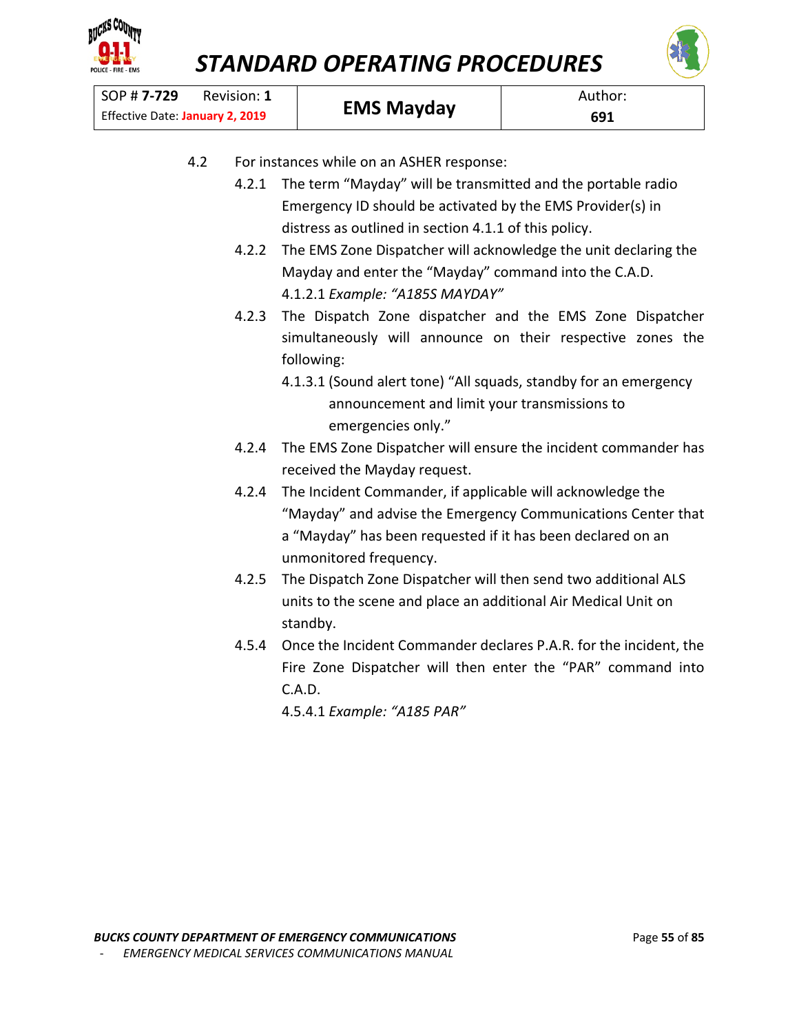



| SOP # 7-729<br>Revision: 1      |                   | Author: |
|---------------------------------|-------------------|---------|
| Effective Date: January 2, 2019 | <b>EMS Mayday</b> | 691     |
|                                 |                   |         |

- 4.2 For instances while on an ASHER response:
	- 4.2.1 The term "Mayday" will be transmitted and the portable radio Emergency ID should be activated by the EMS Provider(s) in distress as outlined in section 4.1.1 of this policy.
	- 4.2.2 The EMS Zone Dispatcher will acknowledge the unit declaring the Mayday and enter the "Mayday" command into the C.A.D. 4.1.2.1 *Example: "A185S MAYDAY"*
	- 4.2.3 The Dispatch Zone dispatcher and the EMS Zone Dispatcher simultaneously will announce on their respective zones the following:
		- 4.1.3.1 (Sound alert tone) "All squads, standby for an emergency announcement and limit your transmissions to emergencies only."
	- 4.2.4 The EMS Zone Dispatcher will ensure the incident commander has received the Mayday request.
	- 4.2.4 The Incident Commander, if applicable will acknowledge the "Mayday" and advise the Emergency Communications Center that a "Mayday" has been requested if it has been declared on an unmonitored frequency.
	- 4.2.5 The Dispatch Zone Dispatcher will then send two additional ALS units to the scene and place an additional Air Medical Unit on standby.
	- 4.5.4 Once the Incident Commander declares P.A.R. for the incident, the Fire Zone Dispatcher will then enter the "PAR" command into C.A.D.

4.5.4.1 *Example: "A185 PAR"*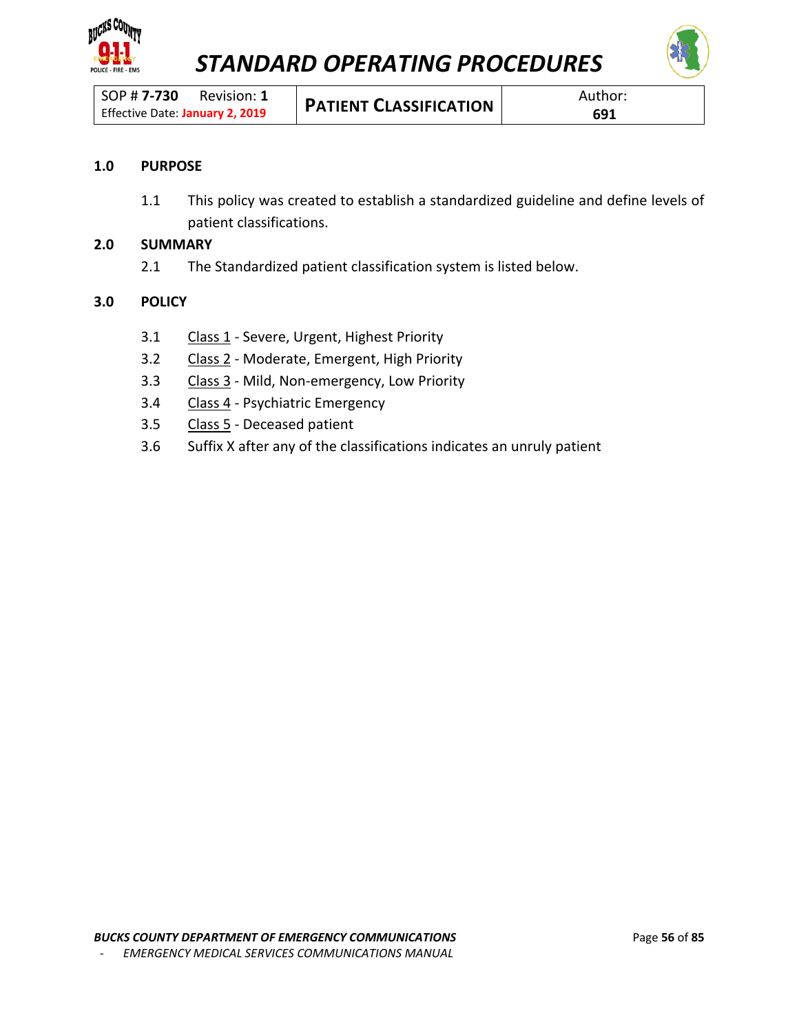



SOP # **7‐730** Revision: **1** Effective Date: **January 2, 2019 PATIENT CLASSIFICATION** Author: **691** 

#### **1.0 PURPOSE**

1.1 This policy was created to establish a standardized guideline and define levels of patient classifications.

#### **2.0 SUMMARY**

2.1 The Standardized patient classification system is listed below.

## **3.0 POLICY**

- 3.1 Class 1 Severe, Urgent, Highest Priority
- 3.2 Class 2 Moderate, Emergent, High Priority
- 3.3 Class 3 ‐ Mild, Non‐emergency, Low Priority
- 3.4 Class 4 ‐ Psychiatric Emergency
- 3.5 Class 5 ‐ Deceased patient
- 3.6 Suffix X after any of the classifications indicates an unruly patient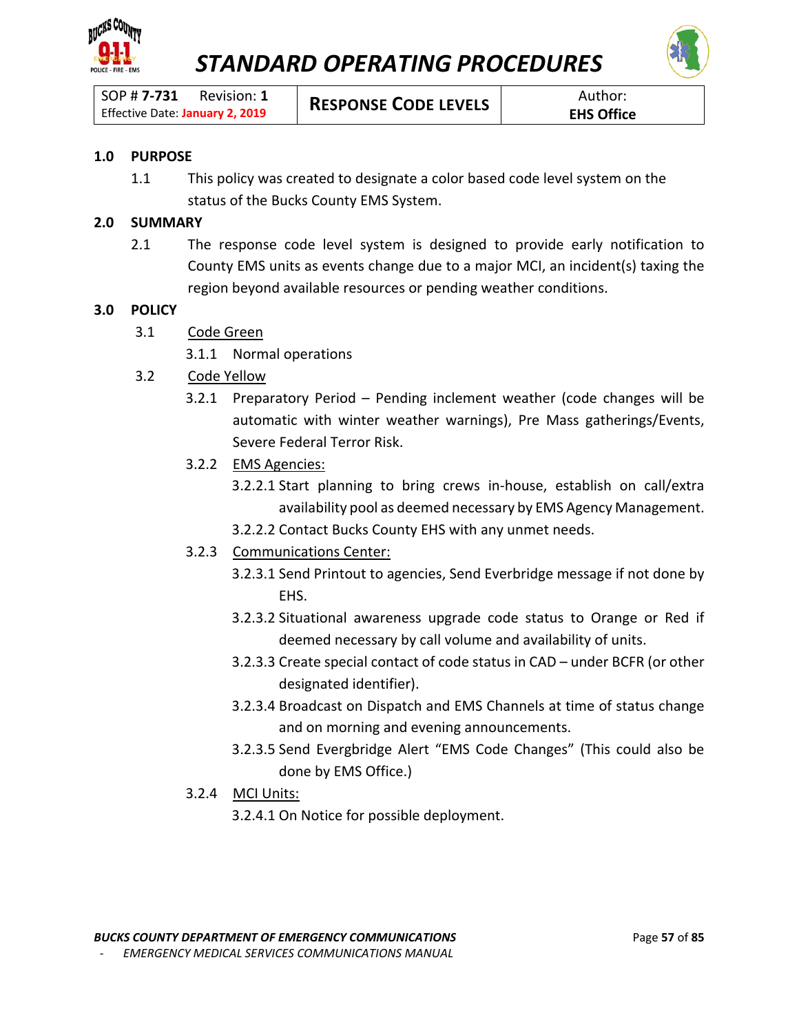



**EHS Office** 

SOP # **7‐731** Revision: **1** SOP # **7-731** Revision: **1 RESPONSE CODE LEVELS** Author:<br>Effective Date: **January 2, 2019 RESPONSE CODE LEVELS** 

## **1.0 PURPOSE**

1.1 This policy was created to designate a color based code level system on the status of the Bucks County EMS System.

#### **2.0 SUMMARY**

2.1 The response code level system is designed to provide early notification to County EMS units as events change due to a major MCI, an incident(s) taxing the region beyond available resources or pending weather conditions.

#### **3.0 POLICY**

- 3.1 Code Green
	- 3.1.1 Normal operations

## 3.2 Code Yellow

- 3.2.1 Preparatory Period Pending inclement weather (code changes will be automatic with winter weather warnings), Pre Mass gatherings/Events, Severe Federal Terror Risk.
- 3.2.2 EMS Agencies:
	- 3.2.2.1 Start planning to bring crews in‐house, establish on call/extra availability pool as deemed necessary by EMS Agency Management.
	- 3.2.2.2 Contact Bucks County EHS with any unmet needs.
- 3.2.3 Communications Center:
	- 3.2.3.1 Send Printout to agencies, Send Everbridge message if not done by EHS.
	- 3.2.3.2 Situational awareness upgrade code status to Orange or Red if deemed necessary by call volume and availability of units.
	- 3.2.3.3 Create special contact of code status in CAD under BCFR (or other designated identifier).
	- 3.2.3.4 Broadcast on Dispatch and EMS Channels at time of status change and on morning and evening announcements.
	- 3.2.3.5 Send Evergbridge Alert "EMS Code Changes" (This could also be done by EMS Office.)

#### 3.2.4 MCI Units:

3.2.4.1 On Notice for possible deployment.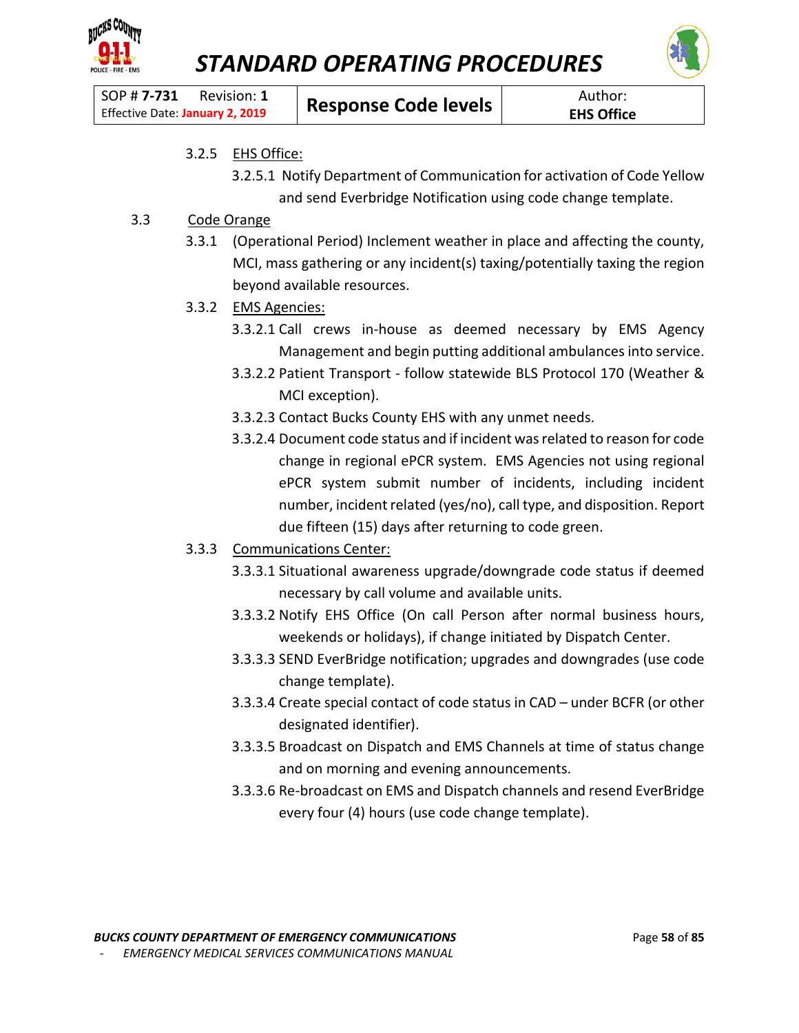



SOP # **7‐731**  Revision: **1** SOP # **7-731** Revision: **1 Response Code levels** Author: **Author:** *Author:* **Prince Code levels** 

## 3.2.5 EHS Office:

3.2.5.1 Notify Department of Communication for activation of Code Yellow and send Everbridge Notification using code change template.

## 3.3 Code Orange

3.3.1 (Operational Period) Inclement weather in place and affecting the county, MCI, mass gathering or any incident(s) taxing/potentially taxing the region beyond available resources.

## 3.3.2 EMS Agencies:

- 3.3.2.1 Call crews in‐house as deemed necessary by EMS Agency Management and begin putting additional ambulances into service.
- 3.3.2.2 Patient Transport ‐ follow statewide BLS Protocol 170 (Weather & MCI exception).
- 3.3.2.3 Contact Bucks County EHS with any unmet needs.
- 3.3.2.4 Document code status and if incident was related to reason for code change in regional ePCR system. EMS Agencies not using regional ePCR system submit number of incidents, including incident number, incident related (yes/no), call type, and disposition. Report due fifteen (15) days after returning to code green.

## 3.3.3 Communications Center:

- 3.3.3.1 Situational awareness upgrade/downgrade code status if deemed necessary by call volume and available units.
- 3.3.3.2 Notify EHS Office (On call Person after normal business hours, weekends or holidays), if change initiated by Dispatch Center.
- 3.3.3.3 SEND EverBridge notification; upgrades and downgrades (use code change template).
- 3.3.3.4 Create special contact of code status in CAD under BCFR (or other designated identifier).
- 3.3.3.5 Broadcast on Dispatch and EMS Channels at time of status change and on morning and evening announcements.
- 3.3.3.6 Re‐broadcast on EMS and Dispatch channels and resend EverBridge every four (4) hours (use code change template).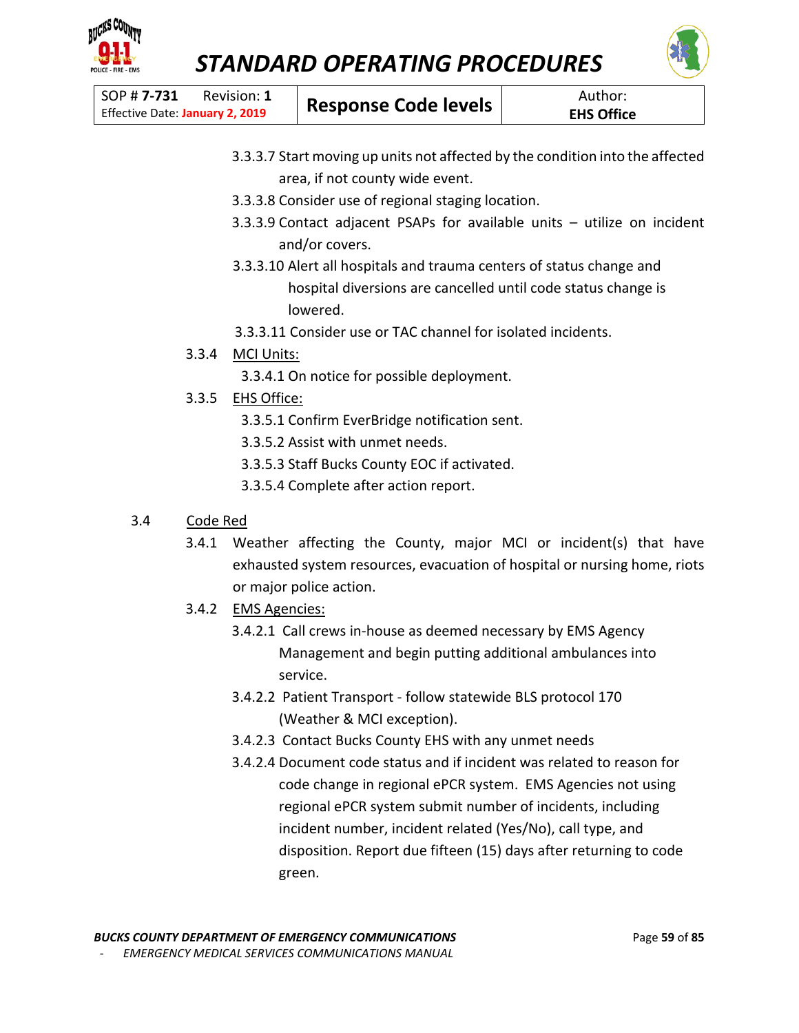



SOP # **7‐731** Revision: **1** SOP # 7-731 Revision: 1 **Response Code levels** Author:<br>Effective Date: **January 2, 2019 Response Code levels EHS Office** 

- 3.3.3.7 Start moving up units not affected by the condition into the affected area, if not county wide event.
- 3.3.3.8 Consider use of regional staging location.
- 3.3.3.9 Contact adjacent PSAPs for available units utilize on incident and/or covers.
- 3.3.3.10 Alert all hospitals and trauma centers of status change and hospital diversions are cancelled until code status change is lowered.
- 3.3.3.11 Consider use or TAC channel for isolated incidents.
- 3.3.4 MCI Units:
	- 3.3.4.1 On notice for possible deployment.
- 3.3.5 EHS Office:
	- 3.3.5.1 Confirm EverBridge notification sent.
	- 3.3.5.2 Assist with unmet needs.
	- 3.3.5.3 Staff Bucks County EOC if activated.
	- 3.3.5.4 Complete after action report.

## 3.4 Code Red

- 3.4.1 Weather affecting the County, major MCI or incident(s) that have exhausted system resources, evacuation of hospital or nursing home, riots or major police action.
- 3.4.2 EMS Agencies:
	- 3.4.2.1 Call crews in‐house as deemed necessary by EMS Agency Management and begin putting additional ambulances into service.
	- 3.4.2.2 Patient Transport ‐ follow statewide BLS protocol 170 (Weather & MCI exception).
	- 3.4.2.3 Contact Bucks County EHS with any unmet needs
	- 3.4.2.4 Document code status and if incident was related to reason for code change in regional ePCR system. EMS Agencies not using regional ePCR system submit number of incidents, including incident number, incident related (Yes/No), call type, and disposition. Report due fifteen (15) days after returning to code green.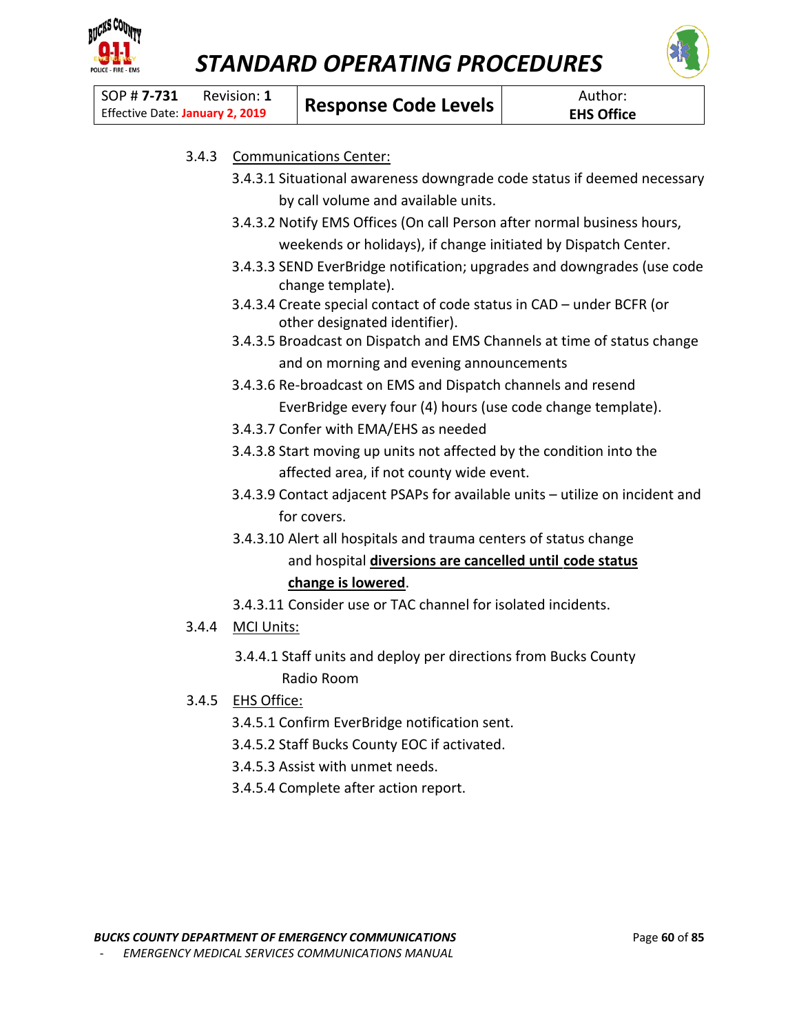



SOP # **7‐731**  Revision: **1** SOP # 7-731 Revision: 1 **Response Code Levels** Author:<br>Effective Date: January 2, 2019 **Response Code Levels** 

## 3.4.3 Communications Center:

- 3.4.3.1 Situational awareness downgrade code status if deemed necessary by call volume and available units.
- 3.4.3.2 Notify EMS Offices (On call Person after normal business hours, weekends or holidays), if change initiated by Dispatch Center.
- 3.4.3.3 SEND EverBridge notification; upgrades and downgrades (use code change template).
- 3.4.3.4 Create special contact of code status in CAD under BCFR (or other designated identifier).
- 3.4.3.5 Broadcast on Dispatch and EMS Channels at time of status change and on morning and evening announcements
- 3.4.3.6 Re‐broadcast on EMS and Dispatch channels and resend EverBridge every four (4) hours (use code change template).
- 3.4.3.7 Confer with EMA/EHS as needed
- 3.4.3.8 Start moving up units not affected by the condition into the affected area, if not county wide event.
- 3.4.3.9 Contact adjacent PSAPs for available units utilize on incident and for covers.
- 3.4.3.10 Alert all hospitals and trauma centers of status change and hospital **diversions are cancelled until code status change is lowered**.
- 3.4.3.11 Consider use or TAC channel for isolated incidents.
- 3.4.4 MCI Units:
	- 3.4.4.1 Staff units and deploy per directions from Bucks County Radio Room
- 3.4.5 EHS Office:
	- 3.4.5.1 Confirm EverBridge notification sent.
	- 3.4.5.2 Staff Bucks County EOC if activated.
	- 3.4.5.3 Assist with unmet needs.
	- 3.4.5.4 Complete after action report.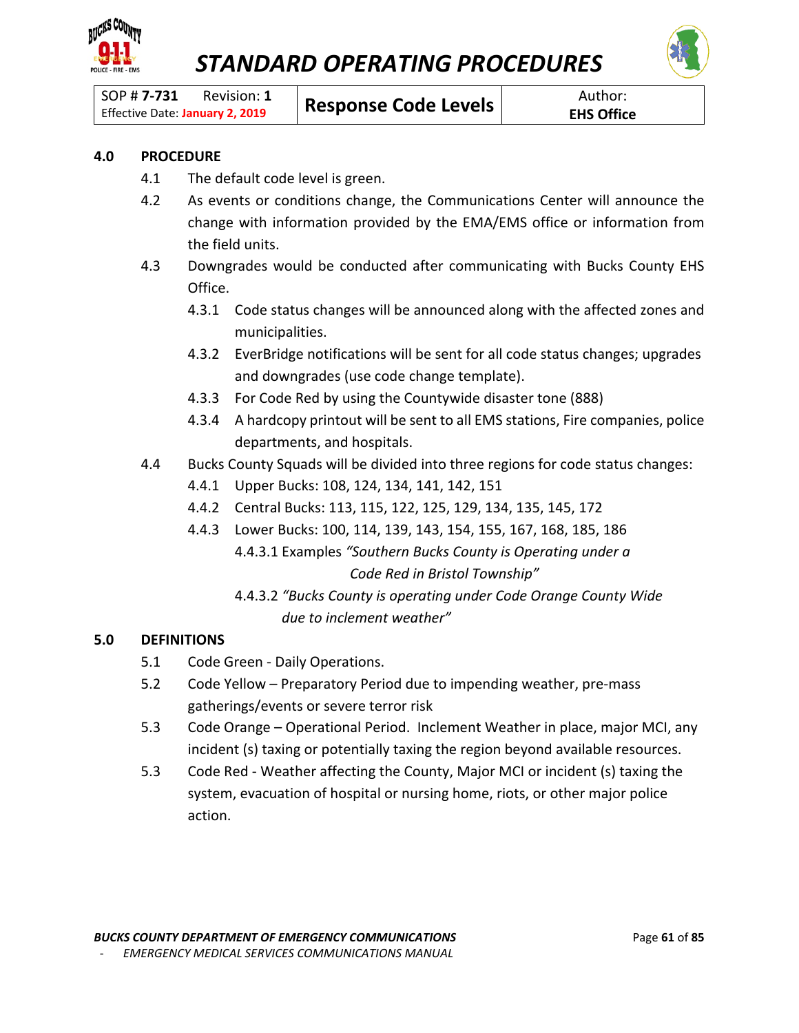



SOP # **7‐731**  Revision: **1** SOP # 7-731 Revision: 1 **Response Code Levels** Author:<br>Effective Date: January 2, 2019 **Response Code Levels EHS Office** 

## **4.0 PROCEDURE**

- 4.1 The default code level is green.
- 4.2 As events or conditions change, the Communications Center will announce the change with information provided by the EMA/EMS office or information from the field units.
- 4.3 Downgrades would be conducted after communicating with Bucks County EHS Office.
	- 4.3.1 Code status changes will be announced along with the affected zones and municipalities.
	- 4.3.2 EverBridge notifications will be sent for all code status changes; upgrades and downgrades (use code change template).
	- 4.3.3 For Code Red by using the Countywide disaster tone (888)
	- 4.3.4 A hardcopy printout will be sent to all EMS stations, Fire companies, police departments, and hospitals.
- 4.4 Bucks County Squads will be divided into three regions for code status changes:
	- 4.4.1 Upper Bucks: 108, 124, 134, 141, 142, 151
	- 4.4.2 Central Bucks: 113, 115, 122, 125, 129, 134, 135, 145, 172
	- 4.4.3 Lower Bucks: 100, 114, 139, 143, 154, 155, 167, 168, 185, 186 4.4.3.1 Examples *"Southern Bucks County is Operating under a Code Red in Bristol Township"*

 4.4.3.2 *"Bucks County is operating under Code Orange County Wide due to inclement weather"* 

## **5.0 DEFINITIONS**

- 5.1 Code Green Daily Operations.
- 5.2 Code Yellow Preparatory Period due to impending weather, pre-mass gatherings/events or severe terror risk
- 5.3 Code Orange Operational Period. Inclement Weather in place, major MCI, any incident (s) taxing or potentially taxing the region beyond available resources.
- 5.3 Code Red ‐ Weather affecting the County, Major MCI or incident (s) taxing the system, evacuation of hospital or nursing home, riots, or other major police action.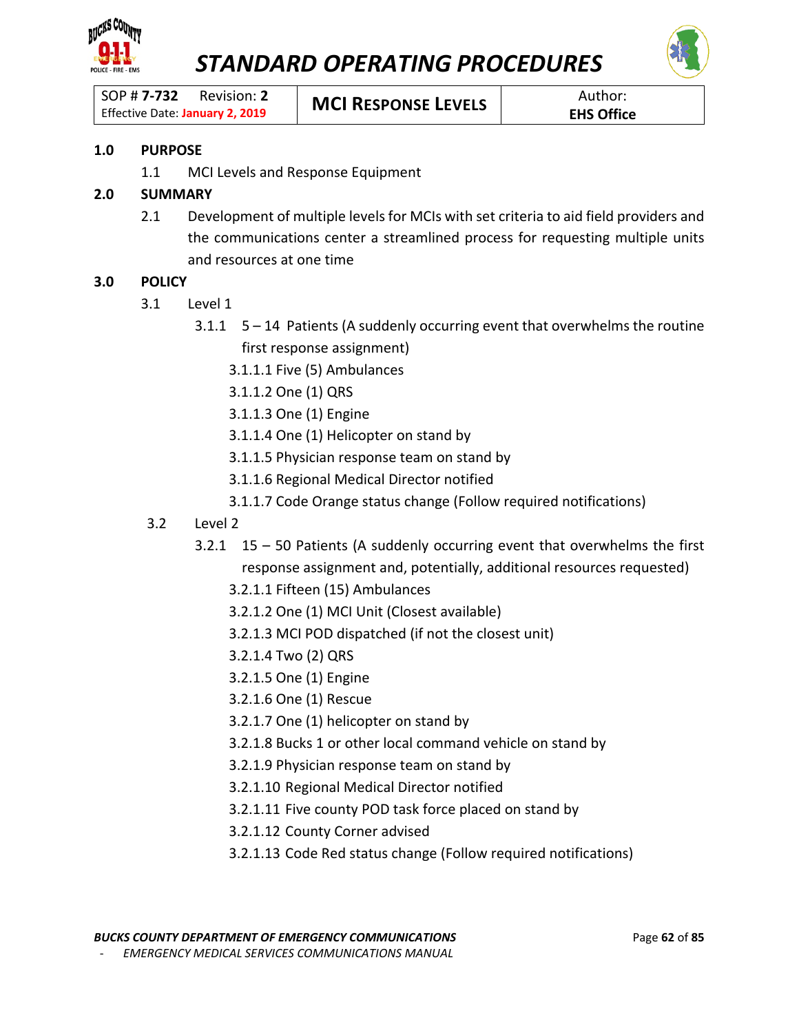



SOP # **7‐732**  Revision: **2**  SOP # **7-732** Revision: **2 MCI RESPONSE LEVELS** Author: *Author: Author:* **PHS** Offic

## **1.0 PURPOSE**

1.1 MCI Levels and Response Equipment

## **2.0 SUMMARY**

2.1 Development of multiple levels for MCIs with set criteria to aid field providers and the communications center a streamlined process for requesting multiple units and resources at one time

## **3.0 POLICY**

- 3.1 Level 1
	- 3.1.1 5 14 Patients (A suddenly occurring event that overwhelms the routine first response assignment)
		- 3.1.1.1 Five (5) Ambulances
		- 3.1.1.2 One (1) QRS
		- 3.1.1.3 One (1) Engine
		- 3.1.1.4 One (1) Helicopter on stand by
		- 3.1.1.5 Physician response team on stand by
		- 3.1.1.6 Regional Medical Director notified
		- 3.1.1.7 Code Orange status change (Follow required notifications)
- 3.2 Level 2
	- 3.2.1 15 50 Patients (A suddenly occurring event that overwhelms the first response assignment and, potentially, additional resources requested)
		- 3.2.1.1 Fifteen (15) Ambulances
		- 3.2.1.2 One (1) MCI Unit (Closest available)
		- 3.2.1.3 MCI POD dispatched (if not the closest unit)
		- 3.2.1.4 Two (2) QRS
		- 3.2.1.5 One (1) Engine
		- 3.2.1.6 One (1) Rescue
		- 3.2.1.7 One (1) helicopter on stand by
		- 3.2.1.8 Bucks 1 or other local command vehicle on stand by
		- 3.2.1.9 Physician response team on stand by
		- 3.2.1.10 Regional Medical Director notified
		- 3.2.1.11 Five county POD task force placed on stand by
		- 3.2.1.12 County Corner advised
		- 3.2.1.13 Code Red status change (Follow required notifications)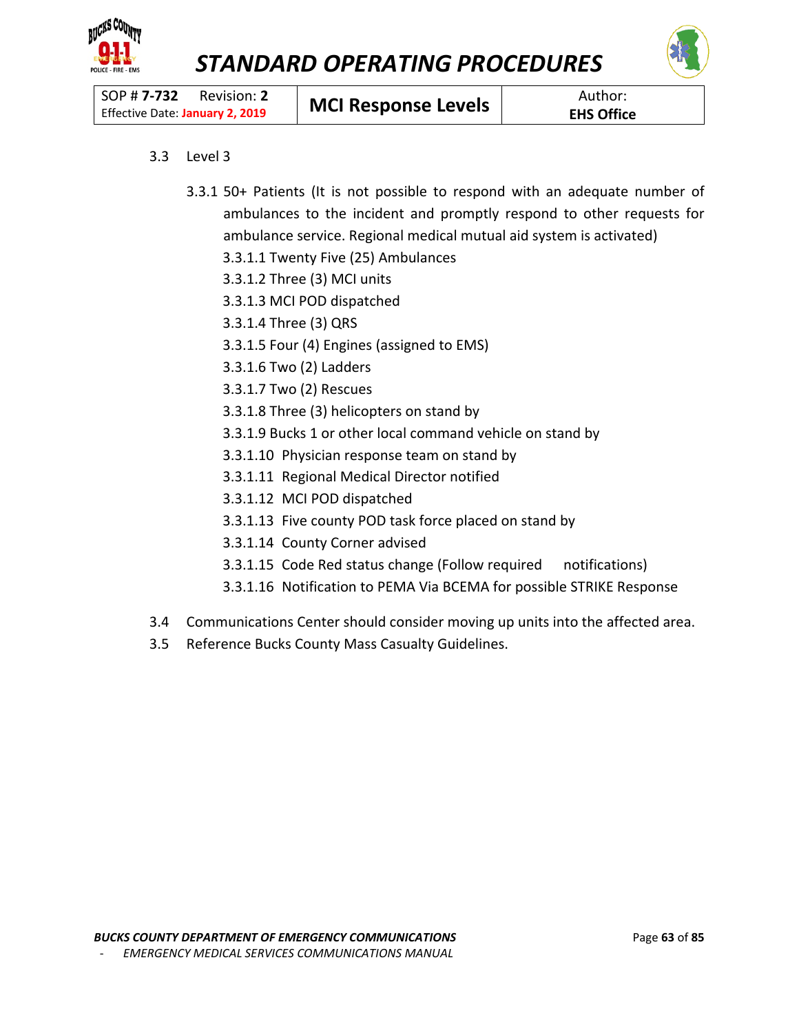



SOP # **7‐732**  Revision: **2** Effective Date: **January 2, 2019 MCI Response Levels** Author: 

- 3.3 Level 3
	- 3.3.1 50+ Patients (It is not possible to respond with an adequate number of ambulances to the incident and promptly respond to other requests for ambulance service. Regional medical mutual aid system is activated)
		- 3.3.1.1 Twenty Five (25) Ambulances
		- 3.3.1.2 Three (3) MCI units
		- 3.3.1.3 MCI POD dispatched
		- 3.3.1.4 Three (3) QRS
		- 3.3.1.5 Four (4) Engines (assigned to EMS)
		- 3.3.1.6 Two (2) Ladders
		- 3.3.1.7 Two (2) Rescues
		- 3.3.1.8 Three (3) helicopters on stand by
		- 3.3.1.9 Bucks 1 or other local command vehicle on stand by
		- 3.3.1.10 Physician response team on stand by
		- 3.3.1.11 Regional Medical Director notified
		- 3.3.1.12 MCI POD dispatched
		- 3.3.1.13 Five county POD task force placed on stand by
		- 3.3.1.14 County Corner advised
		- 3.3.1.15 Code Red status change (Follow required notifications)
		- 3.3.1.16 Notification to PEMA Via BCEMA for possible STRIKE Response
- 3.4 Communications Center should consider moving up units into the affected area.
- 3.5 Reference Bucks County Mass Casualty Guidelines.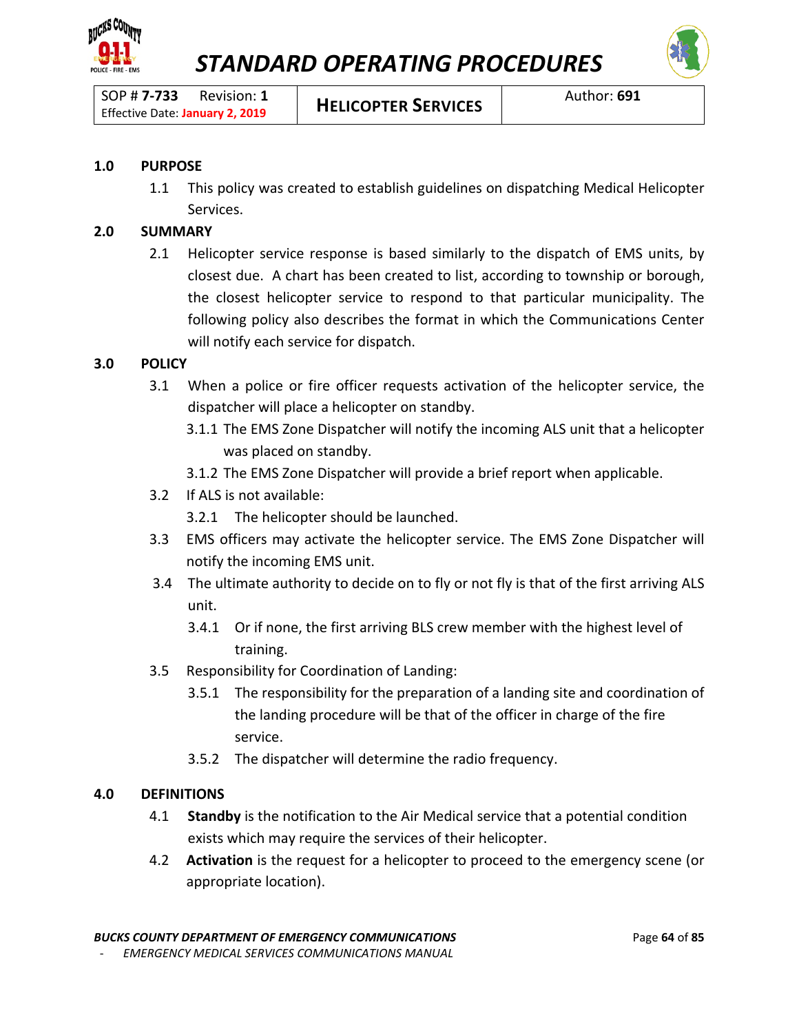

## **1.0 PURPOSE**

1.1 This policy was created to establish guidelines on dispatching Medical Helicopter Services.

## **2.0 SUMMARY**

2.1 Helicopter service response is based similarly to the dispatch of EMS units, by closest due. A chart has been created to list, according to township or borough, the closest helicopter service to respond to that particular municipality. The following policy also describes the format in which the Communications Center will notify each service for dispatch.

## **3.0 POLICY**

- 3.1 When a police or fire officer requests activation of the helicopter service, the dispatcher will place a helicopter on standby.
	- 3.1.1 The EMS Zone Dispatcher will notify the incoming ALS unit that a helicopter was placed on standby.
	- 3.1.2 The EMS Zone Dispatcher will provide a brief report when applicable.
- 3.2 If ALS is not available:
	- 3.2.1 The helicopter should be launched.
- 3.3 EMS officers may activate the helicopter service. The EMS Zone Dispatcher will notify the incoming EMS unit.
- 3.4 The ultimate authority to decide on to fly or not fly is that of the first arriving ALS unit.
	- 3.4.1 Or if none, the first arriving BLS crew member with the highest level of training.
- 3.5 Responsibility for Coordination of Landing:
	- 3.5.1 The responsibility for the preparation of a landing site and coordination of the landing procedure will be that of the officer in charge of the fire service.
	- 3.5.2 The dispatcher will determine the radio frequency.

## **4.0 DEFINITIONS**

- 4.1 **Standby** is the notification to the Air Medical service that a potential condition exists which may require the services of their helicopter.
- 4.2 **Activation** is the request for a helicopter to proceed to the emergency scene (or appropriate location).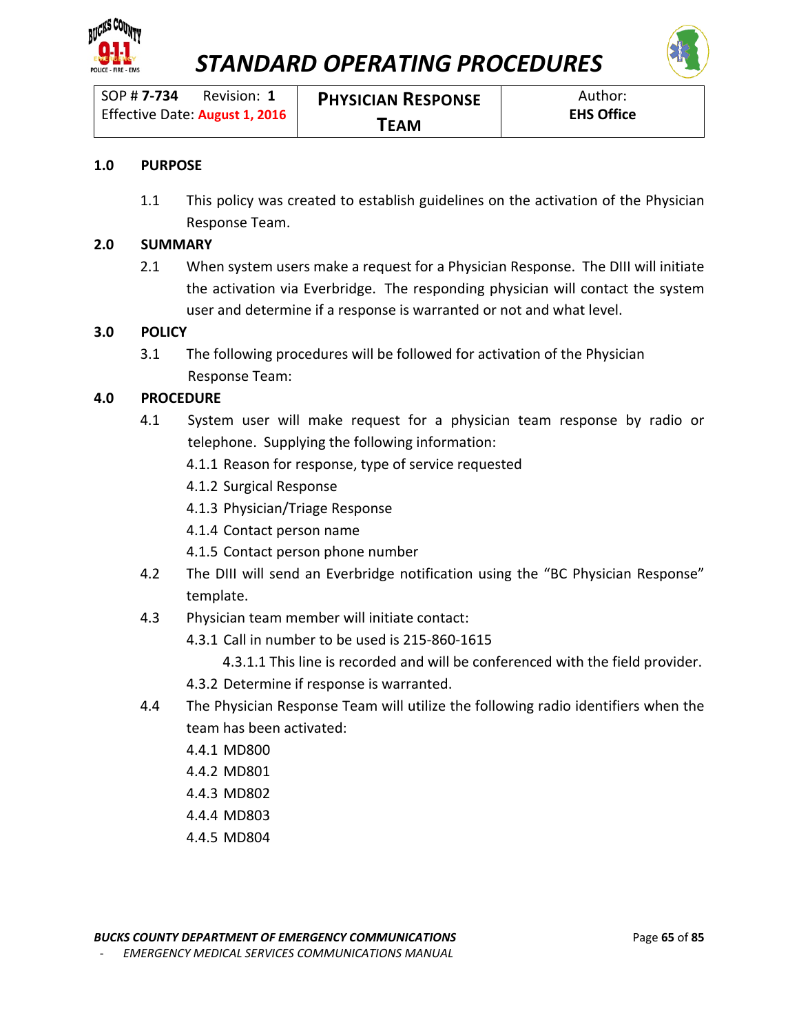



SOP # **7‐734** Revision: **1** Effective Date: **August 1, 2016 PHYSICIAN RESPONSE TEAM** Author: **EHS Office** 

#### **1.0 PURPOSE**

1.1 This policy was created to establish guidelines on the activation of the Physician Response Team.

#### **2.0 SUMMARY**

2.1 When system users make a request for a Physician Response. The DIII will initiate the activation via Everbridge. The responding physician will contact the system user and determine if a response is warranted or not and what level.

#### **3.0 POLICY**

3.1 The following procedures will be followed for activation of the Physician Response Team:

- 4.1 System user will make request for a physician team response by radio or telephone. Supplying the following information:
	- 4.1.1 Reason for response, type of service requested
	- 4.1.2 Surgical Response
	- 4.1.3 Physician/Triage Response
	- 4.1.4 Contact person name
	- 4.1.5 Contact person phone number
- 4.2 The DIII will send an Everbridge notification using the "BC Physician Response" template.
- 4.3 Physician team member will initiate contact:
	- 4.3.1 Call in number to be used is 215‐860‐1615
		- 4.3.1.1 This line is recorded and will be conferenced with the field provider.
	- 4.3.2 Determine if response is warranted.
- 4.4 The Physician Response Team will utilize the following radio identifiers when the team has been activated:
	- 4.4.1 MD800
	- 4.4.2 MD801
	- 4.4.3 MD802
	- 4.4.4 MD803
	- 4.4.5 MD804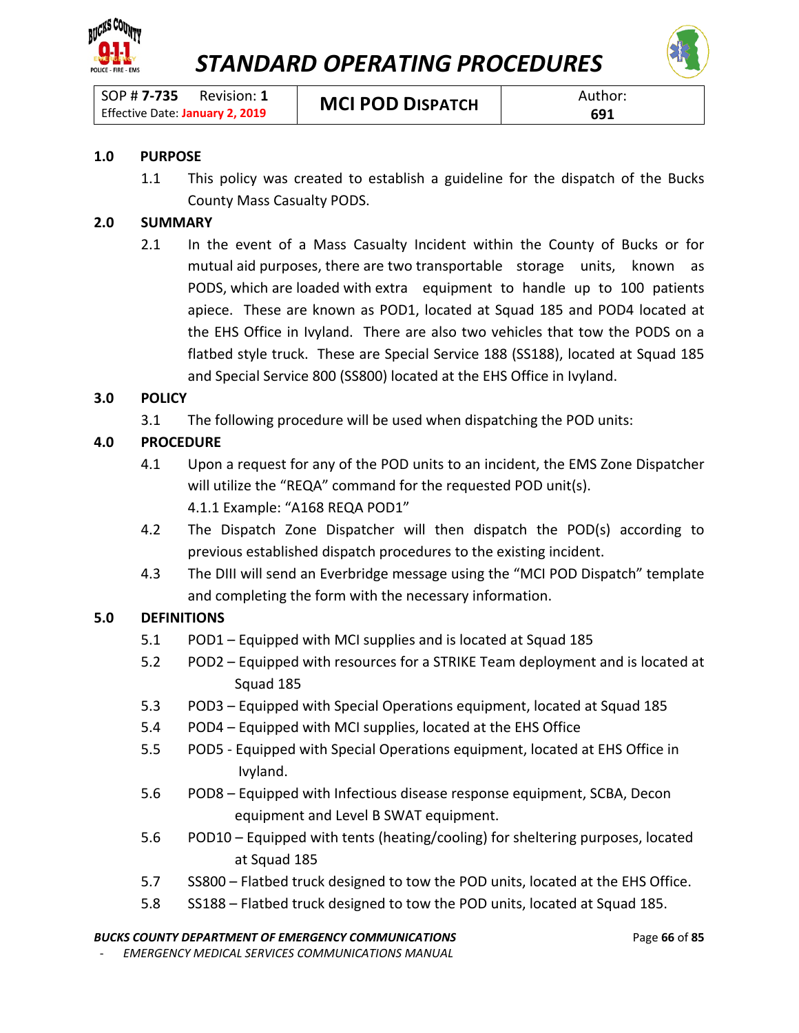



SOP # **7‐735**  Revision: **1**  SOP # **7-735** Revision: 1 **MCI POD DISPATCH** Author:<br>Effective Date: **January 2, 2019 MCI POD DISPATCH** 

## **1.0 PURPOSE**

1.1 This policy was created to establish a guideline for the dispatch of the Bucks County Mass Casualty PODS.

## **2.0 SUMMARY**

2.1 In the event of a Mass Casualty Incident within the County of Bucks or for mutual aid purposes, there are two transportable storage units, known as PODS, which are loaded with extra equipment to handle up to 100 patients apiece. These are known as POD1, located at Squad 185 and POD4 located at the EHS Office in Ivyland. There are also two vehicles that tow the PODS on a flatbed style truck. These are Special Service 188 (SS188), located at Squad 185 and Special Service 800 (SS800) located at the EHS Office in Ivyland.

## **3.0 POLICY**

3.1 The following procedure will be used when dispatching the POD units:

## **4.0 PROCEDURE**

- 4.1 Upon a request for any of the POD units to an incident, the EMS Zone Dispatcher will utilize the "REQA" command for the requested POD unit(s). 4.1.1 Example: "A168 REQA POD1"
- 4.2 The Dispatch Zone Dispatcher will then dispatch the POD(s) according to previous established dispatch procedures to the existing incident.
- 4.3 The DIII will send an Everbridge message using the "MCI POD Dispatch" template and completing the form with the necessary information.

## **5.0 DEFINITIONS**

- 5.1 POD1 Equipped with MCI supplies and is located at Squad 185
- 5.2 POD2 Equipped with resources for a STRIKE Team deployment and is located at Squad 185
- 5.3 POD3 Equipped with Special Operations equipment, located at Squad 185
- 5.4 POD4 Equipped with MCI supplies, located at the EHS Office
- 5.5 POD5 ‐ Equipped with Special Operations equipment, located at EHS Office in Ivyland.
- 5.6 POD8 Equipped with Infectious disease response equipment, SCBA, Decon equipment and Level B SWAT equipment.
- 5.6 POD10 Equipped with tents (heating/cooling) for sheltering purposes, located at Squad 185
- 5.7 SS800 Flatbed truck designed to tow the POD units, located at the EHS Office.
- 5.8 SS188 Flatbed truck designed to tow the POD units, located at Squad 185.

#### **BUCKS COUNTY DEPARTMENT OF EMERGENCY COMMUNICATIONS** *BUCKS COUNTY DEPARTMENT OF EMERGENCY COMMUNICATIONS*

‐ *EMERGENCY MEDICAL SERVICES COMMUNICATIONS MANUAL*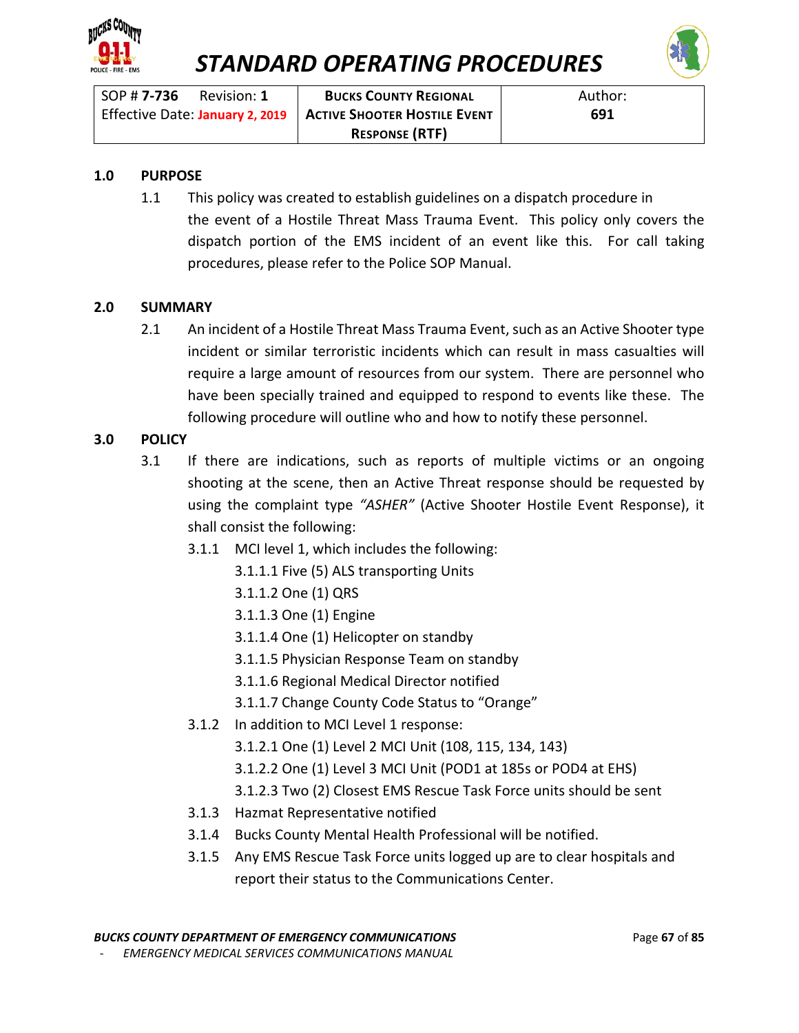



| $SOP#7-736$<br>Revision: 1 | <b>BUCKS COUNTY REGIONAL</b>                                   | Author: |
|----------------------------|----------------------------------------------------------------|---------|
|                            | Effective Date: January 2, 2019   ACTIVE SHOOTER HOSTILE EVENT | 691     |
|                            | <b>RESPONSE (RTF)</b>                                          |         |

## **1.0 PURPOSE**

1.1 This policy was created to establish guidelines on a dispatch procedure in the event of a Hostile Threat Mass Trauma Event. This policy only covers the dispatch portion of the EMS incident of an event like this. For call taking procedures, please refer to the Police SOP Manual.

#### **2.0 SUMMARY**

2.1 An incident of a Hostile Threat Mass Trauma Event, such as an Active Shooter type incident or similar terroristic incidents which can result in mass casualties will require a large amount of resources from our system. There are personnel who have been specially trained and equipped to respond to events like these. The following procedure will outline who and how to notify these personnel.

#### **3.0 POLICY**

- 3.1 If there are indications, such as reports of multiple victims or an ongoing shooting at the scene, then an Active Threat response should be requested by using the complaint type *"ASHER"*  (Active Shooter Hostile Event Response), it shall consist the following:
	- 3.1.1 MCI level 1, which includes the following:
		- 3.1.1.1 Five (5) ALS transporting Units
		- 3.1.1.2 One (1) QRS
		- 3.1.1.3 One (1) Engine
		- 3.1.1.4 One (1) Helicopter on standby
		- 3.1.1.5 Physician Response Team on standby
		- 3.1.1.6 Regional Medical Director notified
		- 3.1.1.7 Change County Code Status to "Orange"
	- 3.1.2 In addition to MCI Level 1 response:
		- 3.1.2.1 One (1) Level 2 MCI Unit (108, 115, 134, 143)
		- 3.1.2.2 One (1) Level 3 MCI Unit (POD1 at 185s or POD4 at EHS)
		- 3.1.2.3 Two (2) Closest EMS Rescue Task Force units should be sent
	- 3.1.3 Hazmat Representative notified
	- 3.1.4 Bucks County Mental Health Professional will be notified.
	- 3.1.5 Any EMS Rescue Task Force units logged up are to clear hospitals and report their status to the Communications Center.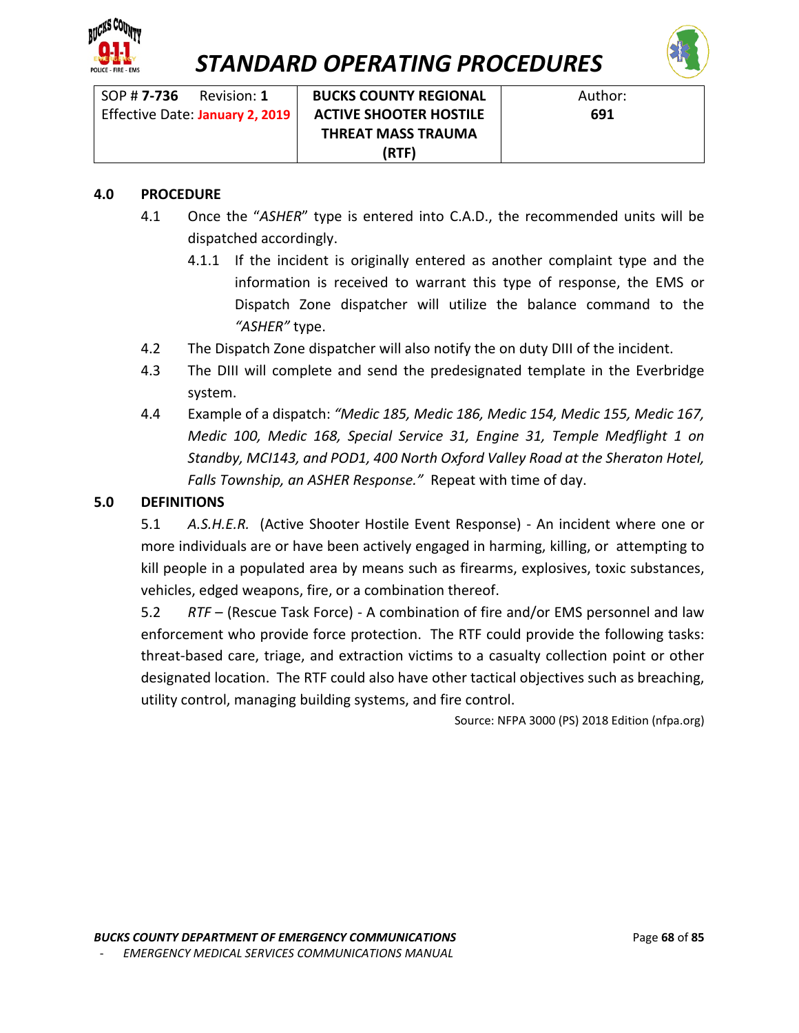



| SOP # 7-736<br>Revision: 1      | <b>BUCKS COUNTY REGIONAL</b>  | Author: |
|---------------------------------|-------------------------------|---------|
| Effective Date: January 2, 2019 | <b>ACTIVE SHOOTER HOSTILE</b> | 691     |
|                                 | <b>THREAT MASS TRAUMA</b>     |         |
|                                 | (RTF)                         |         |

## **4.0 PROCEDURE**

- 4.1 Once the "ASHER" type is entered into C.A.D., the recommended units will be dispatched accordingly.
	- 4.1.1 If the incident is originally entered as another complaint type and the information is received to warrant this type of response, the EMS or Dispatch Zone dispatcher will utilize the balance command to the *"ASHER"* type.
- 4.2 The Dispatch Zone dispatcher will also notify the on duty DIII of the incident.
- 4.3 The DIII will complete and send the predesignated template in the Everbridge system.
- 4.4 Example of a dispatch: *"Medic 185, Medic 186, Medic 154, Medic 155, Medic 167, Medic 100, Medic 168, Special Service 31, Engine 31, Temple Medflight 1 on Standby, MCI143, and POD1, 400 North Oxford Valley Road at the Sheraton Hotel, Falls Township, an ASHER Response."* Repeat with time of day.

## **5.0 DEFINITIONS**

5.1 A.S.H.E.R. (Active Shooter Hostile Event Response) - An incident where one or more individuals are or have been actively engaged in harming, killing, or attempting to kill people in a populated area by means such as firearms, explosives, toxic substances, vehicles, edged weapons, fire, or a combination thereof.

5.2 *RTF* – (Rescue Task Force) ‐ A combination of fire and/or EMS personnel and law enforcement who provide force protection. The RTF could provide the following tasks: threat‐based care, triage, and extraction victims to a casualty collection point or other designated location. The RTF could also have other tactical objectives such as breaching, utility control, managing building systems, and fire control.

Source: NFPA 3000 (PS) 2018 Edition (nfpa.org)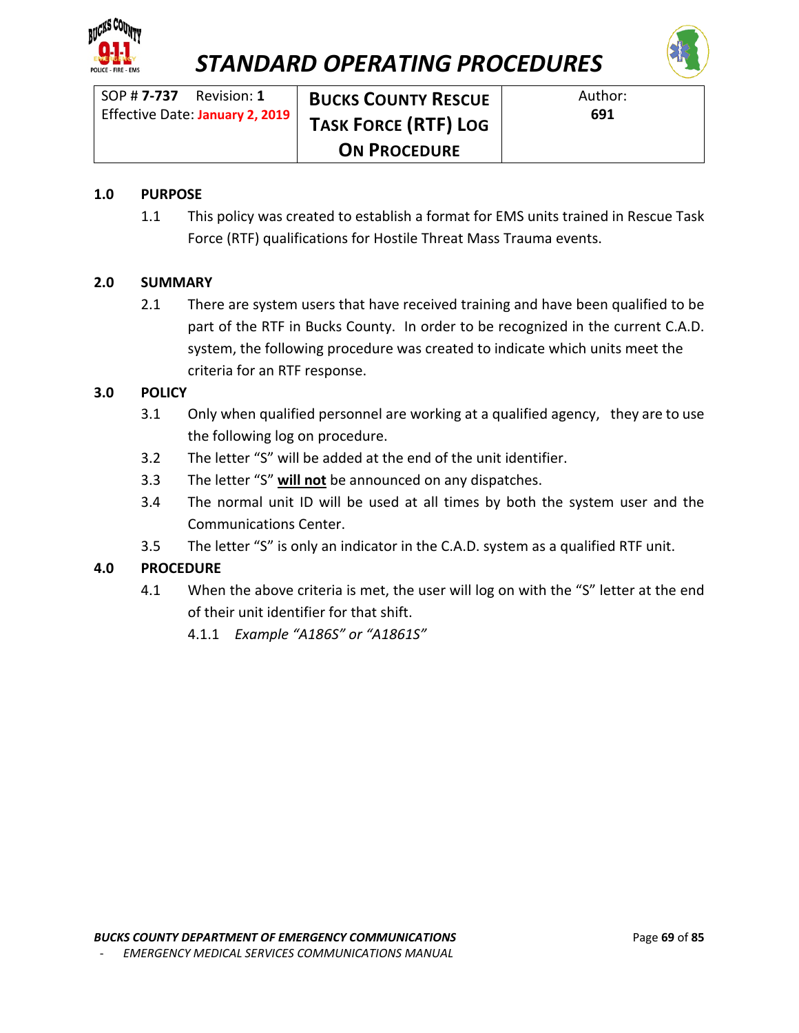



| SOP # 7-737<br>Revision: 1             | <b>BUCKS COUNTY RESCUE</b>  | Author: |
|----------------------------------------|-----------------------------|---------|
| <b>Effective Date: January 2, 2019</b> | <b>TASK FORCE (RTF) LOG</b> | 691     |
|                                        | <b>ON PROCEDURE</b>         |         |

#### **1.0 PURPOSE**

 1.1 This policy was created to establish a format for EMS units trained in Rescue Task Force (RTF) qualifications for Hostile Threat Mass Trauma events.

#### **2.0 SUMMARY**

2.1 There are system users that have received training and have been qualified to be part of the RTF in Bucks County. In order to be recognized in the current C.A.D. system, the following procedure was created to indicate which units meet the criteria for an RTF response.

#### **3.0 POLICY**

- 3.1 Only when qualified personnel are working at a qualified agency, they are to use the following log on procedure.
- 3.2 The letter "S" will be added at the end of the unit identifier.
- 3.3 The letter "S" **will not** be announced on any dispatches.
- 3.4 The normal unit ID will be used at all times by both the system user and the Communications Center.
- 3.5 The letter "S" is only an indicator in the C.A.D. system as a qualified RTF unit.

- 4.1 When the above criteria is met, the user will log on with the "S" letter at the end of their unit identifier for that shift.
	- 4.1.1 *Example "A186S" or "A1861S"*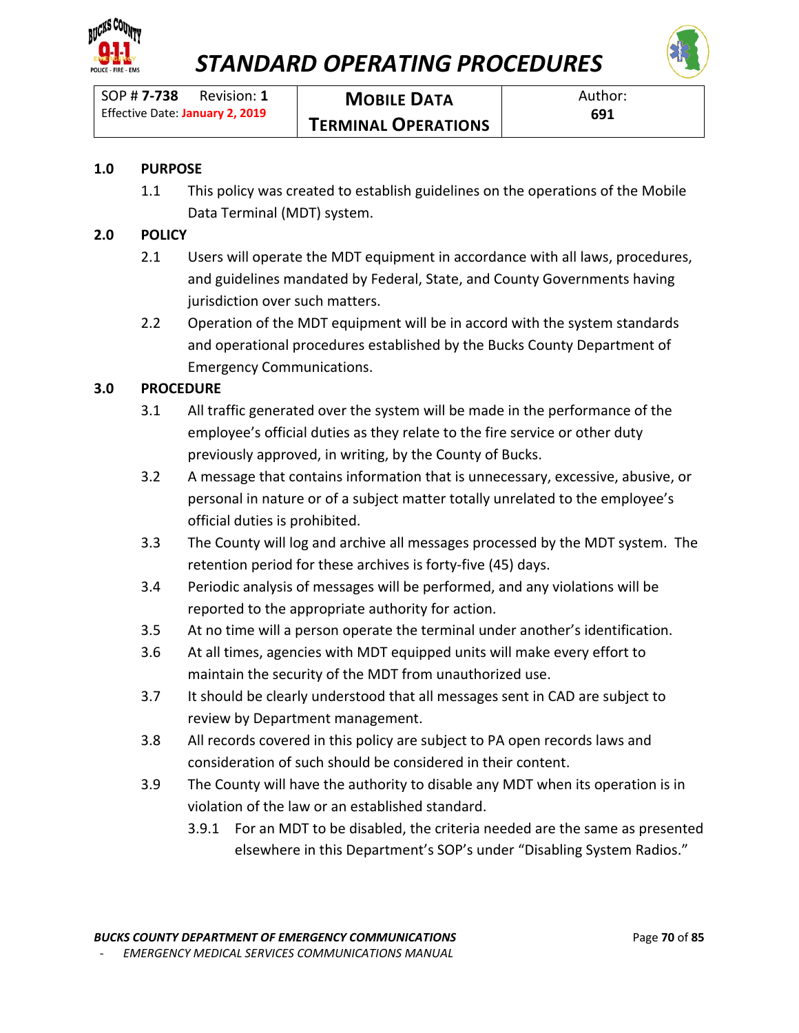

SOP # **7‐738**  Revision: **1**  Effective Date: **January 2, 2019**

## **1.0 PURPOSE**

 1.1 This policy was created to establish guidelines on the operations of the Mobile Data Terminal (MDT) system.

#### **2.0 POLICY**

- 2.1 Users will operate the MDT equipment in accordance with all laws, procedures, and guidelines mandated by Federal, State, and County Governments having jurisdiction over such matters.
- 2.2 Operation of the MDT equipment will be in accord with the system standards and operational procedures established by the Bucks County Department of Emergency Communications.

- 3.1 All traffic generated over the system will be made in the performance of the employee's official duties as they relate to the fire service or other duty previously approved, in writing, by the County of Bucks.
- 3.2 A message that contains information that is unnecessary, excessive, abusive, or personal in nature or of a subject matter totally unrelated to the employee's official duties is prohibited.
- 3.3 The County will log and archive all messages processed by the MDT system. The retention period for these archives is forty‐five (45) days.
- 3.4 Periodic analysis of messages will be performed, and any violations will be reported to the appropriate authority for action.
- 3.5 At no time will a person operate the terminal under another's identification.
- 3.6 At all times, agencies with MDT equipped units will make every effort to maintain the security of the MDT from unauthorized use.
- 3.7 It should be clearly understood that all messages sent in CAD are subject to review by Department management.
- 3.8 All records covered in this policy are subject to PA open records laws and consideration of such should be considered in their content.
- 3.9 The County will have the authority to disable any MDT when its operation is in violation of the law or an established standard.
	- 3.9.1 For an MDT to be disabled, the criteria needed are the same as presented elsewhere in this Department's SOP's under "Disabling System Radios."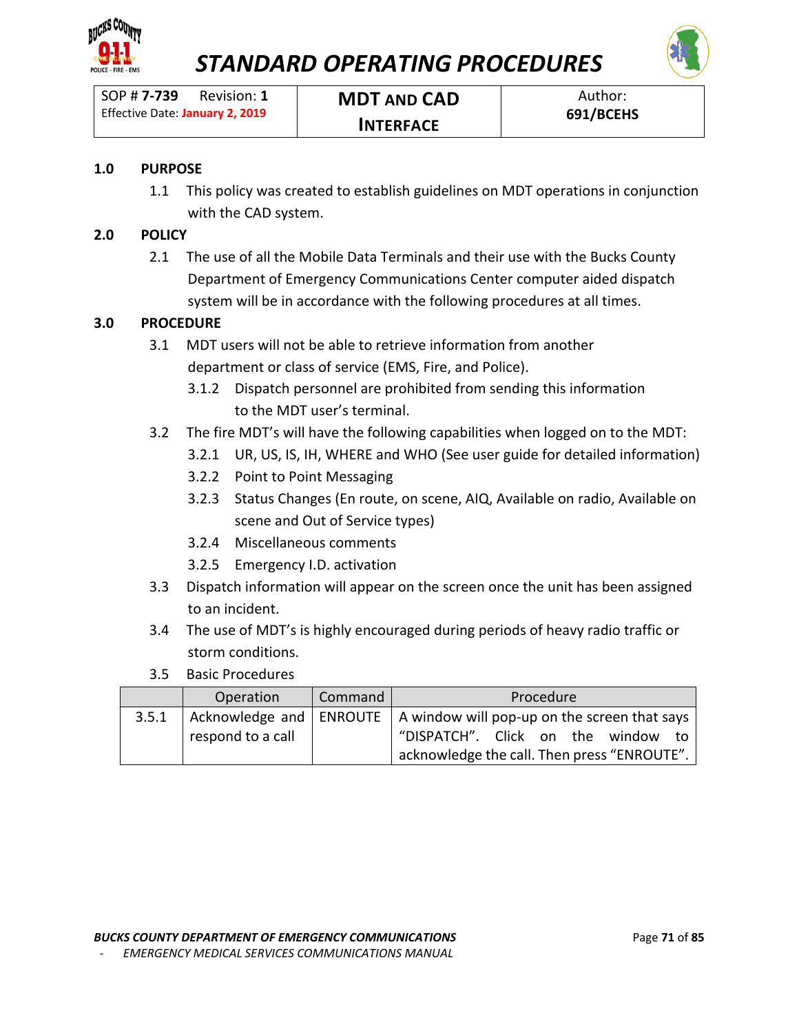

SOP # **7‐739**  Revision: **1**  Effective Date: **January 2, 2019**

## **1.0 PURPOSE**

1.1 This policy was created to establish guidelines on MDT operations in conjunction with the CAD system.

#### 2.0 **POLICY**

2.1 The use of all the Mobile Data Terminals and their use with the Bucks County Department of Emergency Communications Center computer aided dispatch system will be in accordance with the following procedures at all times.

- 3.1 MDT users will not be able to retrieve information from another department or class of service (EMS, Fire, and Police).
	- 3.1.2 Dispatch personnel are prohibited from sending this information to the MDT user's terminal.
- 3.2 The fire MDT's will have the following capabilities when logged on to the MDT:
	- 3.2.1 UR, US, IS, IH, WHERE and WHO (See user guide for detailed information)
	- 3.2.2 Point to Point Messaging
	- 3.2.3 Status Changes (En route, on scene, AIQ, Available on radio, Available on scene and Out of Service types)
	- 3.2.4 Miscellaneous comments
	- 3.2.5 Emergency I.D. activation
- 3.3 Dispatch information will appear on the screen once the unit has been assigned to an incident.
- 3.4 The use of MDT's is highly encouraged during periods of heavy radio traffic or storm conditions.
- 3.5 Basic Procedures

|       | Operation         | Command | Procedure                                                                |
|-------|-------------------|---------|--------------------------------------------------------------------------|
| 3.5.1 |                   |         | Acknowledge and   ENROUTE   A window will pop-up on the screen that says |
|       | respond to a call |         | "DISPATCH". Click on the window to                                       |
|       |                   |         | acknowledge the call. Then press "ENROUTE".                              |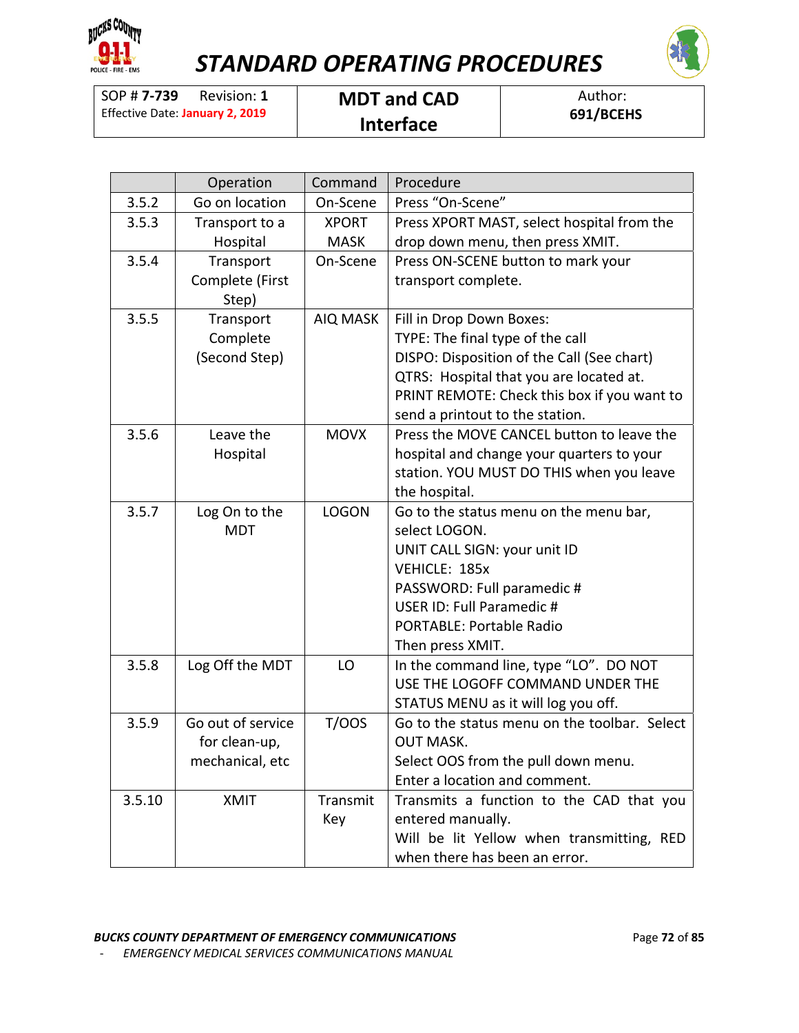



SOP # **7‐739**  Revision: **1**  Effective Date: **January 2, 2019**

**MDT and CAD Interface** 

Author:  **691/BCEHS** 

|        | Operation         | Command      | Procedure                                    |
|--------|-------------------|--------------|----------------------------------------------|
| 3.5.2  | Go on location    | On-Scene     | Press "On-Scene"                             |
| 3.5.3  | Transport to a    | <b>XPORT</b> | Press XPORT MAST, select hospital from the   |
|        | Hospital          | <b>MASK</b>  | drop down menu, then press XMIT.             |
| 3.5.4  | Transport         | On-Scene     | Press ON-SCENE button to mark your           |
|        | Complete (First   |              | transport complete.                          |
|        | Step)             |              |                                              |
| 3.5.5  | Transport         | AIQ MASK     | Fill in Drop Down Boxes:                     |
|        | Complete          |              | TYPE: The final type of the call             |
|        | (Second Step)     |              | DISPO: Disposition of the Call (See chart)   |
|        |                   |              | QTRS: Hospital that you are located at.      |
|        |                   |              | PRINT REMOTE: Check this box if you want to  |
|        |                   |              | send a printout to the station.              |
| 3.5.6  | Leave the         | <b>MOVX</b>  | Press the MOVE CANCEL button to leave the    |
|        | Hospital          |              | hospital and change your quarters to your    |
|        |                   |              | station. YOU MUST DO THIS when you leave     |
|        |                   |              | the hospital.                                |
| 3.5.7  | Log On to the     | <b>LOGON</b> | Go to the status menu on the menu bar,       |
|        | <b>MDT</b>        |              | select LOGON.                                |
|        |                   |              | UNIT CALL SIGN: your unit ID                 |
|        |                   |              | VEHICLE: 185x                                |
|        |                   |              | PASSWORD: Full paramedic #                   |
|        |                   |              | USER ID: Full Paramedic #                    |
|        |                   |              | <b>PORTABLE: Portable Radio</b>              |
|        |                   |              | Then press XMIT.                             |
| 3.5.8  | Log Off the MDT   | LO           | In the command line, type "LO". DO NOT       |
|        |                   |              | USE THE LOGOFF COMMAND UNDER THE             |
|        |                   |              | STATUS MENU as it will log you off.          |
| 3.5.9  | Go out of service | T/OOS        | Go to the status menu on the toolbar. Select |
|        | for clean-up,     |              | <b>OUT MASK.</b>                             |
|        | mechanical, etc   |              | Select OOS from the pull down menu.          |
|        |                   |              | Enter a location and comment.                |
| 3.5.10 | <b>XMIT</b>       | Transmit     | Transmits a function to the CAD that you     |
|        |                   | Key          | entered manually.                            |
|        |                   |              | Will be lit Yellow when transmitting, RED    |
|        |                   |              | when there has been an error.                |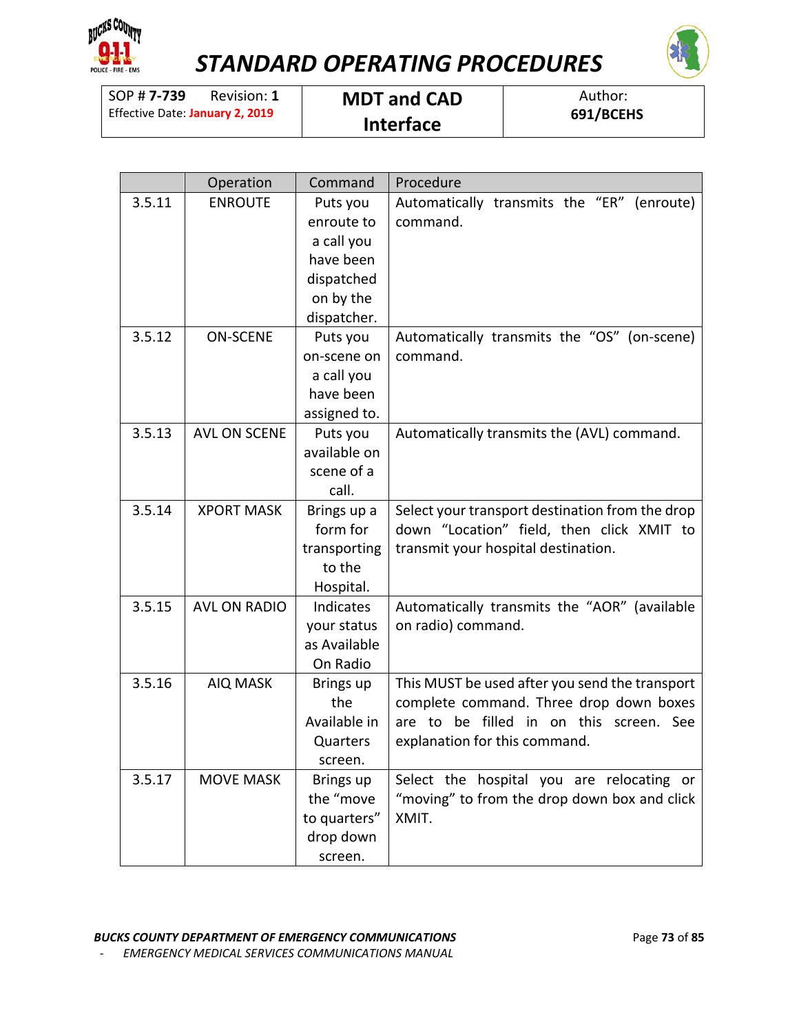



SOP # **7‐739**  Revision: **1** 

Effective Date: **January 2, 2019**

**MDT and CAD Interface** 

Author:  **691/BCEHS** 

|        | Operation           | Command      | Procedure                                       |
|--------|---------------------|--------------|-------------------------------------------------|
| 3.5.11 | <b>ENROUTE</b>      | Puts you     | Automatically transmits the "ER" (enroute)      |
|        |                     | enroute to   | command.                                        |
|        |                     | a call you   |                                                 |
|        |                     | have been    |                                                 |
|        |                     | dispatched   |                                                 |
|        |                     | on by the    |                                                 |
|        |                     | dispatcher.  |                                                 |
| 3.5.12 | <b>ON-SCENE</b>     | Puts you     | Automatically transmits the "OS" (on-scene)     |
|        |                     | on-scene on  | command.                                        |
|        |                     | a call you   |                                                 |
|        |                     | have been    |                                                 |
|        |                     | assigned to. |                                                 |
| 3.5.13 | <b>AVL ON SCENE</b> | Puts you     | Automatically transmits the (AVL) command.      |
|        |                     | available on |                                                 |
|        |                     | scene of a   |                                                 |
|        |                     | call.        |                                                 |
| 3.5.14 | <b>XPORT MASK</b>   | Brings up a  | Select your transport destination from the drop |
|        |                     | form for     | down "Location" field, then click XMIT to       |
|        |                     | transporting | transmit your hospital destination.             |
|        |                     | to the       |                                                 |
|        |                     | Hospital.    |                                                 |
| 3.5.15 | <b>AVL ON RADIO</b> | Indicates    | Automatically transmits the "AOR" (available    |
|        |                     | your status  | on radio) command.                              |
|        |                     | as Available |                                                 |
|        |                     | On Radio     |                                                 |
| 3.5.16 | <b>AIQ MASK</b>     | Brings up    | This MUST be used after you send the transport  |
|        |                     | the          | complete command. Three drop down boxes         |
|        |                     | Available in | are to be filled in on this screen. See         |
|        |                     | Quarters     | explanation for this command.                   |
|        |                     | screen.      |                                                 |
| 3.5.17 | <b>MOVE MASK</b>    | Brings up    | Select the hospital you are relocating or       |
|        |                     | the "move    | "moving" to from the drop down box and click    |
|        |                     | to quarters" | XMIT.                                           |
|        |                     | drop down    |                                                 |
|        |                     | screen.      |                                                 |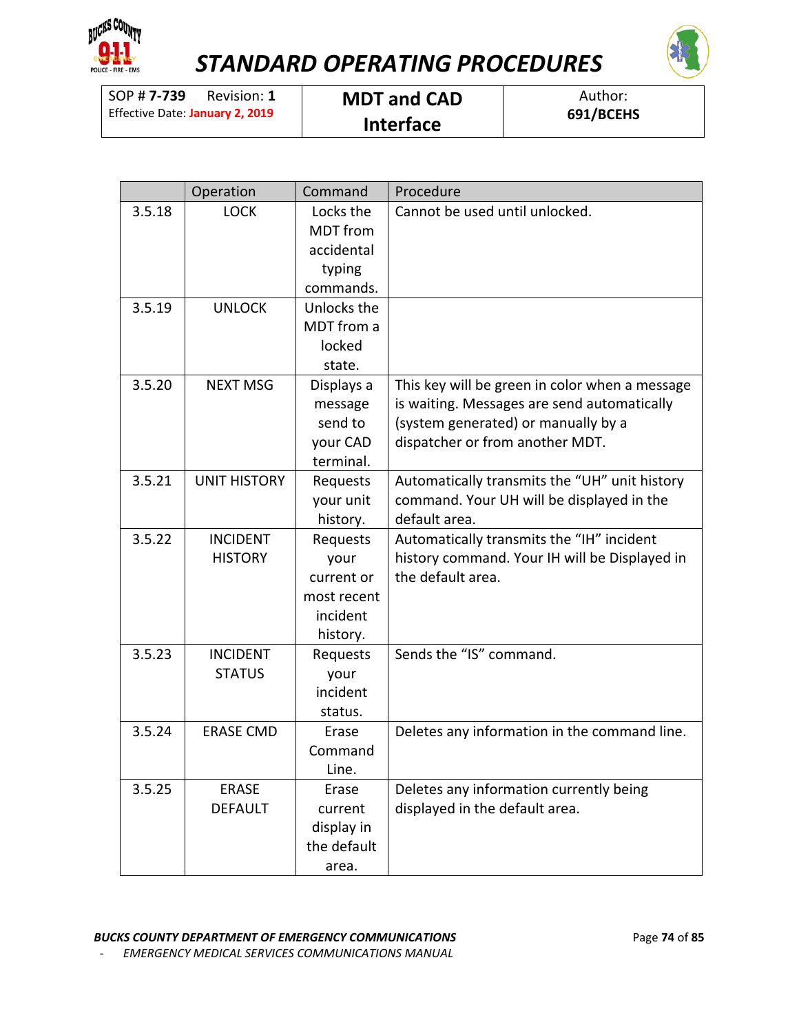



SOP # **7‐739**  Revision: **1**  Effective Date: **January 2, 2019**

**MDT and CAD Interface** 

Author: **691/BCEHS** 

|        | Operation           | Command     | Procedure                                      |
|--------|---------------------|-------------|------------------------------------------------|
| 3.5.18 | <b>LOCK</b>         | Locks the   | Cannot be used until unlocked.                 |
|        |                     | MDT from    |                                                |
|        |                     | accidental  |                                                |
|        |                     | typing      |                                                |
|        |                     | commands.   |                                                |
| 3.5.19 | <b>UNLOCK</b>       | Unlocks the |                                                |
|        |                     | MDT from a  |                                                |
|        |                     | locked      |                                                |
|        |                     | state.      |                                                |
| 3.5.20 | <b>NEXT MSG</b>     | Displays a  | This key will be green in color when a message |
|        |                     | message     | is waiting. Messages are send automatically    |
|        |                     | send to     | (system generated) or manually by a            |
|        |                     | your CAD    | dispatcher or from another MDT.                |
|        |                     | terminal.   |                                                |
| 3.5.21 | <b>UNIT HISTORY</b> | Requests    | Automatically transmits the "UH" unit history  |
|        |                     | your unit   | command. Your UH will be displayed in the      |
|        |                     | history.    | default area.                                  |
| 3.5.22 | <b>INCIDENT</b>     | Requests    | Automatically transmits the "IH" incident      |
|        | <b>HISTORY</b>      | your        | history command. Your IH will be Displayed in  |
|        |                     | current or  | the default area.                              |
|        |                     | most recent |                                                |
|        |                     | incident    |                                                |
|        |                     | history.    |                                                |
| 3.5.23 | <b>INCIDENT</b>     | Requests    | Sends the "IS" command.                        |
|        | <b>STATUS</b>       | your        |                                                |
|        |                     | incident    |                                                |
|        |                     | status.     |                                                |
| 3.5.24 | <b>ERASE CMD</b>    | Erase       | Deletes any information in the command line.   |
|        |                     | Command     |                                                |
|        |                     | Line.       |                                                |
| 3.5.25 | <b>ERASE</b>        | Erase       | Deletes any information currently being        |
|        | <b>DEFAULT</b>      | current     | displayed in the default area.                 |
|        |                     | display in  |                                                |
|        |                     | the default |                                                |
|        |                     | area.       |                                                |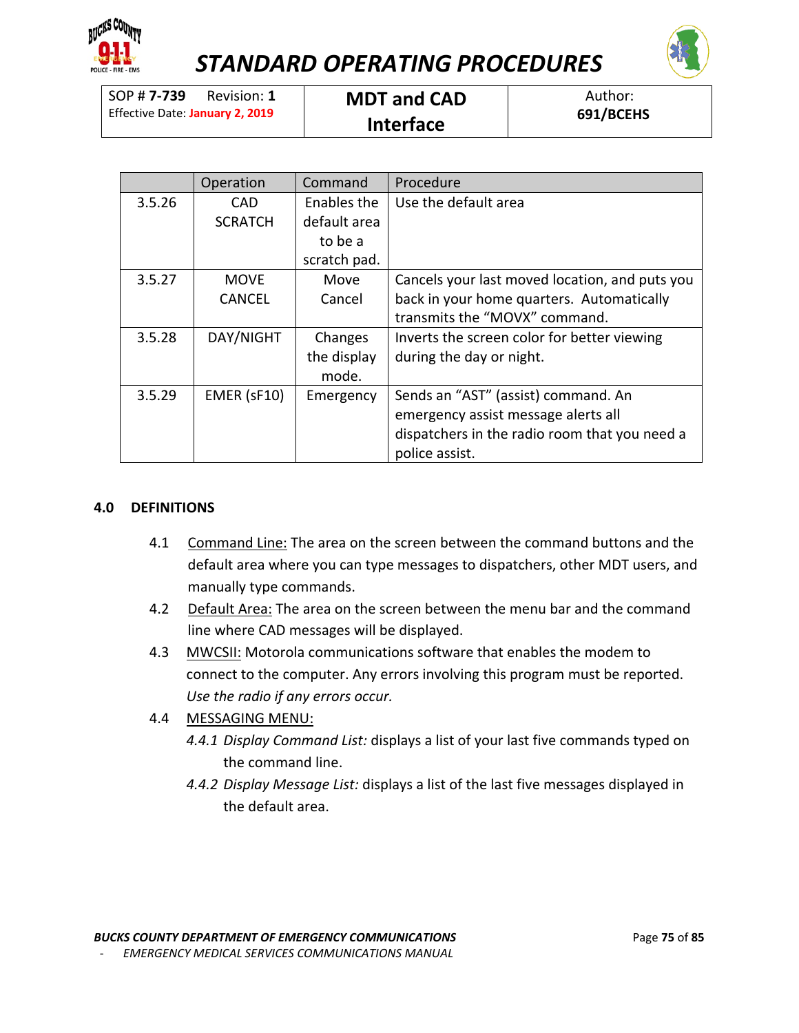



SOP # **7‐739**  Revision: **1**  Effective Date: **January 2, 2019**

**MDT and CAD Interface** 

|        | Operation      | Command      | Procedure                                      |
|--------|----------------|--------------|------------------------------------------------|
| 3.5.26 | CAD            | Enables the  | Use the default area                           |
|        | <b>SCRATCH</b> | default area |                                                |
|        |                | to be a      |                                                |
|        |                | scratch pad. |                                                |
| 3.5.27 | <b>MOVE</b>    | Move         | Cancels your last moved location, and puts you |
|        | <b>CANCEL</b>  | Cancel       | back in your home quarters. Automatically      |
|        |                |              | transmits the "MOVX" command.                  |
| 3.5.28 | DAY/NIGHT      | Changes      | Inverts the screen color for better viewing    |
|        |                | the display  | during the day or night.                       |
|        |                | mode.        |                                                |
| 3.5.29 | EMER (sF10)    | Emergency    | Sends an "AST" (assist) command. An            |
|        |                |              | emergency assist message alerts all            |
|        |                |              | dispatchers in the radio room that you need a  |
|        |                |              | police assist.                                 |

#### **4.0 DEFINITIONS**

- 4.1 Command Line: The area on the screen between the command buttons and the default area where you can type messages to dispatchers, other MDT users, and manually type commands.
- 4.2 Default Area: The area on the screen between the menu bar and the command line where CAD messages will be displayed.
- 4.3 MWCSII: Motorola communications software that enables the modem to connect to the computer. Any errors involving this program must be reported. *Use the radio if any errors occur.*
- 4.4 MESSAGING MENU:
	- *4.4.1 Display Command List:* displays a list of your last five commands typed on the command line.
	- *4.4.2 Display Message List:* displays a list of the last five messages displayed in the default area.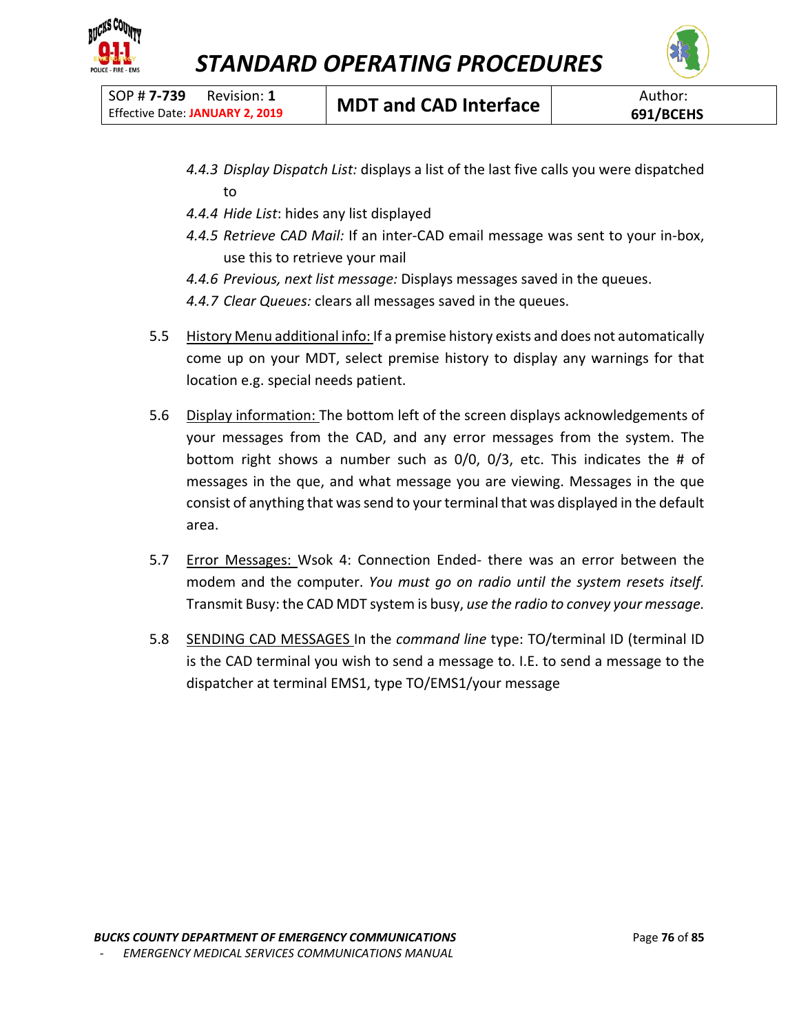



SOP # **7‐739**  Revision: **1** 

- *4.4.3 Display Dispatch List:* displays a list of the last five calls you were dispatched to
- *4.4.4 Hide List*: hides any list displayed
- *4.4.5 Retrieve CAD Mail:* If an inter‐CAD email message was sent to your in‐box, use this to retrieve your mail
- *4.4.6 Previous, next list message:* Displays messages saved in the queues.
- *4.4.7 Clear Queues:* clears all messages saved in the queues.
- 5.5 History Menu additional info: If a premise history exists and does not automatically come up on your MDT, select premise history to display any warnings for that location e.g. special needs patient.
- 5.6 Display information: The bottom left of the screen displays acknowledgements of your messages from the CAD, and any error messages from the system. The bottom right shows a number such as  $0/0$ ,  $0/3$ , etc. This indicates the # of messages in the que, and what message you are viewing. Messages in the que consist of anything that was send to your terminal that was displayed in the default area.
- 5.7 Error Messages: Wsok 4: Connection Ended‐ there was an error between the modem and the computer. *You must go on radio until the system resets itself.*  Transmit Busy: the CAD MDT system is busy, *use the radio to convey your message.*
- 5.8 SENDING CAD MESSAGES In the *command line* type: TO/terminal ID (terminal ID is the CAD terminal you wish to send a message to. I.E. to send a message to the dispatcher at terminal EMS1, type TO/EMS1/your message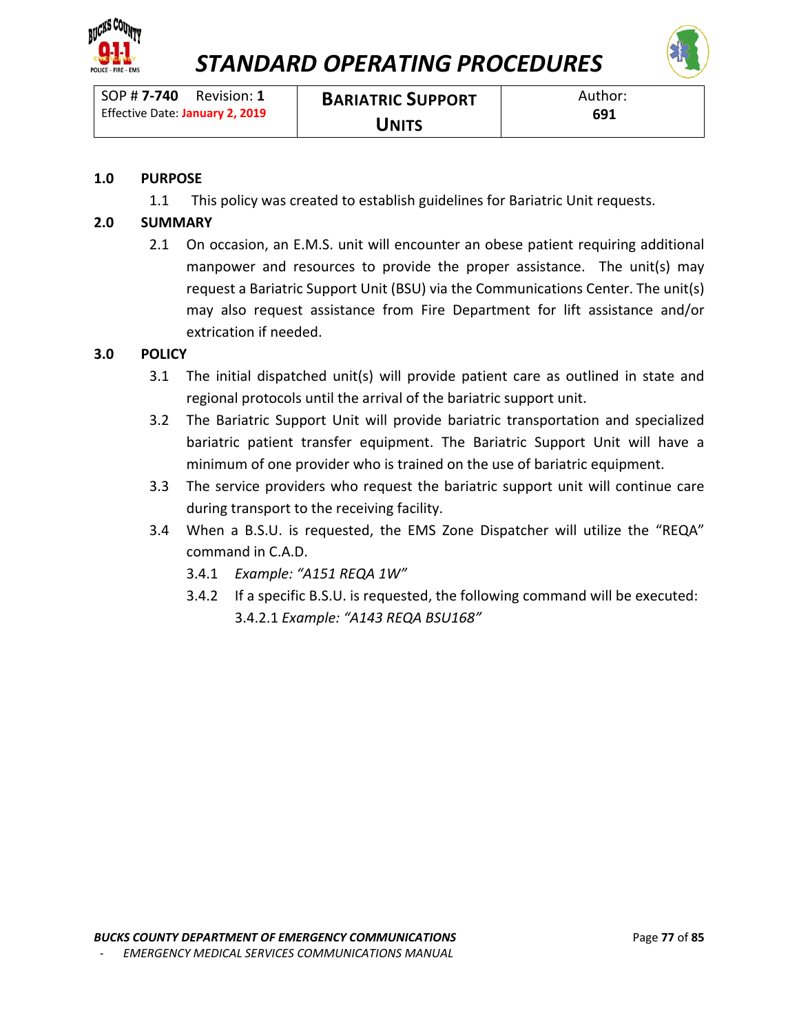



SOP # **7‐740**  Revision: **1** Effective Date: **January 2, 2019**

### **1.0 PURPOSE**

1.1 This policy was created to establish guidelines for Bariatric Unit requests.

### **2.0 SUMMARY**

2.1 On occasion, an E.M.S. unit will encounter an obese patient requiring additional manpower and resources to provide the proper assistance. The unit(s) may request a Bariatric Support Unit (BSU) via the Communications Center. The unit(s) may also request assistance from Fire Department for lift assistance and/or extrication if needed.

- 3.1 The initial dispatched unit(s) will provide patient care as outlined in state and regional protocols until the arrival of the bariatric support unit.
- 3.2 The Bariatric Support Unit will provide bariatric transportation and specialized bariatric patient transfer equipment. The Bariatric Support Unit will have a minimum of one provider who is trained on the use of bariatric equipment.
- 3.3 The service providers who request the bariatric support unit will continue care during transport to the receiving facility.
- 3.4 When a B.S.U. is requested, the EMS Zone Dispatcher will utilize the "REQA" command in C.A.D.
	- 3.4.1 *Example: "A151 REQA 1W"*
	- 3.4.2 If a specific B.S.U. is requested, the following command will be executed: 3.4.2.1 *Example: "A143 REQA BSU168"*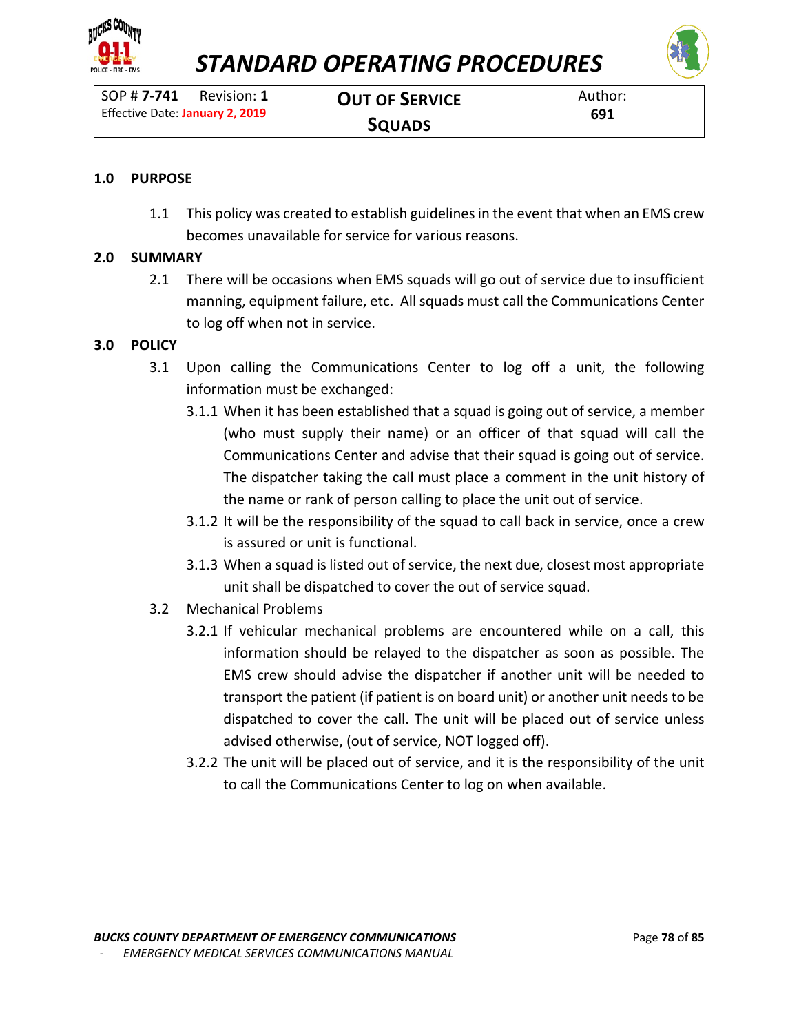



## **1.0 PURPOSE**

1.1 This policy was created to establish guidelines in the event that when an EMS crew becomes unavailable for service for various reasons.

### **2.0 SUMMARY**

2.1 There will be occasions when EMS squads will go out of service due to insufficient manning, equipment failure, etc. All squads must call the Communications Center to log off when not in service.

- 3.1 Upon calling the Communications Center to log off a unit, the following information must be exchanged:
	- 3.1.1 When it has been established that a squad is going out of service, a member (who must supply their name) or an officer of that squad will call the Communications Center and advise that their squad is going out of service. The dispatcher taking the call must place a comment in the unit history of the name or rank of person calling to place the unit out of service.
	- 3.1.2 It will be the responsibility of the squad to call back in service, once a crew is assured or unit is functional.
	- 3.1.3 When a squad is listed out of service, the next due, closest most appropriate unit shall be dispatched to cover the out of service squad.
- 3.2 Mechanical Problems
	- 3.2.1 If vehicular mechanical problems are encountered while on a call, this information should be relayed to the dispatcher as soon as possible. The EMS crew should advise the dispatcher if another unit will be needed to transport the patient (if patient is on board unit) or another unit needs to be dispatched to cover the call. The unit will be placed out of service unless advised otherwise, (out of service, NOT logged off).
	- 3.2.2 The unit will be placed out of service, and it is the responsibility of the unit to call the Communications Center to log on when available.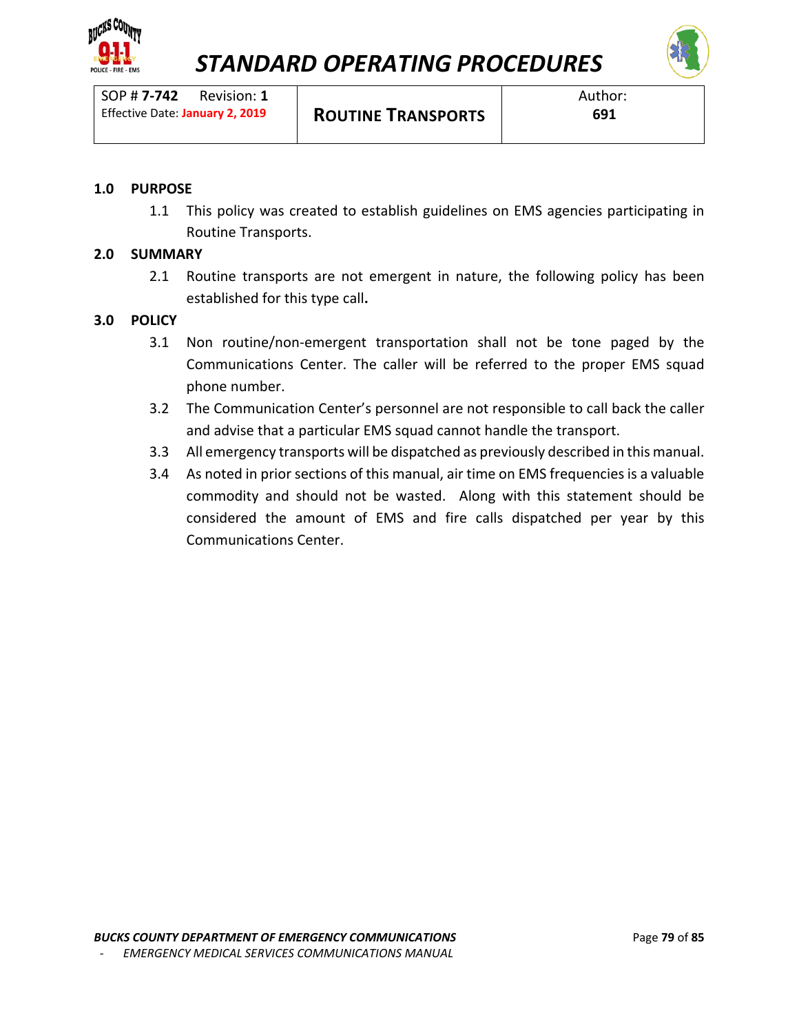



SOP # **7‐742**  Revision: **1** Effective Date: **January 2, 2019 ROUTINE TRANSPORTS**

### **1.0 PURPOSE**

1.1 This policy was created to establish guidelines on EMS agencies participating in Routine Transports.

#### **2.0 SUMMARY**

2.1 Routine transports are not emergent in nature, the following policy has been established for this type call**.** 

- 3.1 Non routine/non-emergent transportation shall not be tone paged by the Communications Center. The caller will be referred to the proper EMS squad phone number.
- 3.2 The Communication Center's personnel are not responsible to call back the caller and advise that a particular EMS squad cannot handle the transport.
- 3.3 All emergency transports will be dispatched as previously described in this manual.
- 3.4 As noted in prior sections of this manual, air time on EMS frequencies is a valuable commodity and should not be wasted. Along with this statement should be considered the amount of EMS and fire calls dispatched per year by this Communications Center.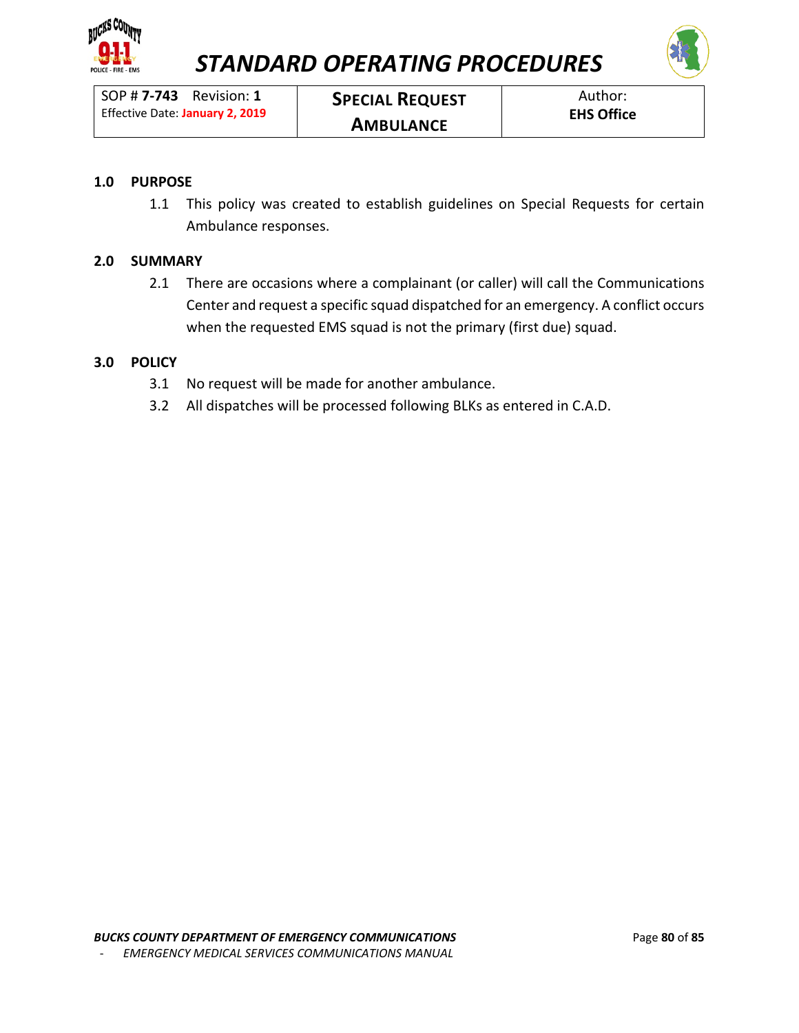



Author: **EHS Office** 

#### **1.0 PURPOSE**

1.1 This policy was created to establish guidelines on Special Requests for certain Ambulance responses.

#### **2.0 SUMMARY**

2.1 There are occasions where a complainant (or caller) will call the Communications Center and request a specific squad dispatched for an emergency. A conflict occurs when the requested EMS squad is not the primary (first due) squad.

- 3.1 No request will be made for another ambulance.
- 3.2 All dispatches will be processed following BLKs as entered in C.A.D.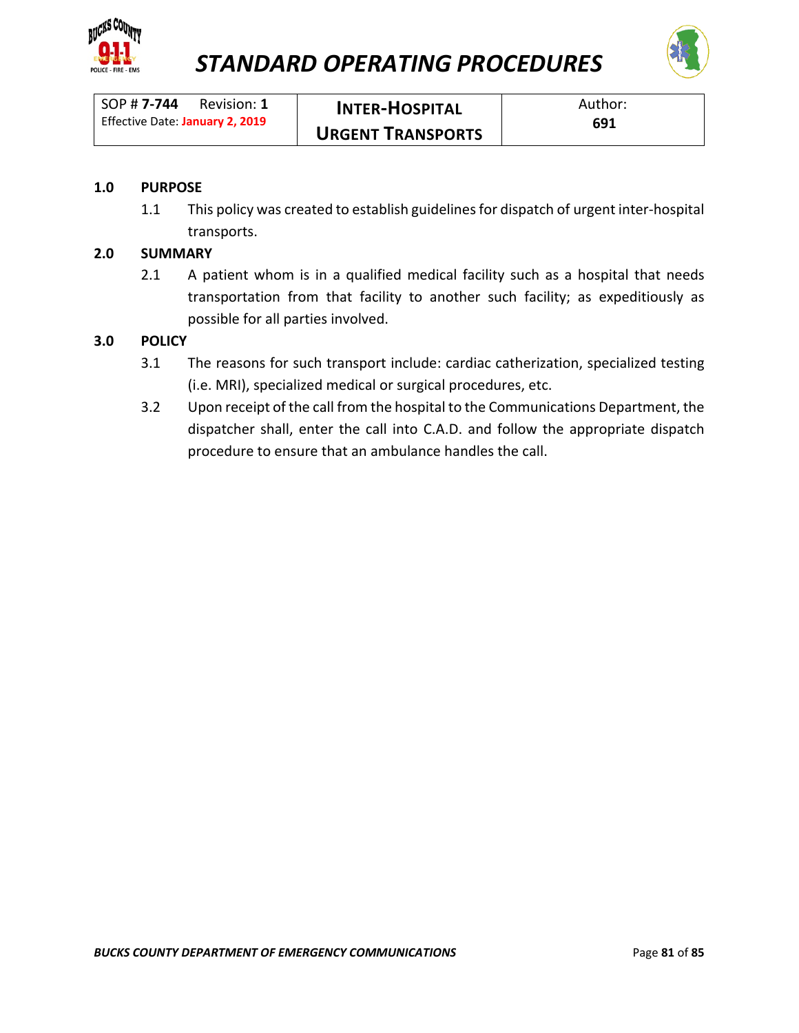



| SOP # 7-744<br>Revision: 1      | <b>INTER-HOSPITAL</b>    | Author: |
|---------------------------------|--------------------------|---------|
| Effective Date: January 2, 2019 | <b>URGENT TRANSPORTS</b> | 691     |

#### **1.0 PURPOSE**

1.1 This policy was created to establish guidelines for dispatch of urgent inter-hospital transports.

#### **2.0 SUMMARY**

2.1 A patient whom is in a qualified medical facility such as a hospital that needs transportation from that facility to another such facility; as expeditiously as possible for all parties involved.

- 3.1 The reasons for such transport include: cardiac catherization, specialized testing (i.e. MRI), specialized medical or surgical procedures, etc.
- 3.2 Upon receipt of the call from the hospital to the Communications Department, the dispatcher shall, enter the call into C.A.D. and follow the appropriate dispatch procedure to ensure that an ambulance handles the call.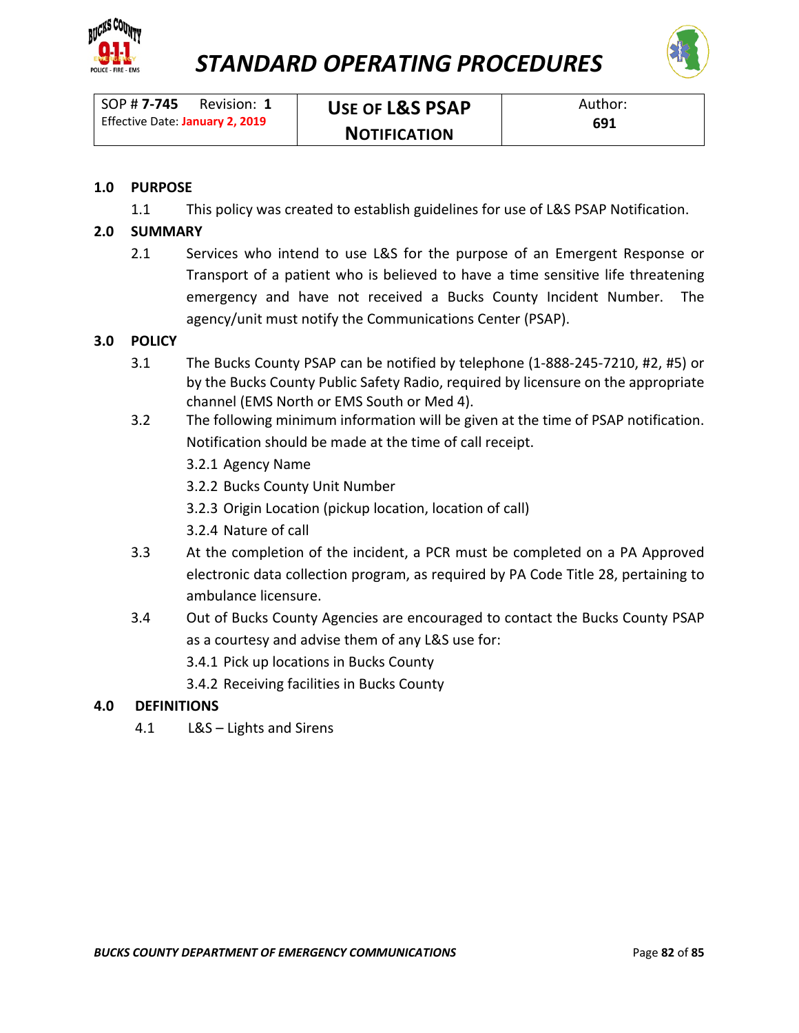



SOP # **7‐745**  Revision: **1** Effective Date: **January 2, 2019**

## **1.0 PURPOSE**

1.1 This policy was created to establish guidelines for use of L&S PSAP Notification.

## **2.0 SUMMARY**

2.1 Services who intend to use L&S for the purpose of an Emergent Response or Transport of a patient who is believed to have a time sensitive life threatening emergency and have not received a Bucks County Incident Number. The agency/unit must notify the Communications Center (PSAP).

#### **3.0 POLICY**

- 3.1 The Bucks County PSAP can be notified by telephone (1‐888‐245‐7210, #2, #5) or by the Bucks County Public Safety Radio, required by licensure on the appropriate channel (EMS North or EMS South or Med 4).
- 3.2 The following minimum information will be given at the time of PSAP notification. Notification should be made at the time of call receipt.
	- 3.2.1 Agency Name
	- 3.2.2 Bucks County Unit Number
	- 3.2.3 Origin Location (pickup location, location of call)
	- 3.2.4 Nature of call
- 3.3 At the completion of the incident, a PCR must be completed on a PA Approved electronic data collection program, as required by PA Code Title 28, pertaining to ambulance licensure.
- 3.4 Out of Bucks County Agencies are encouraged to contact the Bucks County PSAP as a courtesy and advise them of any L&S use for:
	- 3.4.1 Pick up locations in Bucks County
	- 3.4.2 Receiving facilities in Bucks County

### **4.0 DEFINITIONS**

4.1 L&S – Lights and Sirens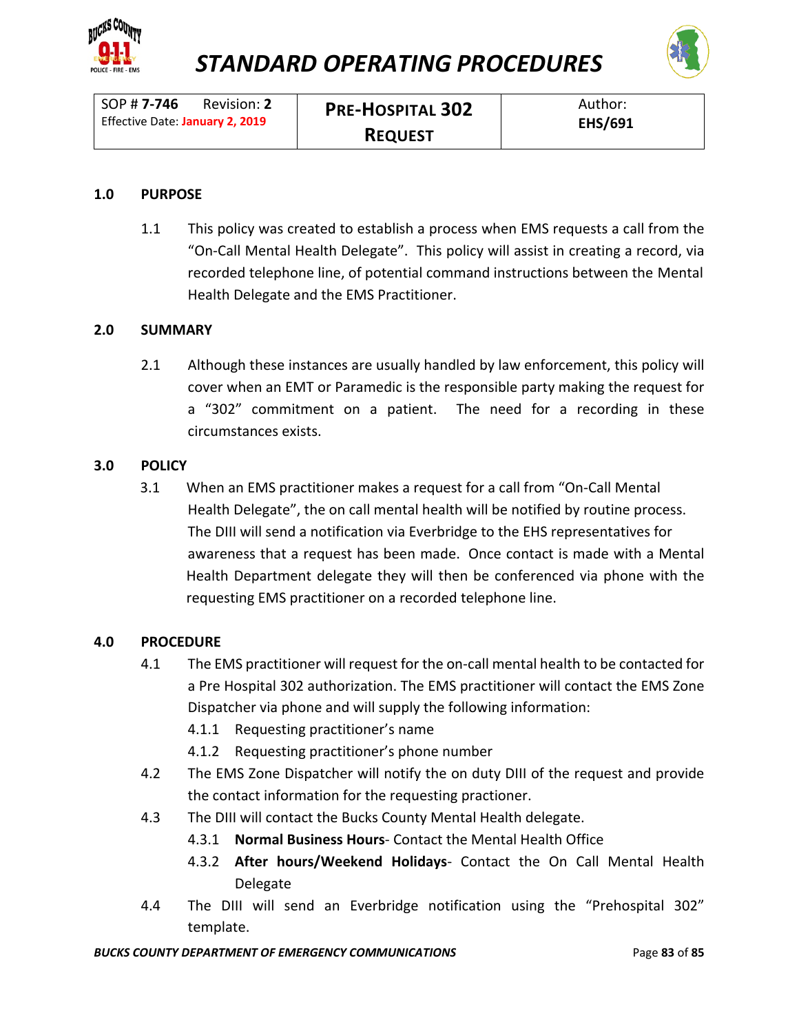



| SOP # <b>7-746</b><br>Revision: 2 | <b>PRE-HOSPITAL 302</b> | Author:        |
|-----------------------------------|-------------------------|----------------|
| Effective Date: January 2, 2019   | <b>REQUEST</b>          | <b>EHS/691</b> |

#### **1.0 PURPOSE**

1.1 This policy was created to establish a process when EMS requests a call from the "On‐Call Mental Health Delegate". This policy will assist in creating a record, via recorded telephone line, of potential command instructions between the Mental Health Delegate and the EMS Practitioner.

#### **2.0 SUMMARY**

2.1 Although these instances are usually handled by law enforcement, this policy will cover when an EMT or Paramedic is the responsible party making the request for a "302" commitment on a patient. The need for a recording in these circumstances exists.

#### **3.0 POLICY**

3.1 When an EMS practitioner makes a request for a call from "On‐Call Mental Health Delegate", the on call mental health will be notified by routine process. The DIII will send a notification via Everbridge to the EHS representatives for awareness that a request has been made. Once contact is made with a Mental Health Department delegate they will then be conferenced via phone with the requesting EMS practitioner on a recorded telephone line.

#### **4.0 PROCEDURE**

- 4.1 The EMS practitioner will request for the on‐call mental health to be contacted for a Pre Hospital 302 authorization. The EMS practitioner will contact the EMS Zone Dispatcher via phone and will supply the following information:
	- 4.1.1 Requesting practitioner's name
	- 4.1.2 Requesting practitioner's phone number
- 4.2 The EMS Zone Dispatcher will notify the on duty DIII of the request and provide the contact information for the requesting practioner.
- 4.3 The DIII will contact the Bucks County Mental Health delegate.
	- 4.3.1 **Normal Business Hours**‐ Contact the Mental Health Office
	- 4.3.2 **After hours/Weekend Holidays**‐ Contact the On Call Mental Health Delegate
- 4.4 The DIII will send an Everbridge notification using the "Prehospital 302" template.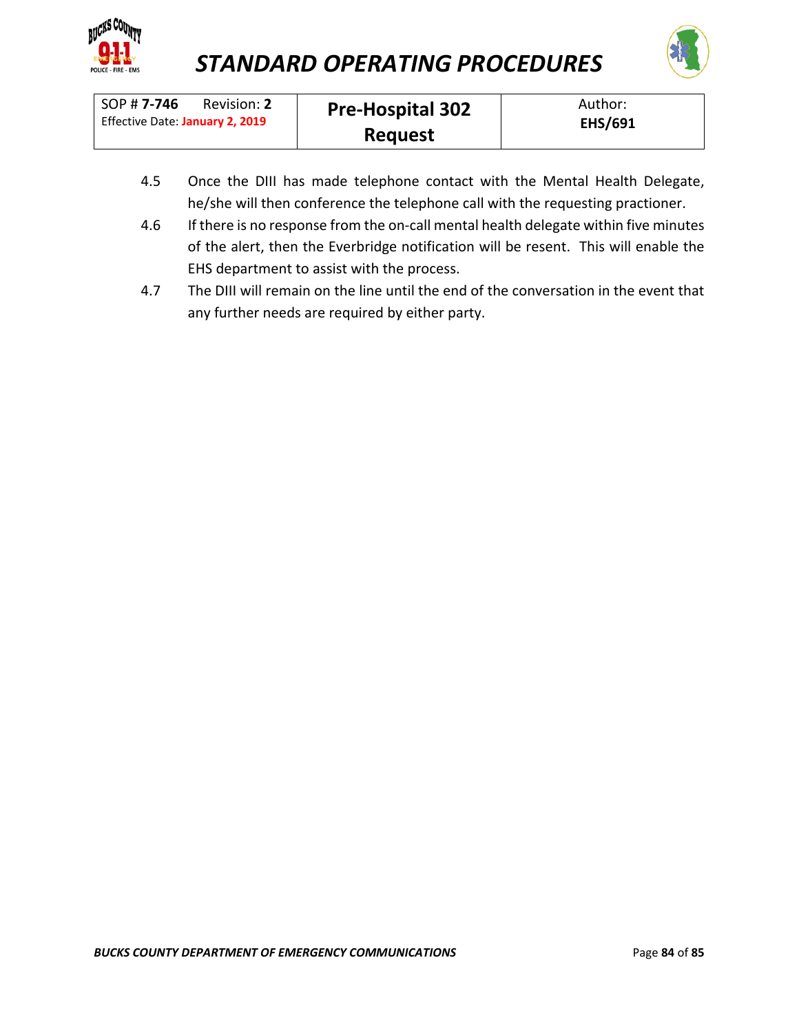



| SOP # 7-746<br>Revision: 2      | <b>Pre-Hospital 302</b> | Author: |
|---------------------------------|-------------------------|---------|
| Effective Date: January 2, 2019 | <b>Request</b>          | EHS/691 |

- 4.5 Once the DIII has made telephone contact with the Mental Health Delegate, he/she will then conference the telephone call with the requesting practioner.
- 4.6 If there is no response from the on-call mental health delegate within five minutes of the alert, then the Everbridge notification will be resent. This will enable the EHS department to assist with the process.
- 4.7 The DIII will remain on the line until the end of the conversation in the event that any further needs are required by either party.